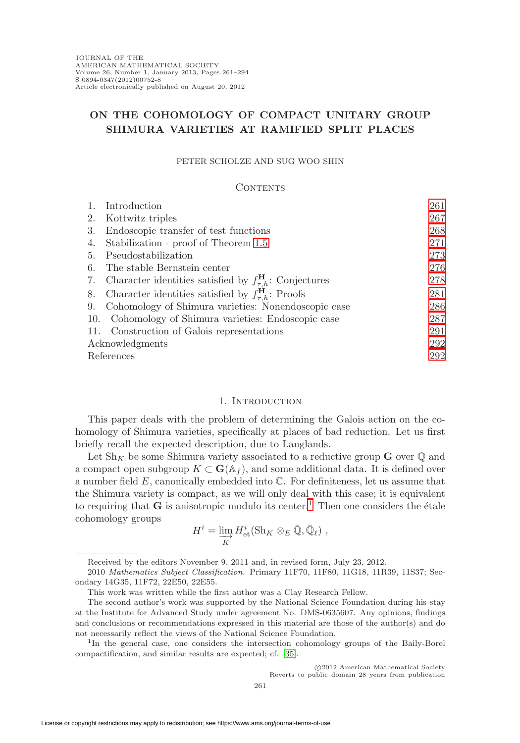# **ON THE COHOMOLOGY OF COMPACT UNITARY GROUP SHIMURA VARIETIES AT RAMIFIED SPLIT PLACES**

#### PETER SCHOLZE AND SUG WOO SHIN

#### CONTENTS

| 1.              | Introduction                                                              | 261 |
|-----------------|---------------------------------------------------------------------------|-----|
| 2.              | Kottwitz triples                                                          | 267 |
| 3.              | Endoscopic transfer of test functions                                     | 268 |
| 4.              | Stabilization - proof of Theorem 1.5                                      | 271 |
| 5.              | Pseudostabilization                                                       | 273 |
| 6.              | The stable Bernstein center                                               | 276 |
| 7.              | Character identities satisfied by $f_{\tau,h}^{\mathbf{H}}$ : Conjectures | 278 |
| 8.              | Character identities satisfied by $f_{\tau h}^{\mathbf{H}}$ : Proofs      | 281 |
| 9.              | Cohomology of Shimura varieties: Nonendoscopic case                       | 286 |
| 10.             | Cohomology of Shimura varieties: Endoscopic case                          | 287 |
|                 | 11. Construction of Galois representations                                | 291 |
| Acknowledgments |                                                                           | 292 |
| References      |                                                                           | 292 |

# 1. INTRODUCTION

<span id="page-0-0"></span>This paper deals with the problem of determining the Galois action on the cohomology of Shimura varieties, specifically at places of bad reduction. Let us first briefly recall the expected description, due to Langlands.

Let  $\mathrm{Sh}_K$  be some Shimura variety associated to a reductive group **G** over  $\mathbb Q$  and a compact open subgroup  $K \subset \mathbf{G}(\mathbb{A}_f)$ , and some additional data. It is defined over a number field  $E$ , canonically embedded into  $\mathbb{C}$ . For definiteness, let us assume that the Shimura variety is compact, as we will only deal with this case; it is equivalent to requiring that  $G$  is anisotropic modulo its center.<sup>[1](#page-0-1)</sup> Then one considers the étale cohomology groups

$$
H^i = \varinjlim_K H^i_{\text{et}}(\text{Sh}_K \otimes_E \bar{\mathbb{Q}}, \bar{\mathbb{Q}}_\ell) ,
$$

-c 2012 American Mathematical Society

Reverts to public domain 28 years from publication

Received by the editors November 9, 2011 and, in revised form, July 23, 2012.

<sup>2010</sup> Mathematics Subject Classification. Primary 11F70, 11F80, 11G18, 11R39, 11S37; Secondary 14G35, 11F72, 22E50, 22E55.

This work was written while the first author was a Clay Research Fellow.

The second author's work was supported by the National Science Foundation during his stay at the Institute for Advanced Study under agreement No. DMS-0635607. Any opinions, findings and conclusions or recommendations expressed in this material are those of the author(s) and do not necessarily reflect the views of the National Science Foundation.

<span id="page-0-1"></span><sup>1</sup>In the general case, one considers the intersection cohomology groups of the Baily-Borel compactification, and similar results are expected; cf. [\[35\]](#page-32-0).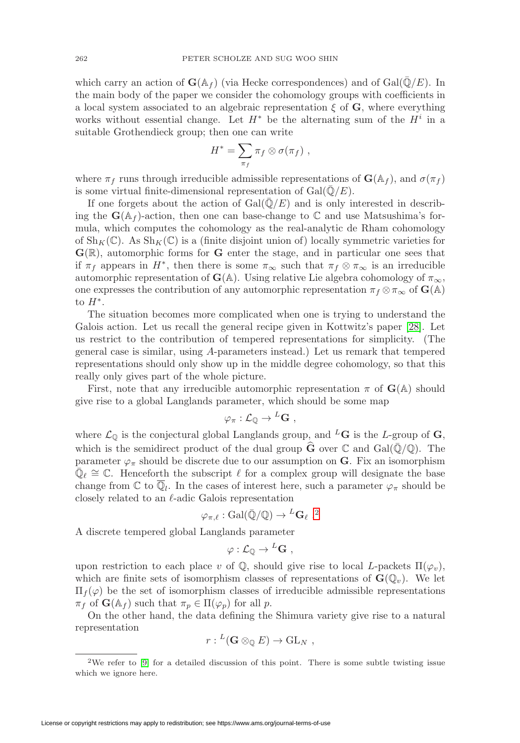which carry an action of  $\mathbf{G}(\mathbb{A}_f)$  (via Hecke correspondences) and of  $Gal(\mathbb{Q}/E)$ . In the main body of the paper we consider the cohomology groups with coefficients in a local system associated to an algebraic representation  $\xi$  of  $\mathbf{G}$ , where everything works without essential change. Let  $H^*$  be the alternating sum of the  $H^i$  in a suitable Grothendieck group; then one can write

$$
H^* = \sum_{\pi_f} \pi_f \otimes \sigma(\pi_f) ,
$$

where  $\pi_f$  runs through irreducible admissible representations of  $\mathbf{G}(\mathbb{A}_f)$ , and  $\sigma(\pi_f)$ is some virtual finite-dimensional representation of  $Gal(\mathbb{Q}/E)$ .

If one forgets about the action of  $Gal(\bar{\mathbb{Q}}/E)$  and is only interested in describing the  $\mathbf{G}(\mathbb{A}_f)$ -action, then one can base-change to  $\mathbb C$  and use Matsushima's formula, which computes the cohomology as the real-analytic de Rham cohomology of  $\text{Sh}_K(\mathbb{C})$ . As  $\text{Sh}_K(\mathbb{C})$  is a (finite disjoint union of) locally symmetric varieties for **G**(R), automorphic forms for **G** enter the stage, and in particular one sees that if  $\pi_f$  appears in  $H^*$ , then there is some  $\pi_\infty$  such that  $\pi_f \otimes \pi_\infty$  is an irreducible automorphic representation of **G**( $\mathbb{A}$ ). Using relative Lie algebra cohomology of  $\pi_{\infty}$ , one expresses the contribution of any automorphic representation  $\pi_f \otimes \pi_\infty$  of **G**(A) to  $H^*$ .

The situation becomes more complicated when one is trying to understand the Galois action. Let us recall the general recipe given in Kottwitz's paper [\[28\]](#page-32-1). Let us restrict to the contribution of tempered representations for simplicity. (The general case is similar, using A-parameters instead.) Let us remark that tempered representations should only show up in the middle degree cohomology, so that this really only gives part of the whole picture.

First, note that any irreducible automorphic representation  $\pi$  of  $\mathbf{G}(\mathbb{A})$  should give rise to a global Langlands parameter, which should be some map

$$
\varphi_{\pi} : \mathcal{L}_{\mathbb{Q}} \to {}^{L}\mathbf{G} \ ,
$$

where  $\mathcal{L}_{\mathbb{Q}}$  is the conjectural global Langlands group, and <sup>L</sup>G is the L-group of G, which is the semidirect product of the dual group  $\hat{G}$  over  $\mathbb C$  and  $Gal(\bar{Q}/\mathbb Q)$ . The parameter  $\varphi_{\pi}$  should be discrete due to our assumption on **G**. Fix an isomorphism  $\mathbb{Q}_{\ell} \cong \mathbb{C}$ . Henceforth the subscript  $\ell$  for a complex group will designate the base change from  $\mathbb C$  to  $\overline{\mathbb Q}_l$ . In the cases of interest here, such a parameter  $\varphi_\pi$  should be closely related to an  $\ell$ -adic Galois representation

$$
\varphi_{\pi,\ell} : \text{Gal}(\bar{\mathbb{Q}}/\mathbb{Q}) \to {}^L\mathbf{G}_{\ell}.
$$
<sup>2</sup>

A discrete tempered global Langlands parameter

$$
\varphi: \mathcal{L}_{\mathbb{Q}} \to {}^L\mathbf{G} \ ,
$$

upon restriction to each place v of  $\mathbb{Q}$ , should give rise to local L-packets  $\Pi(\varphi_v)$ , which are finite sets of isomorphism classes of representations of  $\mathbf{G}(\mathbb{Q}_v)$ . We let  $\Pi_f(\varphi)$  be the set of isomorphism classes of irreducible admissible representations  $\pi_f$  of  $\mathbf{G}(\mathbb{A}_f)$  such that  $\pi_p \in \Pi(\varphi_p)$  for all p.

On the other hand, the data defining the Shimura variety give rise to a natural representation

$$
r: {}^L(\mathbf{G} \otimes_{\mathbb{Q}} E) \to \mathrm{GL}_N ,
$$

<span id="page-1-0"></span><sup>&</sup>lt;sup>2</sup>We refer to  $[9]$  for a detailed discussion of this point. There is some subtle twisting issue which we ignore here.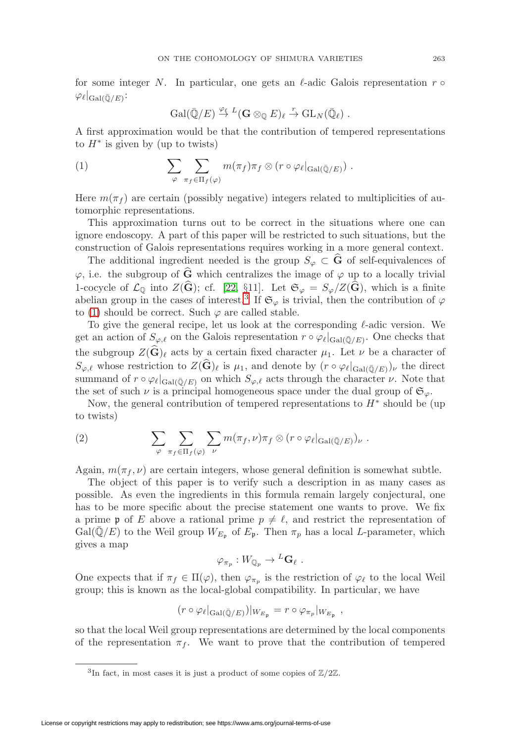for some integer N. In particular, one gets an  $\ell$ -adic Galois representation r  $\circ$  $\varphi_{\ell}|_{\mathrm{Gal}(\bar{\mathbb{Q}}/E)}$ :

$$
\mathrm{Gal}(\bar{\mathbb{Q}}/E) \stackrel{\varphi_{\ell}}{\to} {}^L(\mathbf{G} \otimes_{\mathbb{Q}} E)_{\ell} \stackrel{r}{\to} \mathrm{GL}_N(\bar{\mathbb{Q}}_{\ell}) .
$$

A first approximation would be that the contribution of tempered representations to  $H^*$  is given by (up to twists)

<span id="page-2-1"></span>(1) 
$$
\sum_{\varphi} \sum_{\pi_f \in \Pi_f(\varphi)} m(\pi_f) \pi_f \otimes (r \circ \varphi_{\ell}|_{\text{Gal}(\bar{\mathbb{Q}}/E)}).
$$

Here  $m(\pi_f)$  are certain (possibly negative) integers related to multiplicities of automorphic representations.

This approximation turns out to be correct in the situations where one can ignore endoscopy. A part of this paper will be restricted to such situations, but the construction of Galois representations requires working in a more general context.

The additional ingredient needed is the group  $S_{\varphi} \subset \mathbf{G}$  of self-equivalences of  $\varphi$ , i.e. the subgroup of  $\widehat{G}$  which centralizes the image of  $\varphi$  up to a locally trivial 1-cocycle of  $\mathcal{L}_{\mathbb{Q}}$  into  $Z(\widehat{\mathbf{G}})$ ; cf. [\[22,](#page-32-2) §11]. Let  $\mathfrak{S}_{\varphi} = S_{\varphi}/Z(\widehat{\mathbf{G}})$ , which is a finite abelian group in the cases of interest.<sup>[3](#page-2-0)</sup> If  $\mathfrak{S}_{\varphi}$  is trivial, then the contribution of  $\varphi$ to [\(1\)](#page-2-1) should be correct. Such  $\varphi$  are called stable.

To give the general recipe, let us look at the corresponding  $\ell$ -adic version. We get an action of  $S_{\varphi,\ell}$  on the Galois representation  $r \circ \varphi_{\ell}|_{Gal(\bar{\mathbb{Q}}/E)}$ . One checks that the subgroup  $Z(\mathbf{G})_\ell$  acts by a certain fixed character  $\mu_1$ . Let  $\nu$  be a character of  $S_{\varphi,\ell}$  whose restriction to  $Z(\widehat{\mathbf{G}})_{\ell}$  is  $\mu_1$ , and denote by  $(r \circ \varphi_{\ell}|_{Gal(\bar{\mathbb{Q}}/E)})_{\nu}$  the direct summand of  $r \circ \varphi_{\ell}|_{Gal(\bar{\mathbb{Q}}/E)}$  on which  $S_{\varphi,\ell}$  acts through the character  $\nu$ . Note that the set of such  $\nu$  is a principal homogeneous space under the dual group of  $\mathfrak{S}_{\varphi}$ .

Now, the general contribution of tempered representations to  $H^*$  should be (up to twists)

(2) 
$$
\sum_{\varphi} \sum_{\pi_f \in \Pi_f(\varphi)} \sum_{\nu} m(\pi_f, \nu) \pi_f \otimes (r \circ \varphi_{\ell}|_{\text{Gal}(\bar{\mathbb{Q}}/E)})_{\nu}.
$$

Again,  $m(\pi_f, \nu)$  are certain integers, whose general definition is somewhat subtle.

The object of this paper is to verify such a description in as many cases as possible. As even the ingredients in this formula remain largely conjectural, one has to be more specific about the precise statement one wants to prove. We fix a prime p of E above a rational prime  $p \neq \ell$ , and restrict the representation of  $Gal(\mathbb{Q}/E)$  to the Weil group  $W_{E_{\mathfrak{p}}}$  of  $E_{\mathfrak{p}}$ . Then  $\pi_p$  has a local *L*-parameter, which gives a map

$$
\varphi_{\pi_p}: W_{\mathbb{Q}_p} \to {}^L\mathbf{G}_{\ell} .
$$

One expects that if  $\pi_f \in \Pi(\varphi)$ , then  $\varphi_{\pi_p}$  is the restriction of  $\varphi_{\ell}$  to the local Weil group; this is known as the local-global compatibility. In particular, we have

$$
(r \circ \varphi_{\ell}|_{Gal(\bar{\mathbb{Q}}/E)})|_{W_{E_{\mathfrak{p}}}} = r \circ \varphi_{\pi_p}|_{W_{E_{\mathfrak{p}}}},
$$

so that the local Weil group representations are determined by the local components of the representation  $\pi_f$ . We want to prove that the contribution of tempered

<span id="page-2-0"></span><sup>&</sup>lt;sup>3</sup>In fact, in most cases it is just a product of some copies of  $\mathbb{Z}/2\mathbb{Z}$ .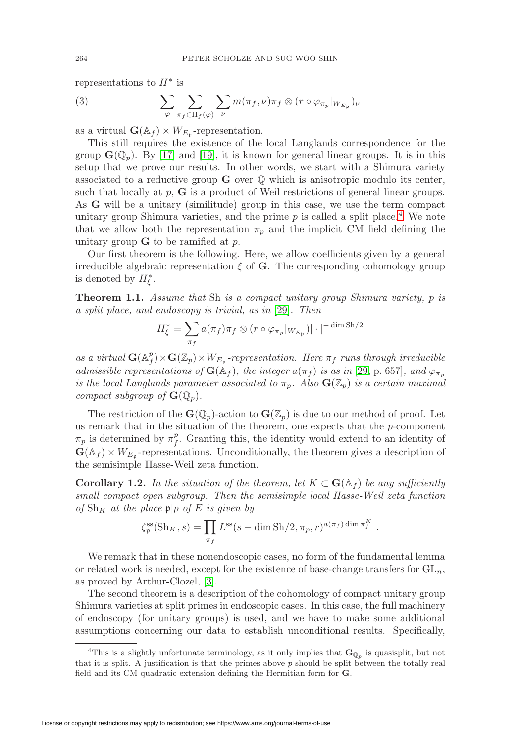representations to  $H^*$  is

(3) 
$$
\sum_{\varphi} \sum_{\pi_f \in \Pi_f(\varphi)} \sum_{\nu} m(\pi_f, \nu) \pi_f \otimes (r \circ \varphi_{\pi_p}|_{W_{E_{\mathfrak{p}}}})_{\nu}
$$

as a virtual  $\mathbf{G}(\mathbb{A}_f) \times W_{E_{\mathfrak{p}}}$ -representation.

This still requires the existence of the local Langlands correspondence for the group  $\mathbf{G}(\mathbb{Q}_p)$ . By [\[17\]](#page-32-3) and [\[19\]](#page-32-4), it is known for general linear groups. It is in this setup that we prove our results. In other words, we start with a Shimura variety associated to a reductive group  $\bf{G}$  over  $\mathbb Q$  which is anisotropic modulo its center, such that locally at  $p$ ,  $\bf{G}$  is a product of Weil restrictions of general linear groups. As **G** will be a unitary (similitude) group in this case, we use the term compact unitary group Shimura varieties, and the prime  $p$  is called a split place.<sup>[4](#page-3-0)</sup> We note that we allow both the representation  $\pi_p$  and the implicit CM field defining the unitary group  $\bf{G}$  to be ramified at  $p$ .

Our first theorem is the following. Here, we allow coefficients given by a general irreducible algebraic representation  $\xi$  of G. The corresponding cohomology group is denoted by  $H_{\xi}^*$ .

**Theorem 1.1.** Assume that Sh is a compact unitary group Shimura variety, p is a split place, and endoscopy is trivial, as in [\[29\]](#page-32-5). Then

$$
H_{\xi}^* = \sum_{\pi_f} a(\pi_f) \pi_f \otimes (r \circ \varphi_{\pi_p}|_{W_{E_{\mathfrak{p}}}})| \cdot |^{-\dim \operatorname{Sh}/2}
$$

as a virtual  $\mathbf{G}(\mathbb{A}_f^p) \times \mathbf{G}(\mathbb{Z}_p) \times W_{E_p}$ -representation. Here  $\pi_f$  runs through irreducible admissible representations of  $G(\mathbb{A}_f)$ , the integer  $a(\pi_f)$  is as in [\[29,](#page-32-5) p. 657], and  $\varphi_{\pi_n}$ is the local Langlands parameter associated to  $\pi_p$ . Also  $\mathbf{G}(\mathbb{Z}_p)$  is a certain maximal compact subgroup of  $\mathbf{G}(\mathbb{Q}_p)$ .

The restriction of the  $\mathbf{G}(\mathbb{Q}_p)$ -action to  $\mathbf{G}(\mathbb{Z}_p)$  is due to our method of proof. Let us remark that in the situation of the theorem, one expects that the  $p$ -component  $\pi_p$  is determined by  $\pi_f^p$ . Granting this, the identity would extend to an identity of  $\mathbf{G}(\mathbb{A}_f) \times W_{E_p}$ -representations. Unconditionally, the theorem gives a description of the semisimple Hasse-Weil zeta function.

**Corollary 1.2.** In the situation of the theorem, let  $K \subset \mathbf{G}(\mathbb{A}_f)$  be any sufficiently small compact open subgroup. Then the semisimple local Hasse-Weil zeta function of  $\text{Sh}_K$  at the place  $\mathfrak{p}|p$  of E is given by

$$
\zeta_{\mathfrak{p}}^{\text{ss}}(\text{Sh}_K, s) = \prod_{\pi_f} L^{\text{ss}}(s - \dim \text{Sh}/2, \pi_p, r)^{a(\pi_f) \dim \pi_f^K}.
$$

We remark that in these nonendoscopic cases, no form of the fundamental lemma or related work is needed, except for the existence of base-change transfers for  $GL_n$ , as proved by Arthur-Clozel, [\[3\]](#page-31-3).

The second theorem is a description of the cohomology of compact unitary group Shimura varieties at split primes in endoscopic cases. In this case, the full machinery of endoscopy (for unitary groups) is used, and we have to make some additional assumptions concerning our data to establish unconditional results. Specifically,

<span id="page-3-0"></span><sup>&</sup>lt;sup>4</sup>This is a slightly unfortunate terminology, as it only implies that  $\mathbf{G}_{\mathbb{Q}_p}$  is quasisplit, but not that it is split. A justification is that the primes above  $p$  should be split between the totally real field and its CM quadratic extension defining the Hermitian form for **G**.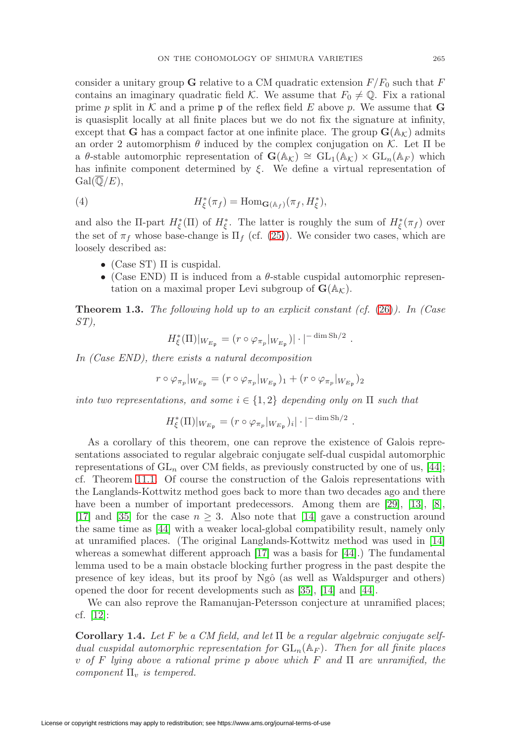consider a unitary group **G** relative to a CM quadratic extension  $F/F_0$  such that F contains an imaginary quadratic field K. We assume that  $F_0 \neq \mathbb{Q}$ . Fix a rational prime p split in K and a prime p of the reflex field E above p. We assume that **G** is quasisplit locally at all finite places but we do not fix the signature at infinity, except that **G** has a compact factor at one infinite place. The group  $\mathbf{G}(\mathbb{A}_{\mathcal{K}})$  admits an order 2 automorphism  $\theta$  induced by the complex conjugation on K. Let  $\Pi$  be a θ-stable automorphic representation of  $\mathbf{G}(\mathbb{A}_{\mathcal{K}}) \cong GL_1(\mathbb{A}_{\mathcal{K}}) \times GL_n(\mathbb{A}_F)$  which has infinite component determined by  $\xi$ . We define a virtual representation of  $Gal(\overline{\mathbb{Q}}/E),$ 

(4) 
$$
H_{\xi}^*(\pi_f) = \text{Hom}_{\mathbf{G}(\mathbb{A}_f)}(\pi_f, H_{\xi}^*),
$$

and also the  $\Pi$ -part  $H^*_{\xi}(\Pi)$  of  $H^*_{\xi}$ . The latter is roughly the sum of  $H^*_{\xi}(\pi_f)$  over the set of  $\pi_f$  whose base-change is  $\Pi_f$  (cf. [\(25\)](#page-27-0)). We consider two cases, which are loosely described as:

- (Case ST)  $\Pi$  is cuspidal.
- (Case END)  $\Pi$  is induced from a  $\theta$ -stable cuspidal automorphic representation on a maximal proper Levi subgroup of  $\mathbf{G}(\mathbb{A}_{\mathcal{K}})$ .

**Theorem 1.3.** The following hold up to an explicit constant  $(cf. (26))$  $(cf. (26))$  $(cf. (26))$ . In (Case ST),

$$
H_{\xi}^{*}(\Pi)|_{W_{E_{\mathfrak{p}}}} = (r \circ \varphi_{\pi_p}|_{W_{E_{\mathfrak{p}}}})| \cdot |^{-\dim \operatorname{Sh}/2}.
$$

In (Case END), there exists a natural decomposition

$$
r \circ \varphi_{\pi_p}|_{W_{E_{\mathfrak{p}}}} = (r \circ \varphi_{\pi_p}|_{W_{E_{\mathfrak{p}}}})_1 + (r \circ \varphi_{\pi_p}|_{W_{E_{\mathfrak{p}}}})_2
$$

into two representations, and some  $i \in \{1,2\}$  depending only on  $\Pi$  such that

$$
H_{\xi}^*(\Pi)|_{W_{E_{\mathfrak{p}}}} = (r \circ \varphi_{\pi_p}|_{W_{E_{\mathfrak{p}}}})_i |\cdot|^{-\dim \operatorname{Sh}/2}.
$$

As a corollary of this theorem, one can reprove the existence of Galois representations associated to regular algebraic conjugate self-dual cuspidal automorphic representations of  $GL_n$  over CM fields, as previously constructed by one of us, [\[44\]](#page-33-0); cf. Theorem [11.1.](#page-30-1) Of course the construction of the Galois representations with the Langlands-Kottwitz method goes back to more than two decades ago and there have been a number of important predecessors. Among them are [\[29\]](#page-32-5), [\[13\]](#page-32-6), [\[8\]](#page-31-4), [\[17\]](#page-32-3) and [\[35\]](#page-32-0) for the case  $n \geq 3$ . Also note that [\[14\]](#page-32-7) gave a construction around the same time as [\[44\]](#page-33-0) with a weaker local-global compatibility result, namely only at unramified places. (The original Langlands-Kottwitz method was used in [\[14\]](#page-32-7) whereas a somewhat different approach [\[17\]](#page-32-3) was a basis for [\[44\]](#page-33-0).) The fundamental lemma used to be a main obstacle blocking further progress in the past despite the presence of key ideas, but its proof by Ngô (as well as Waldspurger and others) opened the door for recent developments such as [\[35\]](#page-32-0), [\[14\]](#page-32-7) and [\[44\]](#page-33-0).

We can also reprove the Ramanujan-Petersson conjecture at unramified places; cf. [\[12\]](#page-32-8):

**Corollary 1.4.** Let F be a CM field, and let  $\Pi$  be a regular algebraic conjugate selfdual cuspidal automorphic representation for  $GL_n(\mathbb{A}_F)$ . Then for all finite places v of F lying above a rational prime p above which F and  $\Pi$  are unramified, the component  $\Pi_v$  is tempered.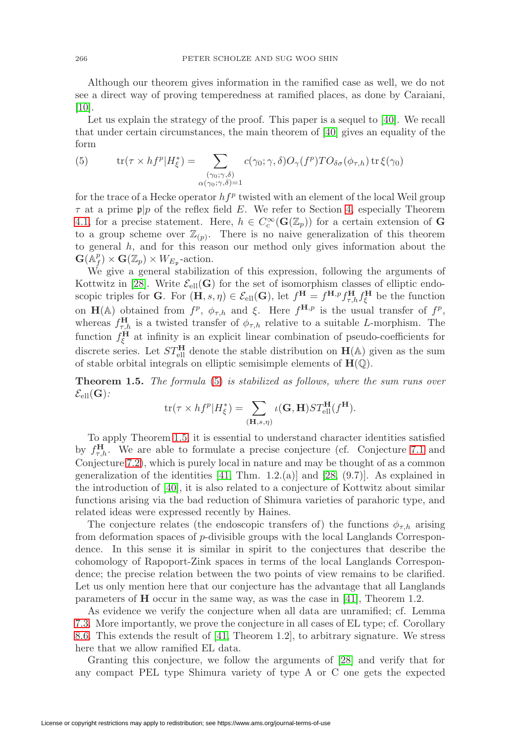Although our theorem gives information in the ramified case as well, we do not see a direct way of proving temperedness at ramified places, as done by Caraiani,  $[10]$ .

Let us explain the strategy of the proof. This paper is a sequel to [\[40\]](#page-33-1). We recall that under certain circumstances, the main theorem of [\[40\]](#page-33-1) gives an equality of the form

<span id="page-5-1"></span>(5) 
$$
\operatorname{tr}(\tau \times h f^p | H^*_{\xi}) = \sum_{\substack{(\gamma_0; \gamma, \delta) \\ \alpha(\gamma_0; \gamma, \delta) = 1}} c(\gamma_0; \gamma, \delta) O_{\gamma}(f^p) T O_{\delta \sigma}(\phi_{\tau, h}) \operatorname{tr} \xi(\gamma_0)
$$

for the trace of a Hecke operator  $hf^p$  twisted with an element of the local Weil group  $\tau$  at a prime  $\mathfrak{p}|p$  of the reflex field E. We refer to Section [4,](#page-10-0) especially Theorem [4.1,](#page-11-0) for a precise statement. Here,  $h \in C_c^{\infty}(\mathbf{G}(\mathbb{Z}_p))$  for a certain extension of **G** to a group scheme over  $\mathbb{Z}_{(p)}$ . There is no naive generalization of this theorem to general h, and for this reason our method only gives information about the  $\mathbf{G}(\mathbb{A}_f^p) \times \mathbf{G}(\mathbb{Z}_p) \times W_{E_{\mathfrak{p}}}$ -action.

We give a general stabilization of this expression, following the arguments of Kottwitz in [\[28\]](#page-32-1). Write  $\mathcal{E}_{ell}(\mathbf{G})$  for the set of isomorphism classes of elliptic endoscopic triples for **G**. For  $(\mathbf{H}, s, \eta) \in \mathcal{E}_{ell}(\mathbf{G})$ , let  $f^{\mathbf{H}} = f^{\mathbf{H},p} f_{\tau,h}^{\mathbf{H}} f_{\xi}^{\mathbf{H}}$  be the function on **H**(A) obtained from  $f^p$ ,  $\phi_{\tau,h}$  and  $\xi$ . Here  $f^{\mathbf{H},p}$  is the usual transfer of  $f^p$ , whereas  $f_{\tau,h}^{\mathbf{H}}$  is a twisted transfer of  $\phi_{\tau,h}$  relative to a suitable L-morphism. The function  $f_{\xi}^{\mathbf{H}}$  at infinity is an explicit linear combination of pseudo-coefficients for discrete series. Let  $ST_{\text{ell}}^{\text{H}}$  denote the stable distribution on  $H(A)$  given as the sum of stable orbital integrals on elliptic semisimple elements of  $H(\mathbb{Q})$ .

<span id="page-5-0"></span>**Theorem 1.5.** The formula [\(5\)](#page-5-1) is stabilized as follows, where the sum runs over  $\mathcal{E}_{\text{ell}}(\mathbf{G})$ :

$$
\text{tr}(\tau \times hf^p|H^*_{\xi}) = \sum_{(\mathbf{H},s,\eta)} \iota(\mathbf{G},\mathbf{H})ST^{\mathbf{H}}_{\text{ell}}(f^{\mathbf{H}}).
$$

To apply Theorem [1.5,](#page-5-0) it is essential to understand character identities satisfied by  $f_{\tau,h}^{\mathbf{H}}$ . We are able to formulate a precise conjecture (cf. Conjecture [7.1](#page-17-1) and Conjecture [7.2\)](#page-18-0), which is purely local in nature and may be thought of as a common generalization of the identities  $[41, Thm. 1.2. (a)]$  $[41, Thm. 1.2. (a)]$  and  $[28, (9.7)]$  $[28, (9.7)]$ . As explained in the introduction of [\[40\]](#page-33-1), it is also related to a conjecture of Kottwitz about similar functions arising via the bad reduction of Shimura varieties of parahoric type, and related ideas were expressed recently by Haines.

The conjecture relates (the endoscopic transfers of) the functions  $\phi_{\tau,h}$  arising from deformation spaces of p-divisible groups with the local Langlands Correspondence. In this sense it is similar in spirit to the conjectures that describe the cohomology of Rapoport-Zink spaces in terms of the local Langlands Correspondence; the precise relation between the two points of view remains to be clarified. Let us only mention here that our conjecture has the advantage that all Langlands parameters of **H** occur in the same way, as was the case in [\[41\]](#page-33-2), Theorem 1.2.

As evidence we verify the conjecture when all data are unramified; cf. Lemma [7.3.](#page-18-1) More importantly, we prove the conjecture in all cases of EL type; cf. Corollary [8.6.](#page-23-0) This extends the result of [\[41,](#page-33-2) Theorem 1.2], to arbitrary signature. We stress here that we allow ramified EL data.

Granting this conjecture, we follow the arguments of [\[28\]](#page-32-1) and verify that for any compact PEL type Shimura variety of type A or C one gets the expected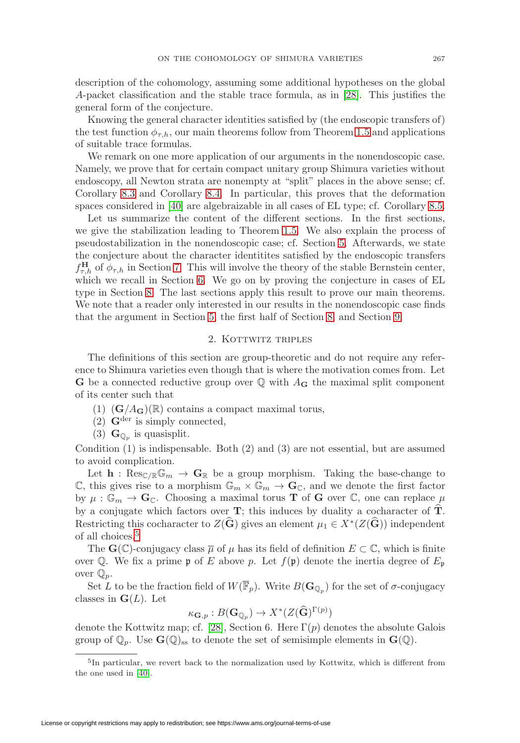description of the cohomology, assuming some additional hypotheses on the global A-packet classification and the stable trace formula, as in [\[28\]](#page-32-1). This justifies the general form of the conjecture.

Knowing the general character identities satisfied by (the endoscopic transfers of) the test function  $\phi_{\tau,h}$ , our main theorems follow from Theorem [1.5](#page-5-0) and applications of suitable trace formulas.

We remark on one more application of our arguments in the nonendoscopic case. Namely, we prove that for certain compact unitary group Shimura varieties without endoscopy, all Newton strata are nonempty at "split" places in the above sense; cf. Corollary [8.3](#page-22-0) and Corollary [8.4.](#page-22-1) In particular, this proves that the deformation spaces considered in [\[40\]](#page-33-1) are algebraizable in all cases of EL type; cf. Corollary [8.5.](#page-23-1)

Let us summarize the content of the different sections. In the first sections, we give the stabilization leading to Theorem [1.5.](#page-5-0) We also explain the process of pseudostabilization in the nonendoscopic case; cf. Section [5.](#page-12-0) Afterwards, we state the conjecture about the character identitites satisfied by the endoscopic transfers  $f_{\tau,h}^{\mathbf{H}}$  of  $\phi_{\tau,h}$  in Section [7.](#page-17-0) This will involve the theory of the stable Bernstein center, which we recall in Section [6.](#page-15-0) We go on by proving the conjecture in cases of EL type in Section [8.](#page-20-0) The last sections apply this result to prove our main theorems. We note that a reader only interested in our results in the nonendoscopic case finds that the argument in Section [5,](#page-12-0) the first half of Section [8,](#page-20-0) and Section [9.](#page-25-0)

#### 2. KOTTWITZ TRIPLES

<span id="page-6-0"></span>The definitions of this section are group-theoretic and do not require any reference to Shimura varieties even though that is where the motivation comes from. Let **G** be a connected reductive group over  $\mathbb Q$  with  $A_{\mathbf G}$  the maximal split component of its center such that

- $(1)$   $(\mathbf{G}/A_{\mathbf{G}})(\mathbb{R})$  contains a compact maximal torus,
- $(2)$  **G**<sup>der</sup> is simply connected,
- (3)  $\mathbf{G}_{\mathbb{O}_p}$  is quasisplit.

Condition (1) is indispensable. Both (2) and (3) are not essential, but are assumed to avoid complication.

Let  $h : \text{Res}_{\mathbb{C}/\mathbb{R}}\mathbb{G}_m \to \mathbb{G}_{\mathbb{R}}$  be a group morphism. Taking the base-change to C, this gives rise to a morphism  $\mathbb{G}_m \times \mathbb{G}_m \to \mathbf{G}_{\mathbb{C}}$ , and we denote the first factor by  $\mu : \mathbb{G}_m \to \mathbf{G}_{\mathbb{C}}$ . Choosing a maximal torus **T** of **G** over  $\mathbb{C}$ , one can replace  $\mu$ by a conjugate which factors over **T**; this induces by duality a cocharacter of **T**. Restricting this cocharacter to  $Z(\widehat{G})$  gives an element  $\mu_1 \in X^*(Z(\widehat{G}))$  independent of all choices.<sup>[5](#page-6-1)</sup>

The  $\mathbf{G}(\mathbb{C})$ -conjugacy class  $\overline{\mu}$  of  $\mu$  has its field of definition  $E \subset \mathbb{C}$ , which is finite over Q. We fix a prime p of E above p. Let  $f(\mathfrak{p})$  denote the inertia degree of  $E_{\mathfrak{p}}$ over  $\mathbb{Q}_p$ .

Set L to be the fraction field of  $W(\overline{\mathbb{F}}_p)$ . Write  $B(\mathbf{G}_{\mathbb{Q}_p})$  for the set of  $\sigma$ -conjugacy classes in  $\mathbf{G}(L)$ . Let

 $\kappa_{\mathbf{G},p}:B(\mathbf{G}_{\mathbb{Q}_p})\to X^*(Z(\widehat{\mathbf{G}})^{\Gamma(p)})$ 

denote the Kottwitz map; cf. [\[28\]](#page-32-1), Section 6. Here  $\Gamma(p)$  denotes the absolute Galois group of  $\mathbb{Q}_p$ . Use  $\mathbf{G}(\mathbb{Q})_{ss}$  to denote the set of semisimple elements in  $\mathbf{G}(\mathbb{Q})$ .

<span id="page-6-1"></span><sup>5</sup>In particular, we revert back to the normalization used by Kottwitz, which is different from the one used in [\[40\]](#page-33-1).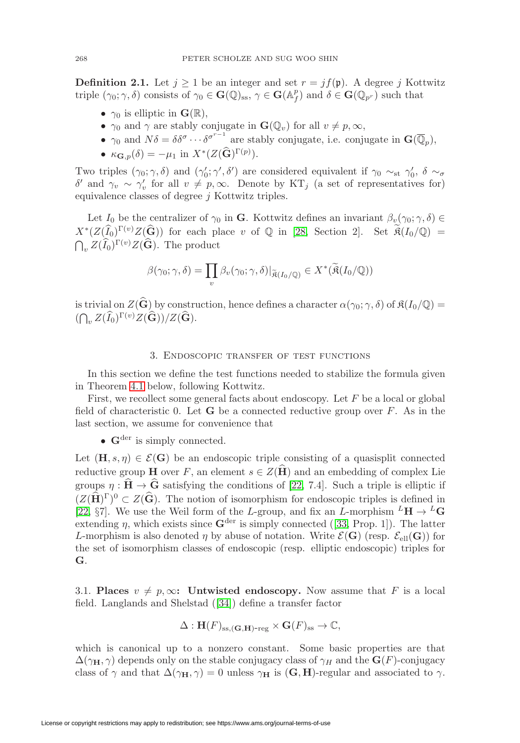**Definition 2.1.** Let  $j \geq 1$  be an integer and set  $r = j f(\mathfrak{p})$ . A degree j Kottwitz triple  $(\gamma_0; \gamma, \delta)$  consists of  $\gamma_0 \in \mathbf{G}(\mathbb{Q})_{ss}$ ,  $\gamma \in \mathbf{G}(\mathbb{A}_f^p)$  and  $\delta \in \mathbf{G}(\mathbb{Q}_{p^r})$  such that

- $\gamma_0$  is elliptic in  $\mathbf{G}(\mathbb{R}),$
- $\gamma_0$  and  $\gamma$  are stably conjugate in  $\mathbf{G}(\mathbb{Q}_v)$  for all  $v \neq p, \infty$ ,
- $\gamma_0$  and  $N\delta = \delta \delta^{\sigma} \cdots \delta^{\sigma^{r-1}}$  are stably conjugate, i.e. conjugate in  $\mathbf{G}(\overline{\mathbb{Q}}_p)$ ,
- $\kappa_{\mathbf{G},p}(\delta) = -\mu_1$  in  $X^*(Z(\widehat{\mathbf{G}})^{\Gamma(p)})$ .

Two triples  $(\gamma_0; \gamma, \delta)$  and  $(\gamma'_0; \gamma', \delta')$  are considered equivalent if  $\gamma_0 \sim_{st} \gamma'_0$ ,  $\delta \sim_{\sigma}$ δ' and γ<sub>v</sub> ∼ γ'<sub>v</sub> for all  $v \neq p, ∞$ . Denote by KT<sub>j</sub> (a set of representatives for) equivalence classes of degree j Kottwitz triples.

Let I<sub>0</sub> be the centralizer of  $\gamma_0$  in **G**. Kottwitz defines an invariant  $\beta_v(\gamma_0; \gamma, \delta) \in$  $X^*(Z(\widehat{I}_0)^{\Gamma(v)}Z(\widehat{G}))$  for each place v of Q in [\[28,](#page-32-1) Section 2]. Set  $\mathfrak{K}(I_0/\mathbb{Q}) =$  $\bigcap_{v} Z(\widehat{I}_0)^{\Gamma(v)}Z(\widehat{\mathbf{G}})$ . The product

$$
\beta(\gamma_0; \gamma, \delta) = \prod_v \beta_v(\gamma_0; \gamma, \delta)|_{\widetilde{\mathfrak{R}}(I_0/\mathbb{Q})} \in X^*(\widetilde{\mathfrak{R}}(I_0/\mathbb{Q}))
$$

is trivial on  $Z(\widehat{G})$  by construction, hence defines a character  $\alpha(\gamma_0;\gamma,\delta)$  of  $\mathfrak{K}(I_0/\mathbb{Q})=$  $((\bigcap_v Z(\widehat{I}_0)^{\Gamma(v)}Z(\widehat{\mathbf{G}}))/Z(\widehat{\mathbf{G}}).$ 

#### 3. Endoscopic transfer of test functions

<span id="page-7-0"></span>In this section we define the test functions needed to stabilize the formula given in Theorem [4.1](#page-11-0) below, following Kottwitz.

First, we recollect some general facts about endoscopy. Let  $F$  be a local or global field of characteristic 0. Let  $\bf{G}$  be a connected reductive group over  $\bf{F}$ . As in the last section, we assume for convenience that

•  $\mathbf{G}^{\text{der}}$  is simply connected.

Let  $(\mathbf{H}, s, \eta) \in \mathcal{E}(\mathbf{G})$  be an endoscopic triple consisting of a quasisplit connected reductive group **H** over F, an element  $s \in Z(\hat{H})$  and an embedding of complex Lie groups  $\eta : \widehat{H} \to \widehat{G}$  satisfying the conditions of [\[22,](#page-32-2) 7.4]. Such a triple is elliptic if  $(Z(\widehat{\mathbf{H}})^{\Gamma})^0 \subset Z(\widehat{\mathbf{G}})$ . The notion of isomorphism for endoscopic triples is defined in [\[22,](#page-32-2) §7]. We use the Weil form of the L-group, and fix an L-morphism  ${}^L\mathbf{H} \to {}^L\mathbf{G}$ extending  $\eta$ , which exists since  $\mathbf{G}^{\text{der}}$  is simply connected ([\[33,](#page-32-10) Prop. 1]). The latter L-morphism is also denoted  $\eta$  by abuse of notation. Write  $\mathcal{E}(\mathbf{G})$  (resp.  $\mathcal{E}_{ell}(\mathbf{G})$ ) for the set of isomorphism classes of endoscopic (resp. elliptic endoscopic) triples for **G**.

3.1. **Places**  $v \neq p, \infty$ : **Untwisted endoscopy.** Now assume that F is a local field. Langlands and Shelstad ([\[34\]](#page-32-11)) define a transfer factor

$$
\Delta: \mathbf{H}(F)_{\mathrm{ss},(\mathbf{G},\mathbf{H})\text{-reg}} \times \mathbf{G}(F)_{\mathrm{ss}} \to \mathbb{C},
$$

which is canonical up to a nonzero constant. Some basic properties are that  $\Delta(\gamma_H, \gamma)$  depends only on the stable conjugacy class of  $\gamma_H$  and the **G**(F)-conjugacy class of  $\gamma$  and that  $\Delta(\gamma_H, \gamma) = 0$  unless  $\gamma_H$  is (**G**, **H**)-regular and associated to  $\gamma$ .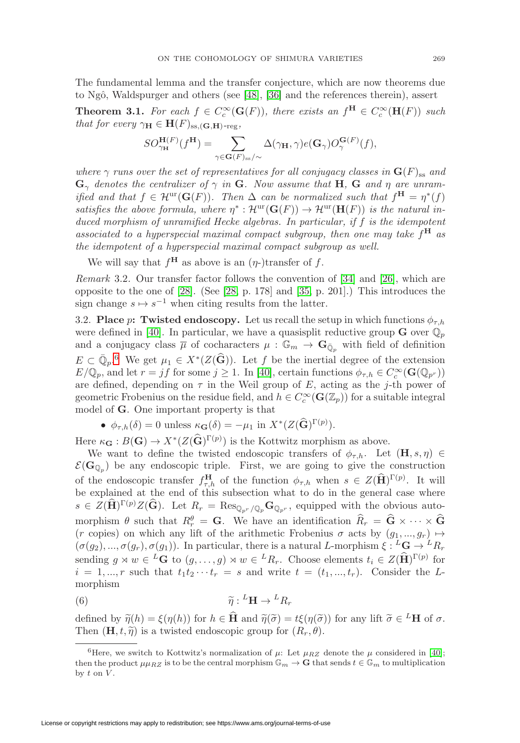The fundamental lemma and the transfer conjecture, which are now theorems due to Ngô, Waldspurger and others (see  $[48]$ ,  $[36]$  and the references therein), assert

<span id="page-8-1"></span>**Theorem 3.1.** For each  $f \in C_c^{\infty}(\mathbf{G}(F))$ , there exists an  $f^{\mathbf{H}} \in C_c^{\infty}(\mathbf{H}(F))$  such that for every  $\gamma_{\mathbf{H}} \in \mathbf{H}(F)_{ss,(\mathbf{G},\mathbf{H})\text{-reg}},$ 

$$
SO_{\gamma_{\mathbf{H}}}^{\mathbf{H}(F)}(f^{\mathbf{H}})=\sum_{\gamma \in \mathbf{G}(F)_{\mathrm{ss}}/\sim} \Delta(\gamma_{\mathbf{H}},\gamma) e(\mathbf{G}_{\gamma}) O_{\gamma}^{\mathbf{G}(F)}(f),
$$

where  $\gamma$  runs over the set of representatives for all conjugacy classes in  $\mathbf{G}(F)_{ss}$  and  $\mathbf{G}_{\gamma}$  denotes the centralizer of  $\gamma$  in **G**. Now assume that **H**, **G** and  $\eta$  are unramified and that  $f \in \mathcal{H}^{\text{ur}}(\mathbf{G}(F))$ . Then  $\Delta$  can be normalized such that  $f^{\mathbf{H}} = \eta^*(f)$ satisfies the above formula, where  $\eta^* : \mathcal{H}^{\text{ur}}(\mathbf{G}(F)) \to \mathcal{H}^{\text{ur}}(\mathbf{H}(F))$  is the natural induced morphism of unramified Hecke algebras. In particular, if f is the idempotent associated to a hyperspecial maximal compact subgroup, then one may take f**<sup>H</sup>** as the idempotent of a hyperspecial maximal compact subgroup as well.

We will say that  $f^{\mathbf{H}}$  as above is an  $(\eta$ -)transfer of f.

<span id="page-8-2"></span>Remark 3.2. Our transfer factor follows the convention of [\[34\]](#page-32-11) and [\[26\]](#page-32-12), which are opposite to the one of [\[28\]](#page-32-1). (See [\[28,](#page-32-1) p. 178] and [\[35,](#page-32-0) p. 201].) This introduces the sign change  $s \mapsto s^{-1}$  when citing results from the latter.

<span id="page-8-3"></span>3.2. **Place** p: Twisted endoscopy. Let us recall the setup in which functions  $\phi_{\tau,h}$ were defined in [\[40\]](#page-33-1). In particular, we have a quasisplit reductive group **G** over  $\mathbb{Q}_p$ and a conjugacy class  $\overline{\mu}$  of cocharacters  $\mu : \mathbb{G}_m \to \mathbf{G}_{\overline{\mathbb{Q}}_n}$  with field of definition  $E \subset \overline{\mathbb{Q}}_p$ <sup>[6](#page-8-0)</sup>. We get  $\mu_1 \in X^*(Z(\widehat{\mathbf{G}}))$ . Let f be the inertial degree of the extension  $E/\mathbb{Q}_p$ , and let  $r = jf$  for some  $j \ge 1$ . In [\[40\]](#page-33-1), certain functions  $\phi_{\tau,h} \in C_c^{\infty}(\mathbf{G}(\mathbb{Q}_{p^r}))$ are defined, depending on  $\tau$  in the Weil group of E, acting as the j-th power of geometric Frobenius on the residue field, and  $h \in C_c^{\infty}(\mathbf{G}(\mathbb{Z}_p))$  for a suitable integral model of **G**. One important property is that

•  $\phi_{\tau,h}(\delta) = 0$  unless  $\kappa_{\mathbf{G}}(\delta) = -\mu_1$  in  $X^*(Z(\widehat{\mathbf{G}})^{\Gamma(p)})$ .

Here  $\kappa_{\mathbf{G}} : B(\mathbf{G}) \to X^*(Z(\widehat{\mathbf{G}})^{\Gamma(p)})$  is the Kottwitz morphism as above.

We want to define the twisted endoscopic transfers of  $\phi_{\tau,h}$ . Let  $(\mathbf{H}, s, \eta) \in$  $\mathcal{E}(\mathbf{G}_{\mathbb{Q}_p})$  be any endoscopic triple. First, we are going to give the construction of the endoscopic transfer  $f_{\tau,h}^{\mathbf{H}}$  of the function  $\phi_{\tau,h}$  when  $s \in Z(\widehat{\mathbf{H}})^{\Gamma(p)}$ . It will be explained at the end of this subsection what to do in the general case where  $s \in Z(\widehat{\mathbf{H}})^{\Gamma(p)}Z(\widehat{\mathbf{G}})$ . Let  $R_r = \text{Res}_{\mathbb{Q}_{p^r}/\mathbb{Q}_p} \mathbf{G}_{\mathbb{Q}_{p^r}},$  equipped with the obvious automorphism  $\theta$  such that  $R_r^{\theta} = \mathbf{G}$ . We have an identification  $\hat{R}_r = \hat{\mathbf{G}} \times \cdots \times \hat{\mathbf{G}}$ (r copies) on which any lift of the arithmetic Frobenius  $\sigma$  acts by  $(g_1, ..., g_r) \mapsto$  $(\sigma(g_2), ..., \sigma(g_r), \sigma(g_1))$ . In particular, there is a natural L-morphism  $\xi : L\mathbf{G} \to L\mathbf{R}_r$ sending  $g \rtimes w \in {}^L\mathbf{G}$  to  $(g, \ldots, g) \rtimes w \in {}^L R_r$ . Choose elements  $t_i \in Z(\hat{\mathbf{H}})^{\Gamma(p)}$  for  $i = 1, ..., r$  such that  $t_1t_2 \cdots t_r = s$  and write  $t = (t_1, ..., t_r)$ . Consider the Lmorphism

<span id="page-8-4"></span>(6) 
$$
\widetilde{\eta}: {}^L \mathbf{H} \to {}^L R_r
$$

defined by  $\widetilde{\eta}(h) = \xi(\eta(h))$  for  $h \in \widehat{H}$  and  $\widetilde{\eta}(\widetilde{\sigma}) = t\xi(\eta(\widetilde{\sigma}))$  for any lift  $\widetilde{\sigma} \in {}^L\mathbf{H}$  of  $\sigma$ . Then  $(\mathbf{H}, t, \tilde{\eta})$  is a twisted endoscopic group for  $(R_r, \theta)$ .

<span id="page-8-0"></span><sup>&</sup>lt;sup>6</sup>Here, we switch to Kottwitz's normalization of  $\mu$ : Let  $\mu_{RZ}$  denote the  $\mu$  considered in [\[40\]](#page-33-1); then the product  $\mu\mu_{RZ}$  is to be the central morphism  $\mathbb{G}_m \to \mathbf{G}$  that sends  $t \in \mathbb{G}_m$  to multiplication by  $t$  on  $V$ .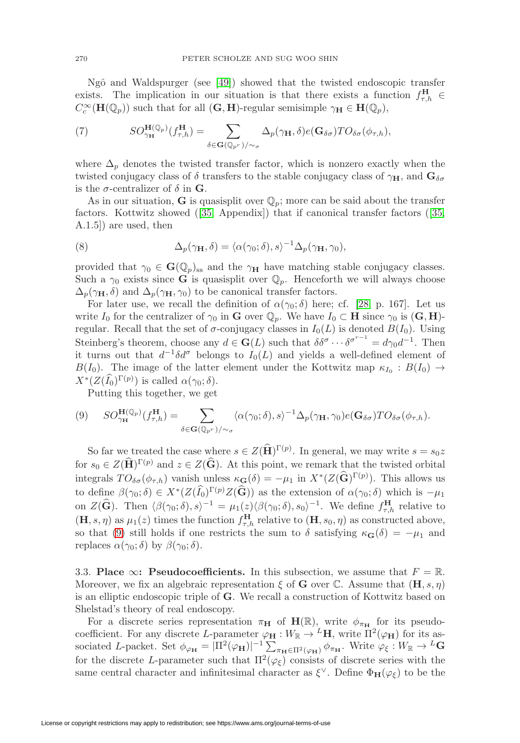Ngô and Waldspurger (see [\[49\]](#page-33-5)) showed that the twisted endoscopic transfer exists. The implication in our situation is that there exists a function  $f_{\tau,h}^{\mathbf{H}} \in$  $C_c^{\infty}(\mathbf{H}(\mathbb{Q}_p))$  such that for all  $(\mathbf{G}, \mathbf{H})$ -regular semisimple  $\gamma_{\mathbf{H}} \in \mathbf{H}(\mathbb{Q}_p)$ ,

(7) 
$$
SO_{\gamma_{\mathbf{H}}}^{\mathbf{H}(\mathbb{Q}_p)}(f_{\tau,h}^{\mathbf{H}})=\sum_{\delta\in\mathbf{G}(\mathbb{Q}_{p^r})/\sim_{\sigma}}\Delta_p(\gamma_{\mathbf{H}},\delta)e(\mathbf{G}_{\delta\sigma})TO_{\delta\sigma}(\phi_{\tau,h}),
$$

where  $\Delta_p$  denotes the twisted transfer factor, which is nonzero exactly when the twisted conjugacy class of  $\delta$  transfers to the stable conjugacy class of  $\gamma_H$ , and  $\mathbf{G}_{\delta\sigma}$ is the  $\sigma$ -centralizer of  $\delta$  in **G**.

As in our situation, **G** is quasisplit over  $\mathbb{Q}_p$ ; more can be said about the transfer factors. Kottwitz showed ([\[35,](#page-32-0) Appendix]) that if canonical transfer factors ([\[35,](#page-32-0) A.1.5]) are used, then

<span id="page-9-1"></span>(8) 
$$
\Delta_p(\gamma_{\mathbf{H}}, \delta) = \langle \alpha(\gamma_0; \delta), s \rangle^{-1} \Delta_p(\gamma_{\mathbf{H}}, \gamma_0),
$$

provided that  $\gamma_0 \in \mathbf{G}(\mathbb{Q}_p)_{ss}$  and the  $\gamma_\mathbf{H}$  have matching stable conjugacy classes. Such a  $\gamma_0$  exists since **G** is quasisplit over  $\mathbb{Q}_p$ . Henceforth we will always choose  $\Delta_p(\gamma_{\mathbf{H}}, \delta)$  and  $\Delta_p(\gamma_{\mathbf{H}}, \gamma_0)$  to be canonical transfer factors.

For later use, we recall the definition of  $\alpha(\gamma_0;\delta)$  here; cf. [\[28,](#page-32-1) p. 167]. Let us write  $I_0$  for the centralizer of  $\gamma_0$  in **G** over  $\mathbb{Q}_p$ . We have  $I_0 \subset \mathbf{H}$  since  $\gamma_0$  is  $(\mathbf{G}, \mathbf{H})$ regular. Recall that the set of  $\sigma$ -conjugacy classes in  $I_0(L)$  is denoted  $B(I_0)$ . Using Steinberg's theorem, choose any  $d \in \mathbf{G}(L)$  such that  $\delta \delta^{\sigma} \cdots \delta^{\sigma^{r-1}} = d \gamma_0 d^{-1}$ . Then it turns out that  $d^{-1}\delta d^{\sigma}$  belongs to  $I_0(L)$  and yields a well-defined element of  $B(I_0)$ . The image of the latter element under the Kottwitz map  $\kappa_{I_0} : B(I_0) \rightarrow$  $X^*(Z(\widehat{I_0})^{\Gamma(p)})$  is called  $\alpha(\gamma_0; \delta)$ .

Putting this together, we get

<span id="page-9-0"></span>
$$
(9) \quad SO_{\gamma_{\mathbf{H}}}^{\mathbf{H}(\mathbb{Q}_p)}(f_{\tau,h}^{\mathbf{H}}) = \sum_{\delta \in \mathbf{G}(\mathbb{Q}_{p^r})/\sim_{\sigma}} \langle \alpha(\gamma_0;\delta),s \rangle^{-1} \Delta_p(\gamma_{\mathbf{H}},\gamma_0) e(\mathbf{G}_{\delta\sigma}) T O_{\delta\sigma}(\phi_{\tau,h}).
$$

So far we treated the case where  $s \in Z(\widehat{H})^{\Gamma(p)}$ . In general, we may write  $s = s_0 z$ for  $s_0 \in Z(\widehat{\mathbf{H}})^{\Gamma(p)}$  and  $z \in Z(\widehat{\mathbf{G}})$ . At this point, we remark that the twisted orbital integrals  $TO_{\delta\sigma}(\phi_{\tau,h})$  vanish unless  $\kappa_{\mathbf{G}}(\delta) = -\mu_1$  in  $X^*(Z(\widehat{\mathbf{G}})^{\Gamma(p)})$ . This allows us to define  $\beta(\gamma_0;\delta) \in X^*(Z(\widehat{I}_0)^{\Gamma(p)}Z(\widehat{G}))$  as the extension of  $\alpha(\gamma_0;\delta)$  which is  $-\mu_1$ on  $Z(\widehat{\mathbf{G}})$ . Then  $\langle \beta(\gamma_0;\delta),s\rangle^{-1} = \mu_1(z)\langle \beta(\gamma_0;\delta),s_0\rangle^{-1}$ . We define  $f_{\tau,h}^{\mathbf{H}}$  relative to  $(\mathbf{H}, s, \eta)$  as  $\mu_1(z)$  times the function  $f_{\tau,h}^{\mathbf{H}}$  relative to  $(\mathbf{H}, s_0, \eta)$  as constructed above, so that [\(9\)](#page-9-0) still holds if one restricts the sum to  $\delta$  satisfying  $\kappa_{\mathbf{G}}(\delta) = -\mu_1$  and replaces  $\alpha(\gamma_0; \delta)$  by  $\beta(\gamma_0; \delta)$ .

3.3. **Place**  $\infty$ : **Pseudocoefficients.** In this subsection, we assume that  $F = \mathbb{R}$ . Moreover, we fix an algebraic representation  $\xi$  of **G** over  $\mathbb{C}$ . Assume that  $(\mathbf{H}, s, \eta)$ is an elliptic endoscopic triple of **G**. We recall a construction of Kottwitz based on Shelstad's theory of real endoscopy.

For a discrete series representation  $\pi_{\mathbf{H}}$  of  $\mathbf{H}(\mathbb{R})$ , write  $\phi_{\pi_{\mathbf{H}}}$  for its pseudocoefficient. For any discrete L-parameter  $\varphi_H : W_{\mathbb{R}} \to L^{\mathbb{R}}$ , write  $\Pi^2(\varphi_H)$  for its associated L-packet. Set  $\phi_{\varphi_{\mathbf{H}}} = |\Pi^2(\varphi_{\mathbf{H}})|^{-1} \sum_{\pi_{\mathbf{H}} \in \Pi^2(\varphi_{\mathbf{H}})} \phi_{\pi_{\mathbf{H}}}$ . Write  $\varphi_{\xi}: W_{\mathbb{R}} \to {}^L\mathbf{G}$ for the discrete L-parameter such that  $\Pi^2(\varphi_\xi)$  consists of discrete series with the same central character and infinitesimal character as  $\xi^{\vee}$ . Define  $\Phi_{\mathbf{H}}(\varphi_{\xi})$  to be the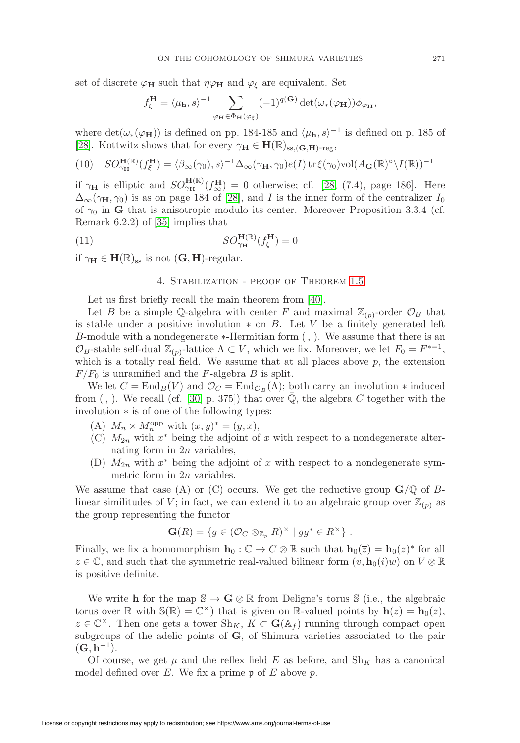set of discrete  $\varphi_H$  such that  $\eta \varphi_H$  and  $\varphi_{\xi}$  are equivalent. Set

$$
f_{\xi}^{\mathbf{H}}=\langle \mu_{\mathbf{h}},s\rangle^{-1}\sum_{\varphi_{\mathbf{H}}\in\Phi_{\mathbf{H}}(\varphi_{\xi})}(-1)^{q(\mathbf{G})}\det(\omega_{*}(\varphi_{\mathbf{H}}))\phi_{\varphi_{\mathbf{H}}},
$$

where  $\det(\omega_*(\varphi_{\mathbf{H}}))$  is defined on pp. 184-185 and  $\langle \mu_{\mathbf{h}}, s \rangle^{-1}$  is defined on p. 185 of [\[28\]](#page-32-1). Kottwitz shows that for every  $\gamma_{\mathbf{H}} \in \mathbf{H}(\mathbb{R})_{ss,(\mathbf{G},\mathbf{H})-\text{reg}},$ 

<span id="page-10-2"></span>(10) 
$$
SO_{\gamma_{\mathbf{H}}}^{\mathbf{H}(\mathbb{R})}(f_{\xi}^{\mathbf{H}}) = \langle \beta_{\infty}(\gamma_{0}), s \rangle^{-1} \Delta_{\infty}(\gamma_{\mathbf{H}}, \gamma_{0}) e(I) \operatorname{tr} \xi(\gamma_{0}) \operatorname{vol} (A_{\mathbf{G}}(\mathbb{R})^{\circ} \backslash I(\mathbb{R}))^{-1}
$$

if  $\gamma_H$  is elliptic and  $SO_{\gamma_H}^{H(\mathbb{R})}(f_{\infty}^H) = 0$  otherwise; cf. [\[28,](#page-32-1) (7.4), page 186]. Here  $\Delta_{\infty}(\gamma_{\mathbf{H}}, \gamma_{0})$  is as on page 184 of [\[28\]](#page-32-1), and *I* is the inner form of the centralizer  $I_0$ of  $\gamma_0$  in **G** that is anisotropic modulo its center. Moreover Proposition 3.3.4 (cf. Remark 6.2.2) of [\[35\]](#page-32-0) implies that

<span id="page-10-1"></span>(11) 
$$
SO_{\gamma_{\mathbf{H}}}^{\mathbf{H}(\mathbb{R})}(f_{\xi}^{\mathbf{H}})=0
$$

<span id="page-10-0"></span>if  $\gamma_{\mathbf{H}} \in \mathbf{H}(\mathbb{R})_{\text{ss}}$  is not  $(\mathbf{G}, \mathbf{H})$ -regular.

#### 4. Stabilization - proof of Theorem [1.5](#page-5-0)

Let us first briefly recall the main theorem from [\[40\]](#page-33-1).

Let B be a simple Q-algebra with center F and maximal  $\mathbb{Z}_{(p)}$ -order  $\mathcal{O}_B$  that is stable under a positive involution  $*$  on B. Let V be a finitely generated left B-module with a nondegenerate ∗-Hermitian form (, ). We assume that there is an  $\mathcal{O}_B$ -stable self-dual  $\mathbb{Z}_{(p)}$ -lattice  $\Lambda \subset V$ , which we fix. Moreover, we let  $F_0 = F^{*-1}$ , which is a totally real field. We assume that at all places above  $p$ , the extension  $F/F_0$  is unramified and the F-algebra B is split.

We let  $C = \text{End}_B(V)$  and  $\mathcal{O}_C = \text{End}_{\mathcal{O}_B}(\Lambda)$ ; both carry an involution  $*$  induced from  $($ ,  $)$ . We recall (cf. [\[30,](#page-32-13) p. 375]) that over  $\mathbb{Q}$ , the algebra C together with the involution ∗ is of one of the following types:

- (A)  $M_n \times M_n^{\text{opp}}$  with  $(x, y)^* = (y, x),$
- (C)  $M_{2n}$  with  $x^*$  being the adjoint of x with respect to a nondegenerate alternating form in  $2n$  variables,
- (D)  $M_{2n}$  with  $x^*$  being the adjoint of x with respect to a nondegenerate symmetric form in 2n variables.

We assume that case (A) or (C) occurs. We get the reductive group  $\mathbf{G}/\mathbb{Q}$  of Blinear similitudes of V; in fact, we can extend it to an algebraic group over  $\mathbb{Z}_{(p)}$  as the group representing the functor

$$
\mathbf{G}(R) = \{ g \in (\mathcal{O}_C \otimes_{\mathbb{Z}_p} R)^{\times} \mid gg^* \in R^{\times} \} .
$$

Finally, we fix a homomorphism  $\mathbf{h}_0 : \mathbb{C} \to C \otimes \mathbb{R}$  such that  $\mathbf{h}_0(\overline{z}) = \mathbf{h}_0(z)^*$  for all  $z \in \mathbb{C}$ , and such that the symmetric real-valued bilinear form  $(v, \mathbf{h}_0(i)w)$  on  $V \otimes \mathbb{R}$ is positive definite.

We write **h** for the map  $\mathbb{S} \to \mathbf{G} \otimes \mathbb{R}$  from Deligne's torus  $\mathbb{S}$  (i.e., the algebraic torus over  $\mathbb{R}$  with  $\mathbb{S}(\mathbb{R}) = \mathbb{C}^{\times}$  that is given on  $\mathbb{R}$ -valued points by  $h(z) = h_0(z)$ ,  $z \in \mathbb{C}^{\times}$ . Then one gets a tower  $\text{Sh}_K$ ,  $K \subset \mathbf{G}(\mathbb{A}_f)$  running through compact open subgroups of the adelic points of **G**, of Shimura varieties associated to the pair  $(G, h^{-1}).$ 

Of course, we get  $\mu$  and the reflex field E as before, and Sh<sub>K</sub> has a canonical model defined over  $E$ . We fix a prime  $\mathfrak p$  of  $E$  above  $p$ .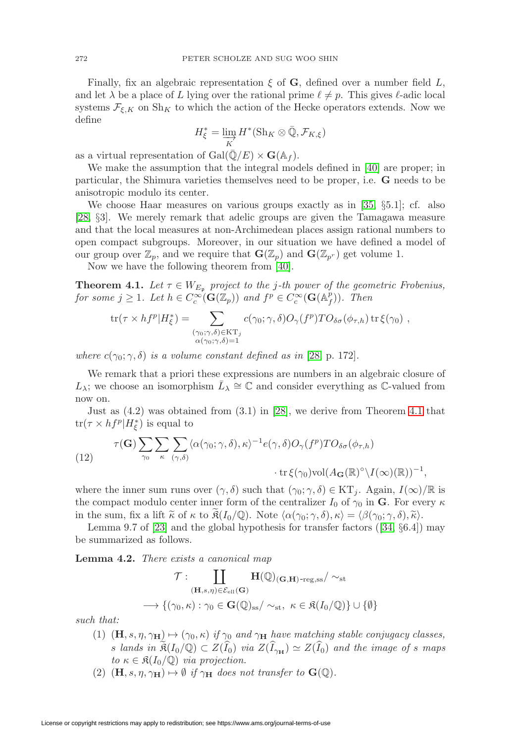Finally, fix an algebraic representation  $\xi$  of **G**, defined over a number field L, and let  $\lambda$  be a place of L lying over the rational prime  $\ell \neq p$ . This gives  $\ell$ -adic local systems  $\mathcal{F}_{\xi,K}$  on  $\text{Sh}_K$  to which the action of the Hecke operators extends. Now we define

$$
H_{\xi}^* = \varinjlim_{K} H^*(\mathrm{Sh}_K \otimes \bar{\mathbb{Q}}, \mathcal{F}_{K,\xi})
$$

as a virtual representation of  $Gal(\mathbb{Q}/E) \times \mathbf{G}(\mathbb{A}_f)$ .

We make the assumption that the integral models defined in [\[40\]](#page-33-1) are proper; in particular, the Shimura varieties themselves need to be proper, i.e. **G** needs to be anisotropic modulo its center.

We choose Haar measures on various groups exactly as in [\[35,](#page-32-0) §5.1]; cf. also [\[28,](#page-32-1) §3]. We merely remark that adelic groups are given the Tamagawa measure and that the local measures at non-Archimedean places assign rational numbers to open compact subgroups. Moreover, in our situation we have defined a model of our group over  $\mathbb{Z}_p$ , and we require that  $\mathbf{G}(\mathbb{Z}_p)$  and  $\mathbf{G}(\mathbb{Z}_{p^r})$  get volume 1.

Now we have the following theorem from [\[40\]](#page-33-1).

<span id="page-11-0"></span>**Theorem 4.1.** Let  $\tau \in W_{E_p}$  project to the j-th power of the geometric Frobenius, for some  $j \geq 1$ . Let  $h \in C_c^{\infty}(\mathbf{G}(\mathbb{Z}_p))$  and  $f^p \in C_c^{\infty}(\mathbf{G}(\mathbb{A}_f^p))$ . Then

$$
\text{tr}(\tau \times h f^p | H^*_{\xi}) = \sum_{\substack{(\gamma_0; \gamma, \delta) \in \text{KT}_j \\ \alpha(\gamma_0; \gamma, \delta) = 1}} c(\gamma_0; \gamma, \delta) O_{\gamma}(f^p) T O_{\delta \sigma}(\phi_{\tau, h}) \text{ tr } \xi(\gamma_0) ,
$$

where  $c(\gamma_0; \gamma, \delta)$  is a volume constant defined as in [\[28,](#page-32-1) p. 172].

We remark that a priori these expressions are numbers in an algebraic closure of L<sub>λ</sub>; we choose an isomorphism  $L_\lambda \cong \mathbb{C}$  and consider everything as C-valued from now on.

Just as (4.2) was obtained from (3.1) in [\[28\]](#page-32-1), we derive from Theorem [4.1](#page-11-0) that  $\text{tr}(\tau \times h f^p | H^*_{\xi})$  is equal to

<span id="page-11-2"></span>(12) 
$$
\tau(\mathbf{G}) \sum_{\gamma_0} \sum_{\kappa} \sum_{(\gamma,\delta)} \langle \alpha(\gamma_0;\gamma,\delta),\kappa \rangle^{-1} e(\gamma,\delta) O_{\gamma}(f^p) T O_{\delta\sigma}(\phi_{\tau,h})
$$

$$
\cdot \text{tr}\,\xi(\gamma_0) \text{vol}(A_{\mathbf{G}}(\mathbb{R})^{\circ} \setminus I(\infty)(\mathbb{R}))^{-1},
$$

where the inner sum runs over  $(\gamma, \delta)$  such that  $(\gamma_0; \gamma, \delta) \in KT_j$ . Again,  $I(\infty)/\mathbb{R}$  is the compact modulo center inner form of the centralizer  $I_0$  of  $\gamma_0$  in **G**. For every  $\kappa$ in the sum, fix a lift  $\widetilde{\kappa}$  of  $\kappa$  to  $\mathfrak{K}(I_0/\mathbb{Q})$ . Note  $\langle \alpha(\gamma_0;\gamma,\delta),\kappa \rangle = \langle \beta(\gamma_0;\gamma,\delta),\widetilde{\kappa} \rangle$ .

Lemma 9.7 of [\[23\]](#page-32-14) and the global hypothesis for transfer factors ([\[34,](#page-32-11) §6.4]) may be summarized as follows.

<span id="page-11-1"></span>**Lemma 4.2.** There exists a canonical map

$$
\mathcal{T}:\coprod_{(\mathbf{H},s,\eta)\in\mathcal{E}_{\mathrm{ell}}(\mathbf{G})}\mathbf{H}(\mathbb{Q})_{(\mathbf{G},\mathbf{H})\text{-reg},\mathrm{ss}}/\sim_{\mathrm{st}}\\ \longrightarrow\{(\gamma_0,\kappa):\gamma_0\in\mathbf{G}(\mathbb{Q})_{\mathrm{ss}}/\sim_{\mathrm{st}},\ \kappa\in\mathfrak{K}(I_0/\mathbb{Q})\}\cup\{\emptyset\}
$$

such that:

- (1)  $(\mathbf{H}, s, \eta, \gamma_{\mathbf{H}}) \mapsto (\gamma_0, \kappa)$  if  $\gamma_0$  and  $\gamma_{\mathbf{H}}$  have matching stable conjugacy classes, s lands in  $\mathfrak{K}(I_0/\mathbb{Q}) \subset Z(I_0)$  via  $Z(I_{\gamma_H}) \simeq Z(I_0)$  and the image of s maps to  $\kappa \in \mathfrak{K}(I_0/\mathbb{Q})$  via projection.
- (2)  $(\mathbf{H}, s, \eta, \gamma_{\mathbf{H}}) \mapsto \emptyset$  if  $\gamma_{\mathbf{H}}$  does not transfer to  $\mathbf{G}(\mathbb{Q})$ .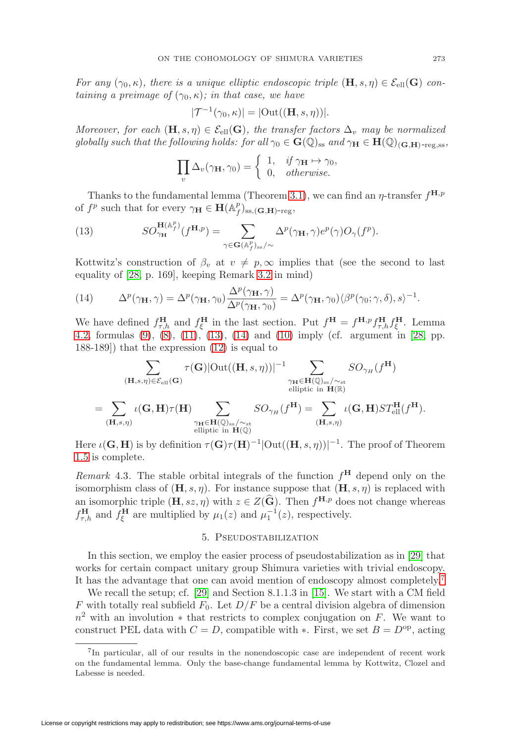For any  $(\gamma_0, \kappa)$ , there is a unique elliptic endoscopic triple  $(\mathbf{H}, s, \eta) \in \mathcal{E}_{ell}(\mathbf{G})$  containing a preimage of  $(\gamma_0, \kappa)$ ; in that case, we have

$$
|\mathcal{T}^{-1}(\gamma_0,\kappa)| = |\text{Out}((\mathbf{H},s,\eta))|.
$$

Moreover, for each  $(\mathbf{H}, s, \eta) \in \mathcal{E}_{ell}(\mathbf{G})$ , the transfer factors  $\Delta_v$  may be normalized globally such that the following holds: for all  $\gamma_0 \in \mathbf{G}(\mathbb{Q})_{ss}$  and  $\gamma_{\mathbf{H}} \in \mathbf{H}(\mathbb{Q})_{(\mathbf{G},\mathbf{H})\text{-reg},ss}$ ,

$$
\prod_{v} \Delta_v(\gamma_{\mathbf{H}}, \gamma_0) = \begin{cases} 1, & \text{if } \gamma_{\mathbf{H}} \mapsto \gamma_0, \\ 0, & \text{otherwise.} \end{cases}
$$

Thanks to the fundamental lemma (Theorem [3.1\)](#page-8-1), we can find an  $\eta$ -transfer  $f^{H,p}$ of  $f^p$  such that for every  $\gamma_H \in \mathbf{H}(\mathbb{A}_f^p)_{ss,(G,H)\text{-reg}}$ ,

<span id="page-12-1"></span>(13) 
$$
SO_{\gamma_{\mathbf{H}}}^{\mathbf{H}(\mathbb{A}_f^p)}(f^{\mathbf{H},p}) = \sum_{\gamma \in \mathbf{G}(\mathbb{A}_f^p)_{\text{ss}}/\sim} \Delta^p(\gamma_{\mathbf{H}}, \gamma) e^p(\gamma) O_{\gamma}(f^p).
$$

Kottwitz's construction of  $\beta_v$  at  $v \neq p$ ,  $\infty$  implies that (see the second to last equality of [\[28,](#page-32-1) p. 169], keeping Remark [3.2](#page-8-2) in mind)

<span id="page-12-2"></span>(14) 
$$
\Delta^p(\gamma_\mathbf{H}, \gamma) = \Delta^p(\gamma_\mathbf{H}, \gamma_0) \frac{\Delta^p(\gamma_\mathbf{H}, \gamma)}{\Delta^p(\gamma_\mathbf{H}, \gamma_0)} = \Delta^p(\gamma_\mathbf{H}, \gamma_0) \langle \beta^p(\gamma_0; \gamma, \delta), s \rangle^{-1}.
$$

We have defined  $f_{\tau,h}^{\mathbf{H}}$  and  $f_{\xi}^{\mathbf{H}}$  in the last section. Put  $f^{\mathbf{H}} = f^{\mathbf{H},p} f_{\tau,h}^{\mathbf{H}} f_{\xi}^{\mathbf{H}}$ . Lemma [4.2,](#page-11-1) formulas [\(9\)](#page-9-0), [\(8\)](#page-9-1), [\(11\)](#page-10-1), [\(13\)](#page-12-1), [\(14\)](#page-12-2) and [\(10\)](#page-10-2) imply (cf. argument in [\[28,](#page-32-1) pp. 188-189]) that the expression [\(12\)](#page-11-2) is equal to

$$
\sum_{\substack{(\mathbf{H},s,\eta)\in\mathcal{E}_{\mathrm{ell}}(\mathbf{G})}} \tau(\mathbf{G})|\mathrm{Out}((\mathbf{H},s,\eta))|^{-1} \sum_{\substack{\gamma_{\mathbf{H}}\in\mathbf{H}(\mathbb{Q})_{\mathrm{ss}}/\sim_{\mathrm{st}}\\ \text{elliptic in }\mathbf{H}(\mathbb{R})}} SO_{\gamma_H}(f^{\mathbf{H}})
$$
\n
$$
= \sum_{(\mathbf{H},s,\eta)} \iota(\mathbf{G},\mathbf{H})\tau(\mathbf{H}) \sum_{\substack{\gamma_{\mathbf{H}}\in\mathbf{H}(\mathbb{Q})_{\mathrm{ss}}/\sim_{\mathrm{st}}\\ \text{elliptic in }\mathbf{H}(\mathbb{Q})}} SO_{\gamma_H}(f^{\mathbf{H}}) = \sum_{(\mathbf{H},s,\eta)} \iota(\mathbf{G},\mathbf{H})ST_{\mathrm{ell}}^{\mathbf{H}}(f^{\mathbf{H}}).
$$

Here  $\iota(G, H)$  is by definition  $\tau(G)\tau(H)^{-1}|\text{Out}((H, s, \eta))|^{-1}$ . The proof of Theorem [1.5](#page-5-0) is complete.

<span id="page-12-4"></span>*Remark* 4.3. The stable orbital integrals of the function  $f^H$  depend only on the isomorphism class of  $(\mathbf{H}, s, \eta)$ . For instance suppose that  $(\mathbf{H}, s, \eta)$  is replaced with an isomorphic triple  $(\mathbf{H}, s\mathbf{z}, \eta)$  with  $\mathbf{z} \in Z(\widehat{\mathbf{G}})$ . Then  $f^{\mathbf{H},p}$  does not change whereas  $f_{\tau,h}^{\mathbf{H}}$  and  $f_{\xi}^{\mathbf{H}}$  are multiplied by  $\mu_1(z)$  and  $\mu_1^{-1}(z)$ , respectively.

### 5. Pseudostabilization

<span id="page-12-0"></span>In this section, we employ the easier process of pseudostabilization as in [\[29\]](#page-32-5) that works for certain compact unitary group Shimura varieties with trivial endoscopy. It has the advantage that one can avoid mention of endoscopy almost completely.[7](#page-12-3)

We recall the setup; cf. [\[29\]](#page-32-5) and Section 8.1.1.3 in [\[15\]](#page-32-15). We start with a CM field F with totally real subfield  $F_0$ . Let  $D/F$  be a central division algebra of dimension  $n^2$  with an involution  $*$  that restricts to complex conjugation on F. We want to construct PEL data with  $C = D$ , compatible with  $\ast$ . First, we set  $B = D^{\rm op}$ , acting

<span id="page-12-3"></span><sup>7</sup>In particular, all of our results in the nonendoscopic case are independent of recent work on the fundamental lemma. Only the base-change fundamental lemma by Kottwitz, Clozel and Labesse is needed.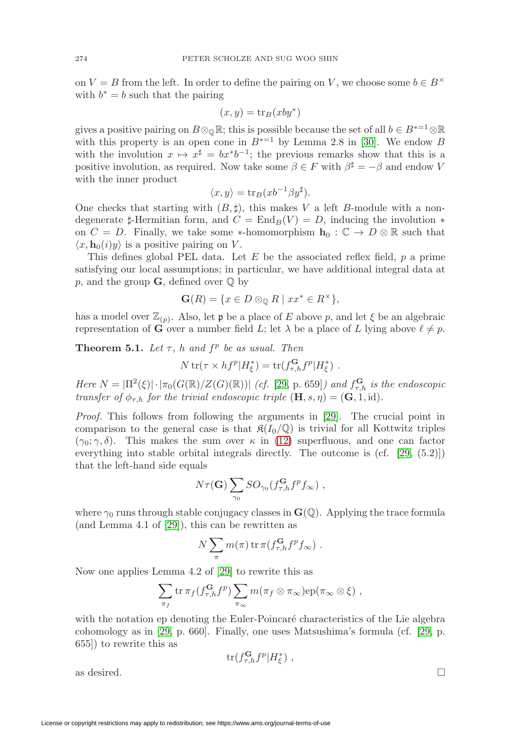on  $V = B$  from the left. In order to define the pairing on V, we choose some  $b \in B^{\times}$ with  $b^* = b$  such that the pairing

$$
(x, y) = \text{tr}_B(xy^*)
$$

gives a positive pairing on  $B \otimes_{\mathbb{Q}} \mathbb{R}$ ; this is possible because the set of all  $b \in B^{*=1} \otimes \mathbb{R}$ with this property is an open cone in  $B^{*}=1$  by Lemma 2.8 in [\[30\]](#page-32-13). We endow B with the involution  $x \mapsto x^{\sharp} = bx^*b^{-1}$ ; the previous remarks show that this is a positive involution, as required. Now take some  $\beta \in F$  with  $\beta^{\sharp} = -\beta$  and endow V with the inner product

$$
\langle x, y \rangle = \text{tr}_B(xb^{-1}\beta y^{\sharp}).
$$

One checks that starting with  $(B, \sharp)$ , this makes V a left B-module with a nondegenerate  $\sharp$ -Hermitian form, and  $C = \text{End}_B(V) = D$ , inducing the involution  $*$ on  $C = D$ . Finally, we take some \*-homomorphism  $\mathbf{h}_0 : \mathbb{C} \to D \otimes \mathbb{R}$  such that  $\langle x, \mathbf{h}_0(i)y \rangle$  is a positive pairing on V.

This defines global PEL data. Let E be the associated reflex field,  $p$  a prime satisfying our local assumptions; in particular, we have additional integral data at p, and the group  $\mathbf{G}$ , defined over  $\mathbb{Q}$  by

$$
\mathbf{G}(R) = \{ x \in D \otimes_{\mathbb{Q}} R \mid xx^* \in R^\times \},
$$

has a model over  $\mathbb{Z}_{(p)}$ . Also, let p be a place of E above p, and let  $\xi$  be an algebraic representation of **G** over a number field L; let  $\lambda$  be a place of L lying above  $\ell \neq p$ .

<span id="page-13-0"></span>**Theorem 5.1.** Let  $\tau$ , h and  $f^p$  be as usual. Then

$$
N \operatorname{tr}(\tau \times h f^p | H^*_{\xi}) = \operatorname{tr}(f_{\tau,h}^{\mathbf{G}} f^p | H^*_{\xi}) \ .
$$

Here  $N = |\Pi^2(\xi)| \cdot |\pi_0(G(\mathbb{R})/Z(G)(\mathbb{R}))|$  (cf. [\[29,](#page-32-5) p. 659]) and  $f_{\tau,h}^{\mathbf{G}}$  is the endoscopic transfer of  $\phi_{\tau,h}$  for the trivial endoscopic triple  $(\mathbf{H}, s, \eta) = (\mathbf{G}, 1, id)$ .

Proof. This follows from following the arguments in [\[29\]](#page-32-5). The crucial point in comparison to the general case is that  $\mathfrak{K}(I_0/\mathbb{Q})$  is trivial for all Kottwitz triples  $(\gamma_0; \gamma, \delta)$ . This makes the sum over  $\kappa$  in [\(12\)](#page-11-2) superfluous, and one can factor everything into stable orbital integrals directly. The outcome is (cf. [\[29,](#page-32-5) (5.2)]) that the left-hand side equals

$$
N\tau(\mathbf{G})\sum_{\gamma_0} SO_{\gamma_0}(f_{\tau,h}^{\mathbf{G}}f^p f_{\infty}),
$$

where  $\gamma_0$  runs through stable conjugacy classes in  $\mathbf{G}(\mathbb{Q})$ . Applying the trace formula (and Lemma 4.1 of [\[29\]](#page-32-5)), this can be rewritten as

$$
N\sum_{\pi}m(\pi)\operatorname{tr}\pi(f_{\tau,h}^{\mathbf{G}}f^{p}f_{\infty})\ .
$$

Now one applies Lemma 4.2 of [\[29\]](#page-32-5) to rewrite this as

$$
\sum_{\pi_f} \text{tr} \,\pi_f(f_{\tau,h}^{\mathbf{G}} f^p) \sum_{\pi_\infty} m(\pi_f \otimes \pi_\infty) \text{ep}(\pi_\infty \otimes \xi) ,
$$

with the notation ep denoting the Euler-Poincaré characteristics of the Lie algebra cohomology as in [\[29,](#page-32-5) p. 660]. Finally, one uses Matsushima's formula (cf. [\[29,](#page-32-5) p. 655]) to rewrite this as

$$
\operatorname{tr}(f_{\tau,h}^{\mathbf{G}}f^{p}|H_{\xi}^{*}) ,
$$

as desired.  $\Box$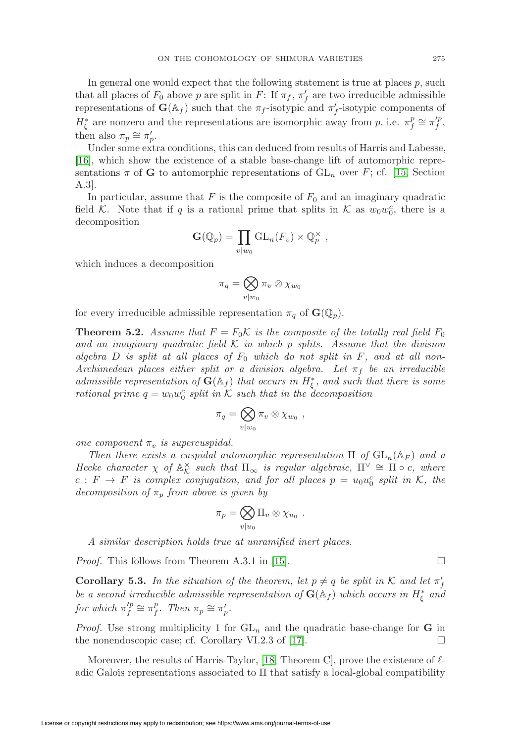In general one would expect that the following statement is true at places  $p$ , such that all places of  $F_0$  above p are split in F: If  $\pi_f$ ,  $\pi'_f$  are two irreducible admissible representations of  $\mathbf{G}(\mathbb{A}_f)$  such that the  $\pi_f$ -isotypic and  $\pi'_f$ -isotypic components of  $H_{\xi}^*$  are nonzero and the representations are isomorphic away from p, i.e.  $\pi_f^p \cong \pi_f'^p$ , then also  $\pi_p \cong \pi'_p$ .

Under some extra conditions, this can deduced from results of Harris and Labesse, [\[16\]](#page-32-16), which show the existence of a stable base-change lift of automorphic representations  $\pi$  of **G** to automorphic representations of  $GL_n$  over F; cf. [\[15,](#page-32-15) Section A.3].

In particular, assume that  $F$  is the composite of  $F_0$  and an imaginary quadratic field K. Note that if q is a rational prime that splits in K as  $w_0w_0^c$ , there is a decomposition

$$
\mathbf{G}(\mathbb{Q}_p) = \prod_{v \mid w_0} \mathrm{GL}_n(F_v) \times \mathbb{Q}_p^{\times} ,
$$

which induces a decomposition

$$
\pi_q = \bigotimes_{v \mid w_0} \pi_v \otimes \chi_{w_0}
$$

for every irreducible admissible representation  $\pi_q$  of  $\mathbf{G}(\mathbb{Q}_p)$ .

<span id="page-14-0"></span>**Theorem 5.2.** Assume that  $F = F_0 \mathcal{K}$  is the composite of the totally real field  $F_0$ and an imaginary quadratic field  $K$  in which p splits. Assume that the division algebra D is split at all places of  $F_0$  which do not split in F, and at all non-Archimedean places either split or a division algebra. Let  $\pi_f$  be an irreducible admissible representation of  $\mathbf{G}(\mathbb{A}_f)$  that occurs in  $H^*_\xi$ , and such that there is some rational prime  $q = w_0 w_0^c$  split in K such that in the decomposition

$$
\pi_q = \bigotimes_{v \mid w_0} \pi_v \otimes \chi_{w_0} ,
$$

one component  $\pi_v$  is supercuspidal.

Then there exists a cuspidal automorphic representation  $\Pi$  of  $GL_n(\mathbb{A}_F)$  and a Hecke character  $\chi$  of  $\mathbb{A}_{\mathcal{K}}^{\times}$  such that  $\Pi_{\infty}$  is regular algebraic,  $\Pi^{\vee} \cong \Pi \circ c$ , where  $c: F \to F$  is complex conjugation, and for all places  $p = u_0 u_0^c$  split in K, the decomposition of  $\pi_p$  from above is given by

$$
\pi_p = \bigotimes_{v|u_0} \Pi_v \otimes \chi_{u_0} .
$$

A similar description holds true at unramified inert places.

*Proof.* This follows from Theorem A.3.1 in [\[15\]](#page-32-15).  $\Box$ 

<span id="page-14-1"></span>**Corollary 5.3.** In the situation of the theorem, let  $p \neq q$  be split in K and let  $\pi'_f$ be a second irreducible admissible representation of  $\mathbf{G}(\mathbb{A}_f)$  which occurs in  $H_{\xi}^*$  and for which  $\pi_f^{'p} \cong \pi_f^p$ . Then  $\pi_p \cong \pi'_p$ .

*Proof.* Use strong multiplicity 1 for  $GL_n$  and the quadratic base-change for **G** in the nonendoscopic case; cf. Corollary VI.2.3 of  $|17|$ .

Moreover, the results of Harris-Taylor, [\[18,](#page-32-17) Theorem C], prove the existence of  $\ell$ adic Galois representations associated to  $\Pi$  that satisfy a local-global compatibility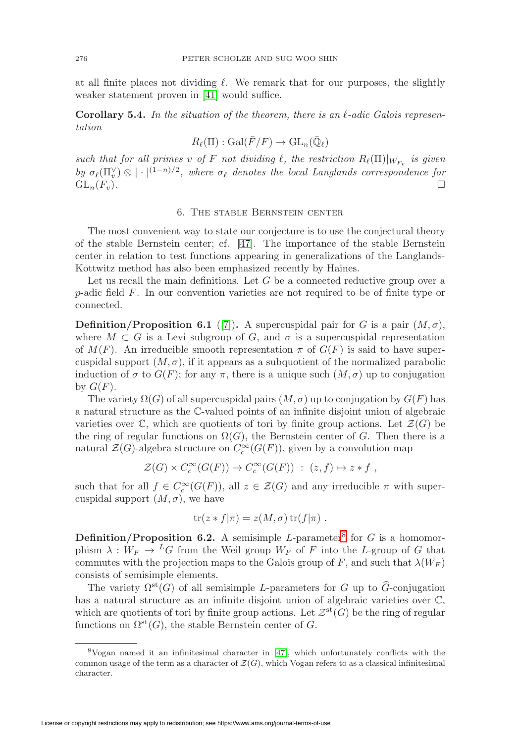at all finite places not dividing  $\ell$ . We remark that for our purposes, the slightly weaker statement proven in [\[41\]](#page-33-2) would suffice.

<span id="page-15-2"></span>**Corollary 5.4.** In the situation of the theorem, there is an  $l$ -adic Galois representation

$$
R_{\ell}(\Pi): \mathrm{Gal}(\bar{F}/F) \to \mathrm{GL}_n(\bar{\mathbb{Q}}_{\ell})
$$

such that for all primes v of F not dividing  $\ell$ , the restriction  $R_{\ell}(\Pi)|_{W_{F_{\nu}}}$  is given by  $\sigma_{\ell}(\Pi_v^{\vee}) \otimes |\cdot|^{(1-n)/2}$ , where  $\sigma_{\ell}$  denotes the local Langlands correspondence for  $\operatorname{GL}_n(F_v).$ 

#### 6. The stable Bernstein center

<span id="page-15-0"></span>The most convenient way to state our conjecture is to use the conjectural theory of the stable Bernstein center; cf. [\[47\]](#page-33-6). The importance of the stable Bernstein center in relation to test functions appearing in generalizations of the Langlands-Kottwitz method has also been emphasized recently by Haines.

Let us recall the main definitions. Let  $G$  be a connected reductive group over a p-adic field F. In our convention varieties are not required to be of finite type or connected.

**Definition/Proposition 6.1** ([\[7\]](#page-31-5)). A supercuspidal pair for G is a pair  $(M, \sigma)$ , where  $M \subset G$  is a Levi subgroup of G, and  $\sigma$  is a supercuspidal representation of  $M(F)$ . An irreducible smooth representation  $\pi$  of  $G(F)$  is said to have supercuspidal support  $(M, \sigma)$ , if it appears as a subquotient of the normalized parabolic induction of  $\sigma$  to  $G(F)$ ; for any  $\pi$ , there is a unique such  $(M, \sigma)$  up to conjugation by  $G(F)$ .

The variety  $\Omega(G)$  of all supercuspidal pairs  $(M, \sigma)$  up to conjugation by  $G(F)$  has a natural structure as the C-valued points of an infinite disjoint union of algebraic varieties over  $\mathbb C$ , which are quotients of tori by finite group actions. Let  $\mathcal Z(G)$  be the ring of regular functions on  $\Omega(G)$ , the Bernstein center of G. Then there is a natural  $\mathcal{Z}(G)$ -algebra structure on  $C_c^{\infty}(G(F))$ , given by a convolution map

$$
\mathcal{Z}(G) \times C_c^{\infty}(G(F)) \to C_c^{\infty}(G(F)) : (z, f) \mapsto z * f,
$$

such that for all  $f \in C_c^{\infty}(G(F))$ , all  $z \in \mathcal{Z}(G)$  and any irreducible  $\pi$  with supercuspidal support  $(M, \sigma)$ , we have

$$
\operatorname{tr}(z * f | \pi) = z(M, \sigma) \operatorname{tr}(f | \pi) .
$$

**Definition/Proposition 6.2.** A semisimple L-parameter<sup>[8](#page-15-1)</sup> for  $G$  is a homomorphism  $\lambda : W_F \to {}^L G$  from the Weil group  $W_F$  of F into the L-group of G that commutes with the projection maps to the Galois group of F, and such that  $\lambda(W_F)$ consists of semisimple elements.

The variety  $\Omega^{st}(G)$  of all semisimple L-parameters for G up to  $\widehat{G}$ -conjugation has a natural structure as an infinite disjoint union of algebraic varieties over  $\mathbb{C},$ which are quotients of tori by finite group actions. Let  $\mathcal{Z}^{st}(G)$  be the ring of regular functions on  $\Omega^{st}(G)$ , the stable Bernstein center of G.

<span id="page-15-1"></span><sup>8</sup>Vogan named it an infinitesimal character in [\[47\]](#page-33-6), which unfortunately conflicts with the common usage of the term as a character of  $\mathcal{Z}(G)$ , which Vogan refers to as a classical infinitesimal character.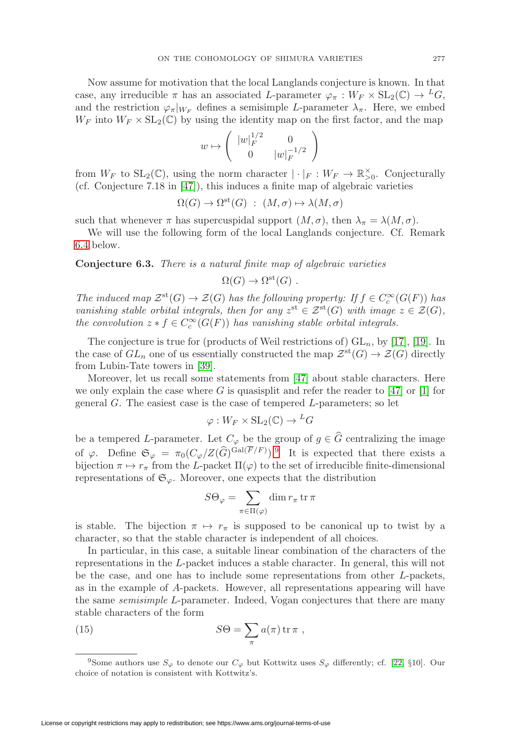Now assume for motivation that the local Langlands conjecture is known. In that case, any irreducible  $\pi$  has an associated L-parameter  $\varphi_{\pi}: W_F \times SL_2(\mathbb{C}) \to {}^L G$ , and the restriction  $\varphi_{\pi}|_{W_F}$  defines a semisimple L-parameter  $\lambda_{\pi}$ . Here, we embed  $W_F$  into  $W_F \times SL_2(\mathbb{C})$  by using the identity map on the first factor, and the map

$$
w\mapsto \left(\begin{array}{cc} |w|_F^{1/2} & 0 \\ 0 & |w|_F^{-1/2} \end{array}\right)
$$

from  $W_F$  to  $SL_2(\mathbb{C})$ , using the norm character  $|\cdot|_F: W_F \to \mathbb{R}^\times_{>0}$ . Conjecturally (cf. Conjecture 7.18 in  $[47]$ ), this induces a finite map of algebraic varieties

$$
\Omega(G) \to \Omega^{\text{st}}(G) : (M, \sigma) \mapsto \lambda(M, \sigma)
$$

such that whenever  $\pi$  has supercuspidal support  $(M, \sigma)$ , then  $\lambda_{\pi} = \lambda(M, \sigma)$ .

We will use the following form of the local Langlands conjecture. Cf. Remark [6.4](#page-17-2) below.

<span id="page-16-1"></span>**Conjecture 6.3.** There is a natural finite map of algebraic varieties

$$
\Omega(G) \to \Omega^{\rm st}(G) .
$$

The induced map  $\mathcal{Z}^{st}(G) \to \mathcal{Z}(G)$  has the following property: If  $f \in C_c^{\infty}(G(F))$  has vanishing stable orbital integrals, then for any  $z^{\text{st}} \in \mathcal{Z}^{\text{st}}(G)$  with image  $z \in \mathcal{Z}(G)$ , the convolution  $z * f \in C_c^{\infty}(G(F))$  has vanishing stable orbital integrals.

The conjecture is true for (products of Weil restrictions of)  $GL_n$ , by [\[17\]](#page-32-3), [\[19\]](#page-32-4). In the case of  $GL_n$  one of us essentially constructed the map  $\mathcal{Z}^{st}(G) \to \mathcal{Z}(G)$  directly from Lubin-Tate towers in [\[39\]](#page-33-7).

Moreover, let us recall some statements from [\[47\]](#page-33-6) about stable characters. Here we only explain the case where G is quasisplit and refer the reader to  $[47]$  or  $[1]$  for general  $G$ . The easiest case is the case of tempered  $L$ -parameters; so let

$$
\varphi: W_F \times SL_2(\mathbb{C}) \to {}^L G
$$

be a tempered L-parameter. Let  $C_{\varphi}$  be the group of  $g \in \widehat{G}$  centralizing the image of  $\varphi$ . Define  $\mathfrak{S}_{\varphi} = \pi_0(C_{\varphi}/Z(\widehat{G})^{\text{Gal}(F/F)})$ . It is expected that there exists a bijection  $\pi \mapsto r_{\pi}$  from the L-packet  $\Pi(\varphi)$  to the set of irreducible finite-dimensional representations of  $\mathfrak{S}_{\varphi}$ . Moreover, one expects that the distribution

$$
S\Theta_{\varphi} = \sum_{\pi \in \Pi(\varphi)} \dim r_{\pi} \operatorname{tr} \pi
$$

is stable. The bijection  $\pi \mapsto r_{\pi}$  is supposed to be canonical up to twist by a character, so that the stable character is independent of all choices.

In particular, in this case, a suitable linear combination of the characters of the representations in the L-packet induces a stable character. In general, this will not be the case, and one has to include some representations from other L-packets, as in the example of A-packets. However, all representations appearing will have the same semisimple L-parameter. Indeed, Vogan conjectures that there are many stable characters of the form

<span id="page-16-2"></span>(15) 
$$
S\Theta = \sum_{\pi} a(\pi) \operatorname{tr} \pi ,
$$

<span id="page-16-0"></span><sup>&</sup>lt;sup>9</sup>Some authors use  $S_{\varphi}$  to denote our  $C_{\varphi}$  but Kottwitz uses  $S_{\varphi}$  differently; cf. [\[22,](#page-32-2) §10]. Our choice of notation is consistent with Kottwitz's.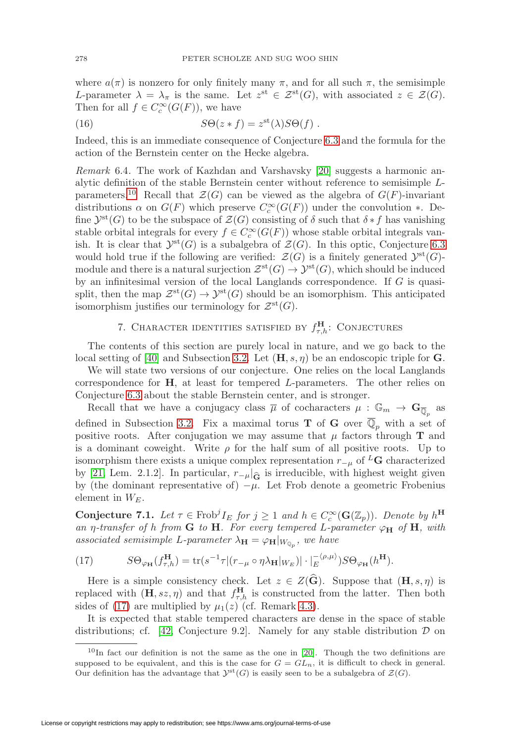where  $a(\pi)$  is nonzero for only finitely many  $\pi$ , and for all such  $\pi$ , the semisimple L-parameter  $\lambda = \lambda_{\pi}$  is the same. Let  $z^{st} \in \mathcal{Z}^{st}(G)$ , with associated  $z \in \mathcal{Z}(G)$ . Then for all  $f \in C_c^{\infty}(G(F))$ , we have

(16) 
$$
S\Theta(z*f) = z^{st}(\lambda)S\Theta(f) .
$$

Indeed, this is an immediate consequence of Conjecture [6.3](#page-16-1) and the formula for the action of the Bernstein center on the Hecke algebra.

<span id="page-17-2"></span>Remark 6.4. The work of Kazhdan and Varshavsky [\[20\]](#page-32-18) suggests a harmonic analytic definition of the stable Bernstein center without reference to semisimple L-parameters.<sup>[10](#page-17-3)</sup> Recall that  $\mathcal{Z}(G)$  can be viewed as the algebra of  $G(F)$ -invariant distributions  $\alpha$  on  $G(F)$  which preserve  $C_c^{\infty}(G(F))$  under the convolution  $*$ . Define  $\mathcal{Y}^{\text{st}}(G)$  to be the subspace of  $\mathcal{Z}(G)$  consisting of  $\delta$  such that  $\delta * f$  has vanishing stable orbital integrals for every  $f \in C_c^{\infty}(G(F))$  whose stable orbital integrals vanish. It is clear that  $\mathcal{Y}^{st}(G)$  is a subalgebra of  $\mathcal{Z}(G)$ . In this optic, Conjecture [6.3](#page-16-1) would hold true if the following are verified:  $\mathcal{Z}(G)$  is a finitely generated  $\mathcal{Y}^{\text{st}}(G)$ module and there is a natural surjection  $\mathcal{Z}^{st}(G) \to \mathcal{Y}^{st}(G)$ , which should be induced by an infinitesimal version of the local Langlands correspondence. If  $G$  is quasisplit, then the map  $\mathcal{Z}^{st}(G) \to \mathcal{Y}^{st}(G)$  should be an isomorphism. This anticipated isomorphism justifies our terminology for  $\mathcal{Z}^{\rm st}(G)$ .

# 7. CHARACTER IDENTITIES SATISFIED BY  $f_{\tau,h}^{\text{H}}$ : CONJECTURES

<span id="page-17-0"></span>The contents of this section are purely local in nature, and we go back to the local setting of [\[40\]](#page-33-1) and Subsection [3.2.](#page-8-3) Let  $(\mathbf{H}, s, \eta)$  be an endoscopic triple for **G**.

We will state two versions of our conjecture. One relies on the local Langlands correspondence for **H**, at least for tempered L-parameters. The other relies on Conjecture [6.3](#page-16-1) about the stable Bernstein center, and is stronger.

Recall that we have a conjugacy class  $\overline{\mu}$  of cocharacters  $\mu : \mathbb{G}_m \to \mathbf{G}_{\overline{\mathbb{Q}}_n}$  as defined in Subsection [3.2.](#page-8-3) Fix a maximal torus **T** of **G** over  $\mathbb{Q}_p$  with a set of positive roots. After conjugation we may assume that  $\mu$  factors through **T** and is a dominant coweight. Write  $\rho$  for the half sum of all positive roots. Up to isomorphism there exists a unique complex representation  $r_{-\mu}$  of <sup>L</sup>G characterized by [\[21,](#page-32-19) Lem. 2.1.2]. In particular,  $r_{-\mu}$  of  $\mu$  is irreducible, with highest weight given by (the dominant representative of)  $-\mu$ . Let Frob denote a geometric Frobenius element in  $W_F$ .

<span id="page-17-1"></span>**Conjecture 7.1.** Let  $\tau \in \text{Frob}^j I_E$  for  $j \geq 1$  and  $h \in C_c^{\infty}(\mathbf{G}(\mathbb{Z}_p))$ . Denote by  $h^{\mathbf{H}}$ an  $\eta$ -transfer of h from **G** to **H**. For every tempered L-parameter  $\varphi_H$  of **H**, with associated semisimple L-parameter  $\lambda_{\mathbf{H}} = \varphi_{\mathbf{H}}|_{W_{\mathbb{Q}_n}}$ , we have

<span id="page-17-4"></span>(17) 
$$
S\Theta_{\varphi_{\mathbf{H}}}(f_{\tau,h}^{\mathbf{H}}) = \text{tr}(s^{-1}\tau|(r_{-\mu} \circ \eta \lambda_{\mathbf{H}}|_{W_E})| \cdot |_{E}^{-\langle \rho,\mu \rangle})S\Theta_{\varphi_{\mathbf{H}}}(h^{\mathbf{H}}).
$$

Here is a simple consistency check. Let  $z \in Z(\widehat{G})$ . Suppose that  $(H, s, \eta)$  is replaced with  $(\mathbf{H}, s\mathbf{z}, \eta)$  and that  $f_{\tau,h}^{\mathbf{H}}$  is constructed from the latter. Then both sides of [\(17\)](#page-17-4) are multiplied by  $\mu_1(z)$  (cf. Remark [4.3\)](#page-12-4).

It is expected that stable tempered characters are dense in the space of stable distributions; cf. [\[42,](#page-33-8) Conjecture 9.2]. Namely for any stable distribution  $\mathcal D$  on

<span id="page-17-3"></span> $10$ In fact our definition is not the same as the one in [\[20\]](#page-32-18). Though the two definitions are supposed to be equivalent, and this is the case for  $G = GL_n$ , it is difficult to check in general. Our definition has the advantage that  $\mathcal{Y}^{\text{st}}(G)$  is easily seen to be a subalgebra of  $\mathcal{Z}(G)$ .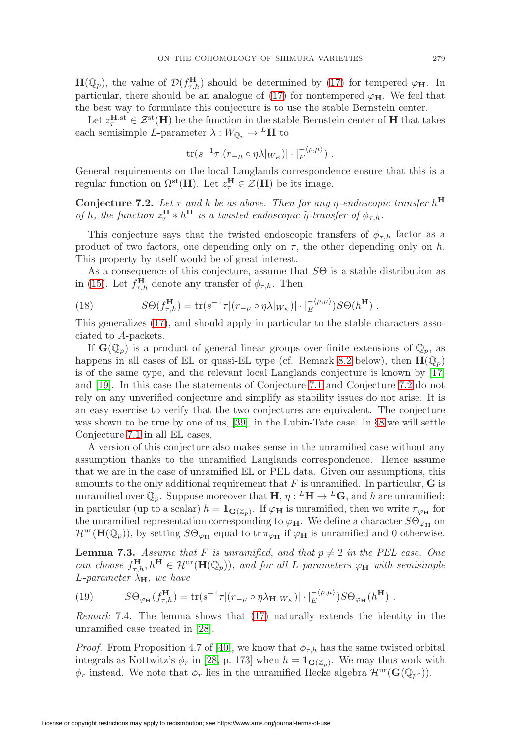**H**( $\mathbb{Q}_p$ ), the value of  $\mathcal{D}(f_{\tau,h}^{\mathbf{H}})$  should be determined by [\(17\)](#page-17-4) for tempered  $\varphi_{\mathbf{H}}$ . In particular, there should be an analogue of [\(17\)](#page-17-4) for nontempered  $\varphi_H$ . We feel that the best way to formulate this conjecture is to use the stable Bernstein center.

Let  $z_{\tau}^{\text{H},st} \in \mathcal{Z}^{st}(\text{H})$  be the function in the stable Bernstein center of **H** that takes each semisimple L-parameter  $\lambda : W_{\mathbb{Q}_p} \to {}^L\mathbf{H}$  to

$$
\mathrm{tr}(s^{-1}\tau|(r_{-\mu}\circ\eta\lambda|_{W_E})|\cdot|_E^{-\langle\rho,\mu\rangle})\ .
$$

General requirements on the local Langlands correspondence ensure that this is a regular function on  $\Omega^{\text{st}}(\mathbf{H})$ . Let  $z_{\tau}^{\mathbf{H}} \in \mathcal{Z}(\mathbf{H})$  be its image.

<span id="page-18-0"></span>**Conjecture 7.2.** Let  $\tau$  and  $h$  be as above. Then for any  $\eta$ -endoscopic transfer  $h^{\text{H}}$ of h, the function  $z_{\tau}^{\mathbf{H}} * h^{\mathbf{H}}$  is a twisted endoscopic  $\tilde{\eta}$ -transfer of  $\phi_{\tau,h}$ .

This conjecture says that the twisted endoscopic transfers of  $\phi_{\tau,h}$  factor as a product of two factors, one depending only on  $\tau$ , the other depending only on h. This property by itself would be of great interest.

As a consequence of this conjecture, assume that  $S\Theta$  is a stable distribution as in [\(15\)](#page-16-2). Let  $f_{\tau,h}^{\mathbf{H}}$  denote any transfer of  $\phi_{\tau,h}$ . Then

(18) 
$$
S\Theta(f_{\tau,h}^{\mathbf{H}}) = \text{tr}(s^{-1}\tau|(r_{-\mu} \circ \eta \lambda|_{W_E})| \cdot |_{E}^{-\langle \rho,\mu \rangle}) S\Theta(h^{\mathbf{H}}).
$$

This generalizes [\(17\)](#page-17-4), and should apply in particular to the stable characters associated to A-packets.

If  $\mathbf{G}(\mathbb{Q}_n)$  is a product of general linear groups over finite extensions of  $\mathbb{Q}_n$ , as happens in all cases of EL or quasi-EL type (cf. Remark [8.2](#page-20-1) below), then  $\mathbf{H}(\mathbb{Q}_p)$ is of the same type, and the relevant local Langlands conjecture is known by [\[17\]](#page-32-3) and [\[19\]](#page-32-4). In this case the statements of Conjecture [7.1](#page-17-1) and Conjecture [7.2](#page-18-0) do not rely on any unverified conjecture and simplify as stability issues do not arise. It is an easy exercise to verify that the two conjectures are equivalent. The conjecture was shown to be true by one of us, [\[39\]](#page-33-7), in the Lubin-Tate case. In §[8](#page-20-0) we will settle Conjecture [7.1](#page-17-1) in all EL cases.

A version of this conjecture also makes sense in the unramified case without any assumption thanks to the unramified Langlands correspondence. Hence assume that we are in the case of unramified EL or PEL data. Given our assumptions, this amounts to the only additional requirement that F is unramified. In particular, **G** is unramified over  $\mathbb{Q}_p$ . Suppose moreover that **H**,  $\eta: {}^L H \to {}^L G$ , and h are unramified; in particular (up to a scalar)  $h = \mathbf{1}_{\mathbf{G}(\mathbb{Z}_p)}$ . If  $\varphi_\mathbf{H}$  is unramified, then we write  $\pi_{\varphi_\mathbf{H}}$  for the unramified representation corresponding to  $\varphi_{\mathbf{H}}$ . We define a character  $S\Theta_{\varphi_{\mathbf{H}}}$  on  $\mathcal{H}^{\text{ur}}(\mathbf{H}(\mathbb{Q}_p))$ , by setting  $S\Theta_{\varphi_{\mathbf{H}}}$  equal to tr  $\pi_{\varphi_{\mathbf{H}}}$  if  $\varphi_{\mathbf{H}}$  is unramified and 0 otherwise.

<span id="page-18-1"></span>**Lemma 7.3.** Assume that F is unramified, and that  $p \neq 2$  in the PEL case. One can choose  $f_{\tau,h}^{\mathbf{H}}, h^{\mathbf{H}} \in \mathcal{H}^{\text{ur}}(\mathbf{H}(\mathbb{Q}_p))$ , and for all L-parameters  $\varphi_{\mathbf{H}}$  with semisimple L-parameter  $\lambda_{\mathbf{H}}$ , we have

<span id="page-18-2"></span>(19) 
$$
S\Theta_{\varphi_{\mathbf{H}}}(f_{\tau,h}^{\mathbf{H}}) = \text{tr}(s^{-1}\tau|(r_{-\mu} \circ \eta \lambda_{\mathbf{H}}|_{W_E})| \cdot |_{E}^{-\langle \rho,\mu \rangle}) S\Theta_{\varphi_{\mathbf{H}}}(h^{\mathbf{H}}).
$$

Remark 7.4. The lemma shows that [\(17\)](#page-17-4) naturally extends the identity in the unramified case treated in [\[28\]](#page-32-1).

*Proof.* From Proposition 4.7 of [\[40\]](#page-33-1), we know that  $\phi_{\tau,h}$  has the same twisted orbital integrals as Kottwitz's  $\phi_r$  in [\[28,](#page-32-1) p. 173] when  $h = \mathbf{1}_{\mathbf{G}(\mathbb{Z}_n)}$ . We may thus work with  $\phi_r$  instead. We note that  $\phi_r$  lies in the unramified Hecke algebra  $\mathcal{H}^{\text{ur}}(\mathbf{G}(\mathbb{Q}_{p^r}))$ .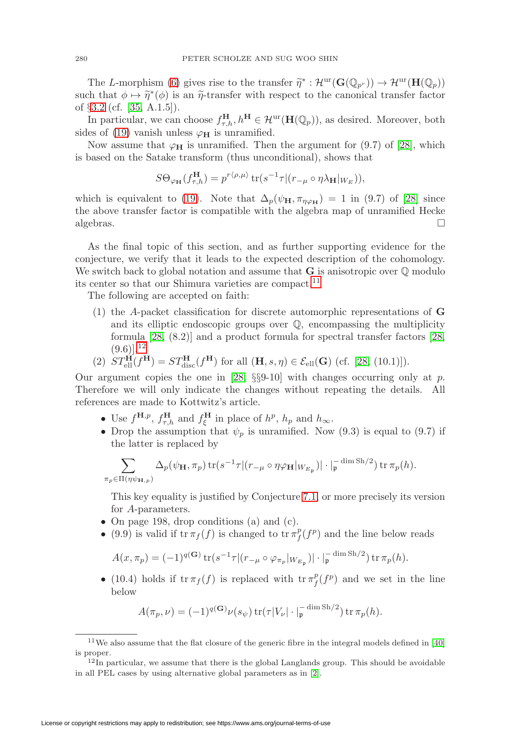The L-morphism [\(6\)](#page-8-4) gives rise to the transfer  $\widetilde{\eta}^* : \mathcal{H}^{\text{ur}}(\mathbf{G}(\mathbb{Q}_{p^r})) \to \mathcal{H}^{\text{ur}}(\mathbf{H}(\mathbb{Q}_p))$ such that  $\phi \mapsto \tilde{\eta}^*(\phi)$  is an  $\tilde{\eta}$ -transfer with respect to the canonical transfer factor of §[3.2](#page-8-3) (cf. [\[35,](#page-32-0) A.1.5]).

In particular, we can choose  $f_{\tau,h}^{\mathbf{H}}, h^{\mathbf{H}} \in \mathcal{H}^{\text{ur}}(\mathbf{H}(\mathbb{Q}_p))$ , as desired. Moreover, both sides of [\(19\)](#page-18-2) vanish unless  $\varphi_H$  is unramified.

Now assume that  $\varphi_H$  is unramified. Then the argument for (9.7) of [\[28\]](#page-32-1), which is based on the Satake transform (thus unconditional), shows that

$$
S\Theta_{\varphi_{\mathbf{H}}}(f_{\tau,h}^{\mathbf{H}})=p^{r\langle\rho,\mu\rangle}\operatorname{tr}(s^{-1}\tau|(r_{-\mu}\circ\eta\lambda_{\mathbf{H}}|_{W_E})),
$$

which is equivalent to [\(19\)](#page-18-2). Note that  $\Delta_p(\psi_H, \pi_{\eta \varphi_H}) = 1$  in (9.7) of [\[28\]](#page-32-1) since the above transfer factor is compatible with the algebra map of unramified Hecke algebras.  $\Box$  $\Box$ 

As the final topic of this section, and as further supporting evidence for the conjecture, we verify that it leads to the expected description of the cohomology. We switch back to global notation and assume that  $\bf{G}$  is anisotropic over  $\mathbb Q$  modulo its center so that our Shimura varieties are compact.<sup>[11](#page-19-0)</sup>

The following are accepted on faith:

(1) the A-packet classification for discrete automorphic representations of **G** and its elliptic endoscopic groups over Q, encompassing the multiplicity formula [\[28,](#page-32-1) (8.2)] and a product formula for spectral transfer factors [\[28,](#page-32-1)  $(9.6)$ ],  $12$ 

(2) 
$$
ST_{\text{ell}}^{\mathbf{H}}(f^{\mathbf{H}}) = ST_{\text{disc}}^{\mathbf{H}}(f^{\mathbf{H}})
$$
 for all  $(\mathbf{H}, s, \eta) \in \mathcal{E}_{\text{ell}}(\mathbf{G})$  (cf. [28, (10.1)]).

Our argument copies the one in [\[28,](#page-32-1)  $\S$ §9-10] with changes occurring only at p. Therefore we will only indicate the changes without repeating the details. All references are made to Kottwitz's article.

- Use  $f^{\mathbf{H},p}$ ,  $f_{\tau,h}^{\mathbf{H}}$  and  $f_{\xi}^{\mathbf{H}}$  in place of  $h^p$ ,  $h_p$  and  $h_{\infty}$ .
- Drop the assumption that  $\psi_p$  is unramified. Now (9.3) is equal to (9.7) if the latter is replaced by

$$
\sum_{\pi_p \in \Pi(\eta \psi_{\mathbf{H},p})} \Delta_p(\psi_{\mathbf{H}}, \pi_p) \operatorname{tr}(s^{-1} \tau | (r_{-\mu} \circ \eta \varphi_{\mathbf{H}} |_{W_{E_{\mathfrak{p}}}}) | \cdot |_{{\mathfrak{p}}}^{-\dim \operatorname{Sh}/2}) \operatorname{tr} \pi_p(h).
$$

This key equality is justified by Conjecture [7.1,](#page-17-1) or more precisely its version for A-parameters.

- On page 198, drop conditions (a) and (c).
- (9.9) is valid if  $\operatorname{tr} \pi_f(f)$  is changed to  $\operatorname{tr} \pi_f^p(f^p)$  and the line below reads

$$
A(x,\pi_p) = (-1)^{q(\mathbf{G})} \operatorname{tr}(s^{-1}\tau | (r_{-\mu} \circ \varphi_{\pi_p} |_{W_{E_{\mathfrak{p}}}}) | \cdot |_{\mathfrak{p}}^{-\dim \operatorname{Sh}/2}) \operatorname{tr} \pi_p(h).
$$

• (10.4) holds if  $\operatorname{tr} \pi_f(f)$  is replaced with  $\operatorname{tr} \pi_f^p(f^p)$  and we set in the line below

$$
A(\pi_p, \nu) = (-1)^{q(\mathbf{G})} \nu(s_{\psi}) \operatorname{tr}(\tau |V_{\nu}| \cdot |_{\mathfrak{p}}^{-\dim \operatorname{Sh}/2}) \operatorname{tr} \pi_p(h).
$$

 $11$ We also assume that the flat closure of the generic fibre in the integral models defined in [\[40\]](#page-33-1) is proper.

<span id="page-19-1"></span><span id="page-19-0"></span> $12\bar{1}$ n particular, we assume that there is the global Langlands group. This should be avoidable in all PEL cases by using alternative global parameters as in [\[2\]](#page-31-7).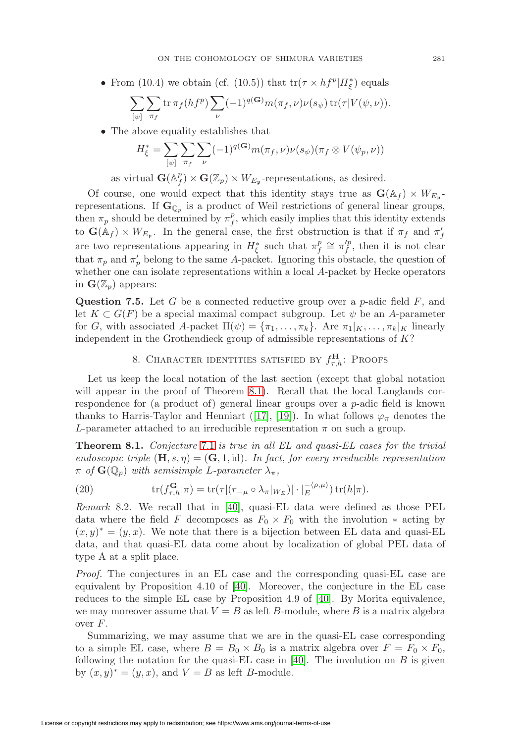• From (10.4) we obtain (cf. (10.5)) that  $\text{tr}(\tau \times h f^p | H^*_{\xi})$  equals

$$
\sum_{[\psi]} \sum_{\pi_f} \text{tr}\,\pi_f(h f^p) \sum_{\nu} (-1)^{q(\mathbf{G})} m(\pi_f, \nu) \nu(s_{\psi}) \,\text{tr}(\tau | V(\psi, \nu)).
$$

• The above equality establishes that

$$
H_{\xi}^* = \sum_{[\psi]} \sum_{\pi_f} \sum_{\nu} (-1)^{q(\mathbf{G})} m(\pi_f, \nu) \nu(s_{\psi})(\pi_f \otimes V(\psi_p, \nu))
$$

as virtual  $\mathbf{G}(\mathbb{A}_f^p) \times \mathbf{G}(\mathbb{Z}_p) \times W_{E_{\mathfrak{p}}}$ -representations, as desired.

Of course, one would expect that this identity stays true as  $\mathbf{G}(\mathbb{A}_f) \times W_{E_n}$ . representations. If  $\mathbf{G}_{\mathbb{Q}_p}$  is a product of Weil restrictions of general linear groups, then  $\pi_p$  should be determined by  $\pi_f^p$ , which easily implies that this identity extends to  $\mathbf{G}(\mathbb{A}_f) \times W_{E_{\mathfrak{p}}}$ . In the general case, the first obstruction is that if  $\pi_f$  and  $\pi'_f$ are two representations appearing in  $H_{\xi}^*$  such that  $\pi_f^p \cong \pi_f'^p$ , then it is not clear that  $\pi_p$  and  $\pi'_p$  belong to the same A-packet. Ignoring this obstacle, the question of whether one can isolate representations within a local A-packet by Hecke operators in  $\mathbf{G}(\mathbb{Z}_n)$  appears:

**Question 7.5.** Let G be a connected reductive group over a p-adic field  $F$ , and let  $K \subset G(F)$  be a special maximal compact subgroup. Let  $\psi$  be an A-parameter for G, with associated A-packet  $\Pi(\psi) = {\pi_1, \ldots, \pi_k}$ . Are  $\pi_1|_K, \ldots, \pi_k|_K$  linearly independent in the Grothendieck group of admissible representations of K?

# 8. CHARACTER IDENTITIES SATISFIED BY  $f_{\tau,h}^{\text{H}}$ : Proofs

<span id="page-20-0"></span>Let us keep the local notation of the last section (except that global notation will appear in the proof of Theorem [8.1\)](#page-20-2). Recall that the local Langlands correspondence for (a product of) general linear groups over a p-adic field is known thanks to Harris-Taylor and Henniart ([\[17\]](#page-32-3), [\[19\]](#page-32-4)). In what follows  $\varphi_{\pi}$  denotes the L-parameter attached to an irreducible representation  $\pi$  on such a group.

<span id="page-20-2"></span>**Theorem 8.1.** Conjecture [7.1](#page-17-1) is true in all EL and quasi-EL cases for the trivial endoscopic triple  $(\mathbf{H}, s, \eta) = (\mathbf{G}, 1, \text{id})$ . In fact, for every irreducible representation  $\pi$  of  $\mathbf{G}(\mathbb{Q}_p)$  with semisimple L-parameter  $\lambda_{\pi}$ ,

<span id="page-20-3"></span>(20) 
$$
\operatorname{tr}(f_{\tau,h}^{\mathbf{G}}|\pi) = \operatorname{tr}(\tau|(r_{-\mu} \circ \lambda_{\pi}|_{W_E})| \cdot |\overline{E}^{\langle \rho,\mu \rangle}) \operatorname{tr}(h|\pi).
$$

<span id="page-20-1"></span>*Remark* 8.2. We recall that in [\[40\]](#page-33-1), quasi-EL data were defined as those PEL data where the field F decomposes as  $F_0 \times F_0$  with the involution  $*$  acting by  $(x, y)^* = (y, x)$ . We note that there is a bijection between EL data and quasi-EL data, and that quasi-EL data come about by localization of global PEL data of type A at a split place.

Proof. The conjectures in an EL case and the corresponding quasi-EL case are equivalent by Proposition 4.10 of [\[40\]](#page-33-1). Moreover, the conjecture in the EL case reduces to the simple EL case by Proposition 4.9 of [\[40\]](#page-33-1). By Morita equivalence, we may moreover assume that  $V = B$  as left B-module, where B is a matrix algebra over  $F$ .

Summarizing, we may assume that we are in the quasi-EL case corresponding to a simple EL case, where  $B = B_0 \times B_0$  is a matrix algebra over  $F = F_0 \times F_0$ , following the notation for the quasi-EL case in [\[40\]](#page-33-1). The involution on  $B$  is given by  $(x, y)^* = (y, x)$ , and  $V = B$  as left B-module.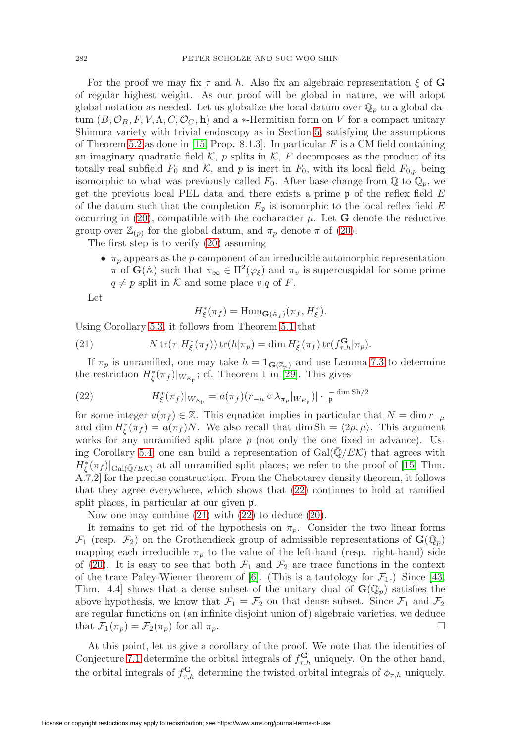For the proof we may fix  $\tau$  and h. Also fix an algebraic representation  $\xi$  of **G** of regular highest weight. As our proof will be global in nature, we will adopt global notation as needed. Let us globalize the local datum over  $\mathbb{Q}_p$  to a global datum  $(B, \mathcal{O}_B, F, V, \Lambda, C, \mathcal{O}_C, \mathbf{h})$  and a  $*$ -Hermitian form on V for a compact unitary Shimura variety with trivial endoscopy as in Section [5,](#page-12-0) satisfying the assumptions of Theorem [5.2](#page-14-0) as done in [\[15,](#page-32-15) Prop. 8.1.3]. In particular  $F$  is a CM field containing an imaginary quadratic field  $K$ , p splits in  $K$ , F decomposes as the product of its totally real subfield  $F_0$  and  $K$ , and p is inert in  $F_0$ , with its local field  $F_{0,p}$  being isomorphic to what was previously called  $F_0$ . After base-change from  $\mathbb Q$  to  $\mathbb Q_p$ , we get the previous local PEL data and there exists a prime  $\mathfrak p$  of the reflex field E of the datum such that the completion  $E_{\mathfrak{p}}$  is isomorphic to the local reflex field  $E$ occurring in [\(20\)](#page-20-3), compatible with the cocharacter  $\mu$ . Let **G** denote the reductive group over  $\mathbb{Z}_{(p)}$  for the global datum, and  $\pi_p$  denote  $\pi$  of [\(20\)](#page-20-3).

The first step is to verify [\(20\)](#page-20-3) assuming

•  $\pi_p$  appears as the *p*-component of an irreducible automorphic representation  $\pi$  of **G**( $\mathbb{A}$ ) such that  $\pi_{\infty} \in \Pi^2(\varphi_{\xi})$  and  $\pi_v$  is supercuspidal for some prime  $q \neq p$  split in K and some place  $v|q$  of F.

Let

$$
H_{\xi}^*(\pi_f) = \text{Hom}_{\mathbf{G}(\mathbb{A}_f)}(\pi_f, H_{\xi}^*).
$$

Using Corollary [5.3,](#page-14-1) it follows from Theorem [5.1](#page-13-0) that

<span id="page-21-1"></span>(21) 
$$
N \operatorname{tr}(\tau | H_{\xi}^*(\pi_f)) \operatorname{tr}(h|\pi_p) = \dim H_{\xi}^*(\pi_f) \operatorname{tr}(f_{\tau,h}^{\mathbf{G}}|\pi_p).
$$

If  $\pi_p$  is unramified, one may take  $h = \mathbf{1}_{\mathbf{G}(\mathbb{Z}_p)}$  and use Lemma [7.3](#page-18-1) to determine the restriction  $H_{\xi}^{*}(\pi_{f})|_{W_{E_{\mathfrak{p}}}}$ ; cf. Theorem 1 in [\[29\]](#page-32-5). This gives

<span id="page-21-0"></span>(22) 
$$
H_{\xi}^{*}(\pi_{f})|_{W_{E_{\mathfrak{p}}}} = a(\pi_{f})(r_{-\mu} \circ \lambda_{\pi_{p}}|_{W_{E_{\mathfrak{p}}}})| \cdot |_{\mathfrak{p}}^{-\dim \mathrm{Sh}/2}
$$

for some integer  $a(\pi_f) \in \mathbb{Z}$ . This equation implies in particular that  $N = \dim r_{-\mu}$ and dim  $H_{\xi}^*(\pi_f) = a(\pi_f)N$ . We also recall that dim Sh =  $\langle 2\rho, \mu \rangle$ . This argument works for any unramified split place  $p$  (not only the one fixed in advance). Us-ing Corollary [5.4,](#page-15-2) one can build a representation of  $Gal(\mathbb{Q}/E\mathcal{K})$  that agrees with  $H_{\xi}^{*}(\pi_{f})|_{Gal(\bar{\mathbb{Q}}/E\mathcal{K})}$  at all unramified split places; we refer to the proof of [\[15,](#page-32-15) Thm. A.7.2] for the precise construction. From the Chebotarev density theorem, it follows that they agree everywhere, which shows that [\(22\)](#page-21-0) continues to hold at ramified split places, in particular at our given p.

Now one may combine [\(21\)](#page-21-1) with [\(22\)](#page-21-0) to deduce [\(20\)](#page-20-3).

It remains to get rid of the hypothesis on  $\pi_p$ . Consider the two linear forms  $\mathcal{F}_1$  (resp.  $\mathcal{F}_2$ ) on the Grothendieck group of admissible representations of  $\mathbf{G}(\mathbb{Q}_p)$ mapping each irreducible  $\pi_p$  to the value of the left-hand (resp. right-hand) side of [\(20\)](#page-20-3). It is easy to see that both  $\mathcal{F}_1$  and  $\mathcal{F}_2$  are trace functions in the context of the trace Paley-Wiener theorem of [\[6\]](#page-31-8). (This is a tautology for  $\mathcal{F}_1$ .) Since [\[43,](#page-33-9) Thm. 4.4] shows that a dense subset of the unitary dual of  $\mathbf{G}(\mathbb{Q}_p)$  satisfies the above hypothesis, we know that  $\mathcal{F}_1 = \mathcal{F}_2$  on that dense subset. Since  $\mathcal{F}_1$  and  $\mathcal{F}_2$ are regular functions on (an infinite disjoint union of) algebraic varieties, we deduce that  $\mathcal{F}_1(\pi_p) = \mathcal{F}_2(\pi_p)$  for all  $\pi_p$ .

At this point, let us give a corollary of the proof. We note that the identities of Conjecture [7.1](#page-17-1) determine the orbital integrals of  $f_{\tau,h}^{\mathbf{G}}$  uniquely. On the other hand, the orbital integrals of  $f_{\tau,h}^{\mathbf{G}}$  determine the twisted orbital integrals of  $\phi_{\tau,h}$  uniquely.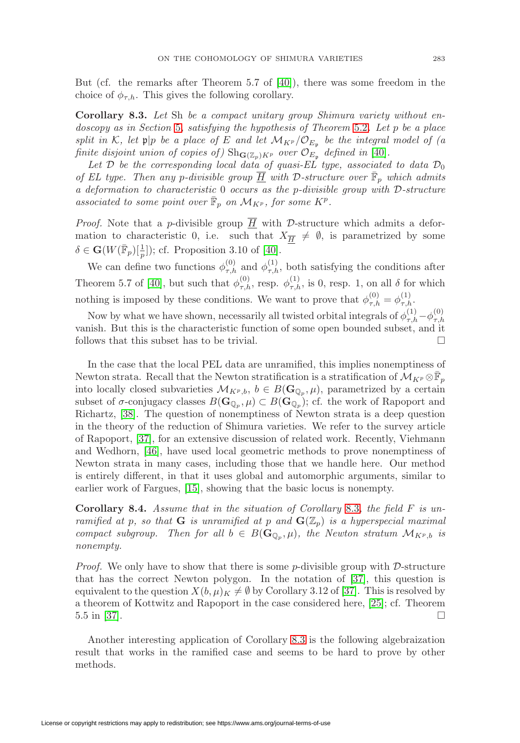But (cf. the remarks after Theorem 5.7 of [\[40\]](#page-33-1)), there was some freedom in the choice of  $\phi_{\tau,h}$ . This gives the following corollary.

<span id="page-22-0"></span>**Corollary 8.3.** Let Sh be a compact unitary group Shimura variety without en-doscopy as in Section [5](#page-12-0), satisfying the hypothesis of Theorem [5.2](#page-14-0). Let p be a place split in K, let  $\mathfrak{p}|p$  be a place of E and let  $\mathcal{M}_{K^p}/\mathcal{O}_{E_p}$  be the integral model of (a finite disjoint union of copies of)  $\text{Sh}_{\mathbf{G}(\mathbb{Z}_p)K^p}$  over  $\mathcal{O}_{E_p}$  defined in [\[40\]](#page-33-1).

Let  $\mathcal D$  be the corresponding local data of quasi-EL type, associated to data  $\mathcal D_0$ of EL type. Then any p-divisible group  $\overline{H}$  with D-structure over  $\overline{\mathbb{F}}_p$  which admits a deformation to characteristic  $0$  occurs as the p-divisible group with  $\mathcal{D}$ -structure associated to some point over  $\overline{\mathbb{F}}_p$  on  $\mathcal{M}_{K^p}$ , for some  $K^p$ .

*Proof.* Note that a *p*-divisible group  $\overline{H}$  with *D*-structure which admits a deformation to characteristic 0, i.e. such that  $X_{\overline{H}} \neq \emptyset$ , is parametrized by some  $\delta \in \mathbf{G}(W(\overline{\mathbb{F}}_p)[\frac{1}{p}])$ ; cf. Proposition 3.10 of [\[40\]](#page-33-1).

We can define two functions  $\phi_{\tau,h}^{(0)}$  and  $\phi_{\tau,h}^{(1)}$ , both satisfying the conditions after Theorem 5.7 of [\[40\]](#page-33-1), but such that  $\phi_{\tau,h}^{(0)}$ , resp.  $\phi_{\tau,h}^{(1)}$ , is 0, resp. 1, on all  $\delta$  for which nothing is imposed by these conditions. We want to prove that  $\phi_{\tau,h}^{(0)} = \phi_{\tau,h}^{(1)}$ .

Now by what we have shown, necessarily all twisted orbital integrals of  $\phi_{\tau,h}^{(1)} - \phi_{\tau,h}^{(0)}$ vanish. But this is the characteristic function of some open bounded subset, and it follows that this subset has to be trivial.  $\Box$ 

In the case that the local PEL data are unramified, this implies nonemptiness of Newton strata. Recall that the Newton stratification is a stratification of  $\mathcal{M}_{K^p} \otimes \mathbb{F}_p$ into locally closed subvarieties  $\mathcal{M}_{K^p,b}$ ,  $b \in B(\mathbf{G}_{\mathbb{Q}_p},\mu)$ , parametrized by a certain subset of  $\sigma$ -conjugacy classes  $B(\mathbf{G}_{\mathbb{Q}_p}, \mu) \subset B(\mathbf{G}_{\mathbb{Q}_p})$ ; cf. the work of Rapoport and Richartz, [\[38\]](#page-33-10). The question of nonemptiness of Newton strata is a deep question in the theory of the reduction of Shimura varieties. We refer to the survey article of Rapoport, [\[37\]](#page-33-11), for an extensive discussion of related work. Recently, Viehmann and Wedhorn, [\[46\]](#page-33-12), have used local geometric methods to prove nonemptiness of Newton strata in many cases, including those that we handle here. Our method is entirely different, in that it uses global and automorphic arguments, similar to earlier work of Fargues, [\[15\]](#page-32-15), showing that the basic locus is nonempty.

<span id="page-22-1"></span>**Corollary 8.4.** Assume that in the situation of Corollary [8.3](#page-22-0), the field F is unramified at p, so that **G** is unramified at p and  $\mathbf{G}(\mathbb{Z}_p)$  is a hyperspecial maximal compact subgroup. Then for all  $b \in B(\mathbf{G}_{\mathbb{Q}_p}, \mu)$ , the Newton stratum  $\mathcal{M}_{K^p,b}$  is nonempty.

*Proof.* We only have to show that there is some *p*-divisible group with  $D$ -structure that has the correct Newton polygon. In the notation of [\[37\]](#page-33-11), this question is equivalent to the question  $X(b, \mu)_K \neq \emptyset$  by Corollary 3.12 of [\[37\]](#page-33-11). This is resolved by a theorem of Kottwitz and Rapoport in the case considered here, [\[25\]](#page-32-20); cf. Theorem  $5.5 \text{ in } [37]$  $5.5 \text{ in } [37]$ .

Another interesting application of Corollary [8.3](#page-22-0) is the following algebraization result that works in the ramified case and seems to be hard to prove by other methods.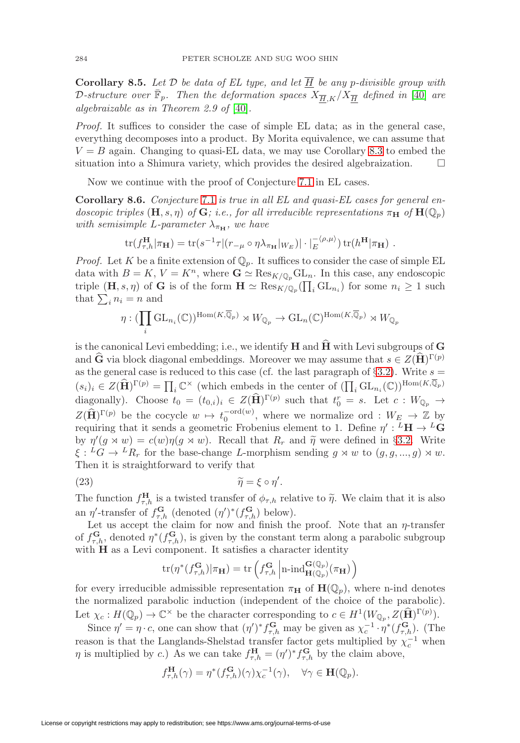<span id="page-23-1"></span>**Corollary 8.5.** Let  $D$  be data of EL type, and let  $\overline{H}$  be any p-divisible group with D-structure over  $\bar{\mathbb{F}}_p$ . Then the deformation spaces  $X_{\overline{H},K}/X_{\overline{H}}$  defined in [\[40\]](#page-33-1) are algebraizable as in Theorem 2.9 of [\[40\]](#page-33-1).

Proof. It suffices to consider the case of simple EL data; as in the general case, everything decomposes into a product. By Morita equivalence, we can assume that  $V = B$  again. Changing to quasi-EL data, we may use Corollary [8.3](#page-22-0) to embed the situation into a Shimura variety, which provides the desired algebraization. - $\Box$ 

Now we continue with the proof of Conjecture [7.1](#page-17-1) in EL cases.

<span id="page-23-0"></span>**Corollary 8.6.** Conjecture [7.1](#page-17-1) is true in all EL and quasi-EL cases for general endoscopic triples  $(\mathbf{H}, s, \eta)$  of  $\mathbf{G}$ ; i.e., for all irreducible representations  $\pi_{\mathbf{H}}$  of  $\mathbf{H}(\mathbb{Q}_p)$ with semisimple L-parameter  $\lambda_{\pi_{\mathbf{H}}}$ , we have

$$
\text{tr}(f_{\tau,h}^{\mathbf{H}}|\pi_{\mathbf{H}}) = \text{tr}(s^{-1}\tau|(r_{-\mu} \circ \eta \lambda_{\pi_{\mathbf{H}}}|_{W_E})| \cdot |_{E}^{-\langle \rho,\mu \rangle}) \text{tr}(h^{\mathbf{H}}|\pi_{\mathbf{H}}) .
$$

*Proof.* Let K be a finite extension of  $\mathbb{Q}_p$ . It suffices to consider the case of simple EL data with  $B = K$ ,  $V = K<sup>n</sup>$ , where  $\mathbf{G} \simeq \text{Res}_{K/\mathbb{Q}_n} \text{GL}_n$ . In this case, any endoscopic triple  $(\mathbf{H}, s, \eta)$  of **G** is of the form  $\mathbf{H} \simeq \text{Res}_{K/\mathbb{Q}_p}(\prod_i \text{GL}_{n_i})$  for some  $n_i \geq 1$  such that  $\sum_i n_i = n$  and

$$
\eta: (\prod_i \mathrm{GL}_{n_i}(\mathbb{C}))^{\mathrm{Hom}(K,\overline{\mathbb{Q}}_p)} \rtimes W_{\mathbb{Q}_p} \to \mathrm{GL}_n(\mathbb{C})^{\mathrm{Hom}(K,\overline{\mathbb{Q}}_p)} \rtimes W_{\mathbb{Q}_p}
$$

is the canonical Levi embedding; i.e., we identify **H** and  $\widehat{H}$  with Levi subgroups of **G** and **G** via block diagonal embeddings. Moreover we may assume that  $s \in Z(\mathbf{H})^{\Gamma(p)}$ as the general case is reduced to this case (cf. the last paragraph of  $\S 3.2$ ). Write  $s =$  $(s_i)_i \in Z(\widehat{\mathbf{H}})^{\Gamma(p)} = \prod_i \mathbb{C}^\times$  (which embeds in the center of  $(\prod_i \mathrm{GL}_{n_i}(\mathbb{C}))^{\text{Hom}(K,\mathbb{Q}_p)}$ diagonally). Choose  $t_0 = (t_{0,i})_i \in Z(\widehat{H})^{\Gamma(p)}$  such that  $t_0^r = s$ . Let  $c: W_{\mathbb{Q}_p} \to$  $Z(\widehat{\mathbf{H}})^{\Gamma(p)}$  be the cocycle  $w \mapsto t_0^{\operatorname{ord}(w)}$ , where we normalize ord :  $W_E \to \mathbb{Z}$  by requiring that it sends a geometric Frobenius element to 1. Define  $\eta' : L^L \mathbf{H} \to L^L \mathbf{G}$ by  $\eta'(g \times w) = c(w)\eta(g \times w)$ . Recall that  $R_r$  and  $\tilde{\eta}$  were defined in §[3.2.](#page-8-3) Write  $\xi: {}^L G \to {}^L R_r$  for the base-change L-morphism sending  $g \rtimes w$  to  $(g, g, ..., g) \rtimes w$ . Then it is straightforward to verify that

(23) 
$$
\widetilde{\eta} = \xi \circ \eta'.
$$

The function  $f_{\tau,h}^{\mathbf{H}}$  is a twisted transfer of  $\phi_{\tau,h}$  relative to  $\tilde{\eta}$ . We claim that it is also an  $\eta'$ -transfer of  $f_{\tau,h}^{\mathbf{G}}$  (denoted  $(\eta')^*(f_{\tau,h}^{\mathbf{G}})$  below).

Let us accept the claim for now and finish the proof. Note that an  $\eta$ -transfer of  $f_{\tau,h}^{\mathbf{G}}$ , denoted  $\eta^*(f_{\tau,h}^{\mathbf{G}})$ , is given by the constant term along a parabolic subgroup with **H** as a Levi component. It satisfies a character identity

$$
\operatorname{tr}(\eta^*(f_{\tau,h}^{\mathbf{G}})|\pi_{\mathbf{H}}) = \operatorname{tr}\left(f_{\tau,h}^{\mathbf{G}}\left|n\text{-}\mathrm{ind}_{\mathbf{H}(\mathbb{Q}_p)}^{\mathbf{G}(\mathbb{Q}_p)}(\pi_{\mathbf{H}})\right.\right)
$$

for every irreducible admissible representation  $\pi_{\mathbf{H}}$  of  $\mathbf{H}(\mathbb{Q}_p)$ , where n-ind denotes the normalized parabolic induction (independent of the choice of the parabolic). Let  $\chi_c: H(\mathbb{Q}_p) \to \mathbb{C}^\times$  be the character corresponding to  $c \in H^1(W_{\mathbb{Q}_p}, Z(\widehat{\mathbf{H}})^{\Gamma(p)})$ .

Since  $\eta' = \eta \cdot c$ , one can show that  $(\eta')^* f_{\tau,h}^{\mathbf{G}}$  may be given as  $\chi_c^{-1} \cdot \eta^* (f_{\tau,h}^{\mathbf{G}})$ . (The reason is that the Langlands-Shelstad transfer factor gets multiplied by  $\chi_c^{-1}$  when  $\eta$  is multiplied by c.) As we can take  $f_{\tau,h}^{\mathbf{H}} = (\eta')^* f_{\tau,h}^{\mathbf{G}}$  by the claim above,

$$
f_{\tau,h}^{\mathbf{H}}(\gamma) = \eta^*(f_{\tau,h}^{\mathbf{G}})(\gamma) \chi_c^{-1}(\gamma), \quad \forall \gamma \in \mathbf{H}(\mathbb{Q}_p).
$$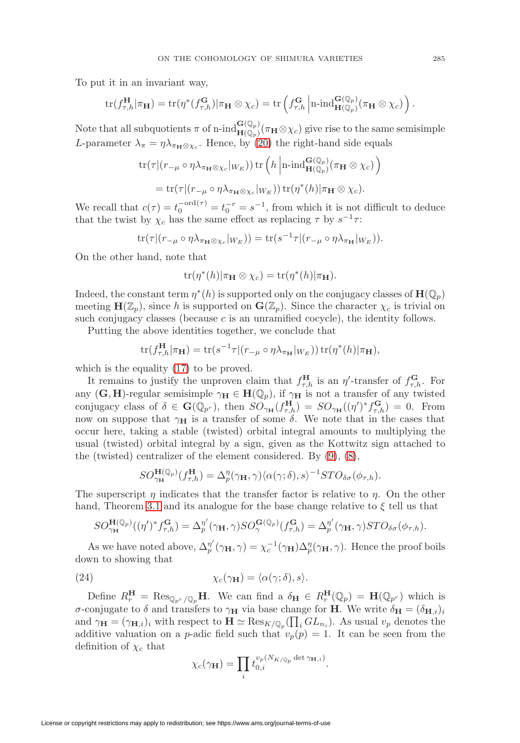To put it in an invariant way,

$$
\mathrm{tr}(f_{\tau,h}^{\mathbf{H}}|\pi_{\mathbf{H}})=\mathrm{tr}(\eta^*(f_{\tau,h}^{\mathbf{G}})|\pi_{\mathbf{H}}\otimes\chi_c)=\mathrm{tr}\left(f_{\tau,h}^{\mathbf{G}}\left|\mathrm{n}\text{-}\mathrm{ind}_{\mathbf{H}(\mathbb{Q}_p)}^{\mathbf{G}(\mathbb{Q}_p)}(\pi_{\mathbf{H}}\otimes\chi_c)\right.\right).
$$

Note that all subquotients  $\pi$  of n-ind $\mathbf{H}(\mathbb{Q}_p)(\pi_\mathbf{H}\otimes\chi_c)$  give rise to the same semisimple L-parameter  $\lambda_{\pi} = \eta \lambda_{\pi_{\mathbf{H}} \otimes \chi_c}$ . Hence, by [\(20\)](#page-20-3) the right-hand side equals

$$
\operatorname{tr}(\tau|(r_{-\mu} \circ \eta \lambda_{\pi_{\mathbf{H}} \otimes \chi_c}|_{W_E})) \operatorname{tr} \left(h \left| \operatorname{n-ind}_{\mathbf{H}(\mathbb{Q}_p)}^{\mathbf{G}(\mathbb{Q}_p)}(\pi_{\mathbf{H}} \otimes \chi_c) \right. \right.\n= \operatorname{tr}(\tau|(r_{-\mu} \circ \eta \lambda_{\pi_{\mathbf{H}} \otimes \chi_c}|_{W_E})) \operatorname{tr}(\eta^*(h)|\pi_{\mathbf{H}} \otimes \chi_c).
$$

We recall that  $c(\tau) = t_0^{-\text{ord}(\tau)} = t_0^{-r} = s^{-1}$ , from which it is not difficult to deduce that the twist by  $\chi_c$  has the same effect as replacing  $\tau$  by  $s^{-1}\tau$ :

$$
\operatorname{tr}(\tau|(r_{-\mu}\circ\eta\lambda_{\pi_{\mathbf{H}}\otimes\chi_c}|_{W_E})) = \operatorname{tr}(s^{-1}\tau|(r_{-\mu}\circ\eta\lambda_{\pi_{\mathbf{H}}}|_{W_E})).
$$

On the other hand, note that

$$
\operatorname{tr}(\eta^*(h)|\pi_{\mathbf{H}}\otimes\chi_c) = \operatorname{tr}(\eta^*(h)|\pi_{\mathbf{H}}).
$$

Indeed, the constant term  $\eta^*(h)$  is supported only on the conjugacy classes of  $\mathbf{H}(\mathbb{Q}_p)$ meeting  $\mathbf{H}(\mathbb{Z}_p)$ , since h is supported on  $\mathbf{G}(\mathbb{Z}_p)$ . Since the character  $\chi_c$  is trivial on such conjugacy classes (because  $c$  is an unramified cocycle), the identity follows.

Putting the above identities together, we conclude that

$$
\text{tr}(f_{\tau,h}^{\mathbf{H}}|\pi_{\mathbf{H}}) = \text{tr}(s^{-1}\tau|(r_{-\mu} \circ \eta \lambda_{\pi_{\mathbf{H}}}|_{W_E})) \text{tr}(\eta^*(h)|\pi_{\mathbf{H}}),
$$

which is the equality [\(17\)](#page-17-4) to be proved.

It remains to justify the unproven claim that  $f_{\tau,h}^{\mathbf{H}}$  is an  $\eta'$ -transfer of  $f_{\tau,h}^{\mathbf{G}}$ . For any  $(G, H)$ -regular semisimple  $\gamma_H \in H(\mathbb{Q}_p)$ , if  $\gamma_H$  is not a transfer of any twisted conjugacy class of  $\delta \in \mathbf{G}(\mathbb{Q}_{p^r})$ , then  $SO_{\gamma_{\mathbf{H}}}(f_{\tau,h}^{\mathbf{H}}) = SO_{\gamma_{\mathbf{H}}}((\eta')^* f_{\tau,h}^{\mathbf{G}}) = 0$ . From now on suppose that  $\gamma_H$  is a transfer of some  $\delta$ . We note that in the cases that occur here, taking a stable (twisted) orbital integral amounts to multiplying the usual (twisted) orbital integral by a sign, given as the Kottwitz sign attached to the (twisted) centralizer of the element considered. By [\(9\)](#page-9-0), [\(8\)](#page-9-1),

$$
SO_{\gamma_{\mathbf{H}}}^{\mathbf{H}(\mathbb{Q}_p)}(f_{\tau,h}^{\mathbf{H}})=\Delta_p^{\eta}(\gamma_{\mathbf{H}},\gamma)\langle\alpha(\gamma;\delta),s\rangle^{-1}STO_{\delta\sigma}(\phi_{\tau,h}).
$$

The superscript  $\eta$  indicates that the transfer factor is relative to  $\eta$ . On the other hand, Theorem [3.1](#page-8-1) and its analogue for the base change relative to  $\xi$  tell us that

$$
SO_{\gamma_{\mathbf{H}}}^{\mathbf{H}(\mathbb{Q}_p)}((\eta')^* f_{\tau,h}^{\mathbf{G}}) = \Delta_p^{\eta'}(\gamma_{\mathbf{H}}, \gamma) SO_{\gamma}^{\mathbf{G}(\mathbb{Q}_p)}(f_{\tau,h}^{\mathbf{G}}) = \Delta_p^{\eta'}(\gamma_{\mathbf{H}}, \gamma) STO_{\delta\sigma}(\phi_{\tau,h}).
$$

As we have noted above,  $\Delta_p^{\eta'}(\gamma_H, \gamma) = \chi_c^{-1}(\gamma_H) \Delta_p^{\eta}(\gamma_H, \gamma)$ . Hence the proof boils down to showing that

<span id="page-24-0"></span>(24) 
$$
\chi_c(\gamma_{\mathbf{H}}) = \langle \alpha(\gamma;\delta),s \rangle.
$$

Define  $R_r^{\mathbf{H}} = \text{Res}_{\mathbb{Q}_{p^r}/\mathbb{Q}_p} \mathbf{H}$ . We can find a  $\delta_{\mathbf{H}} \in R_r^{\mathbf{H}}(\mathbb{Q}_p) = \mathbf{H}(\mathbb{Q}_{p^r})$  which is σ-conjugate to δ and transfers to  $\gamma_H$  via base change for **H**. We write  $\delta_H = (\delta_{H,i})_i$ and  $\gamma_{\mathbf{H}} = (\gamma_{\mathbf{H},i})_i$  with respect to  $\mathbf{H} \simeq \text{Res}_{K/\mathbb{Q}_p}(\prod_i GL_{n_i})$ . As usual  $v_p$  denotes the additive valuation on a p-adic field such that  $v_p(p) = 1$ . It can be seen from the definition of  $\chi_c$  that

$$
\chi_c(\gamma_\mathbf{H}) = \prod_i t_{0,i}^{v_p(N_{K/\mathbb{Q}_p} \det \gamma_{\mathbf{H},i})}.
$$

 $\overline{ }$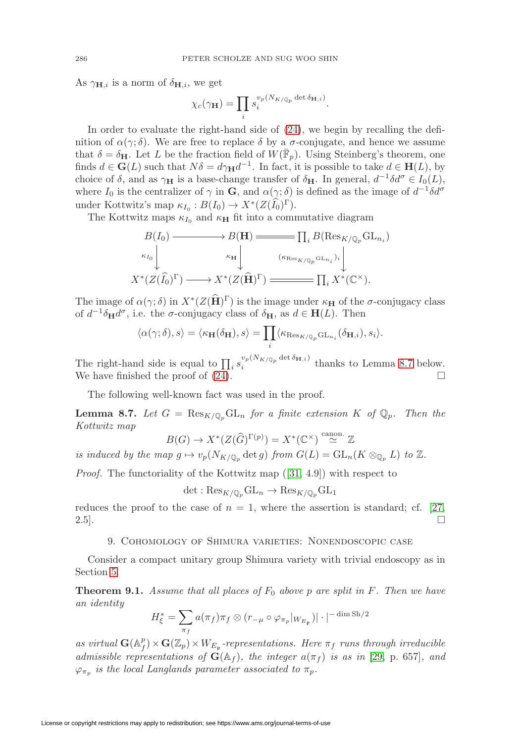As  $\gamma_{\mathbf{H},i}$  is a norm of  $\delta_{\mathbf{H},i}$ , we get

$$
\chi_c(\gamma_\mathbf{H}) = \prod_i s_i^{v_p(N_{K/\mathbb{Q}_p} \det \delta_{\mathbf{H},i})}.
$$

In order to evaluate the right-hand side of [\(24\)](#page-24-0), we begin by recalling the definition of  $\alpha(\gamma;\delta)$ . We are free to replace  $\delta$  by a  $\sigma$ -conjugate, and hence we assume that  $\delta = \delta_H$ . Let L be the fraction field of  $W(\mathbb{F}_p)$ . Using Steinberg's theorem, one finds  $d \in \mathbf{G}(L)$  such that  $N\delta = d\gamma_H d^{-1}$ . In fact, it is possible to take  $d \in \mathbf{H}(L)$ , by choice of  $\delta$ , and as  $\gamma_H$  is a base-change transfer of  $\delta_H$ . In general,  $d^{-1}\delta d^{\sigma} \in I_0(L)$ , where  $I_0$  is the centralizer of  $\gamma$  in **G**, and  $\alpha(\gamma;\delta)$  is defined as the image of  $d^{-1}\delta d^{\sigma}$ under Kottwitz's map  $\kappa_{I_0}: B(I_0) \to X^*(Z(\widehat{I_0})^{\Gamma}).$ 

The Kottwitz maps  $\kappa_{I_0}$  and  $\kappa_H$  fit into a commutative diagram

$$
B(I_0) \longrightarrow B(\mathbf{H}) \longrightarrow \prod_i B(\mathrm{Res}_{K/\mathbb{Q}_p} \mathrm{GL}_{n_i})
$$
  
\n
$$
\begin{array}{c} \kappa_{I_0} \downarrow \qquad \qquad \kappa_{\mathbf{H}} \downarrow \qquad \qquad (\kappa_{\mathrm{Res}_{K/\mathbb{Q}_p} \mathrm{GL}_{n_i})_i} \downarrow \\ X^*(Z(\widehat{I_0})^{\Gamma}) \longrightarrow X^*(Z(\widehat{\mathbf{H}})^{\Gamma}) \longrightarrow \qquad \qquad \prod_i X^*(\mathbb{C}^{\times}). \end{array}
$$

The image of  $\alpha(\gamma;\delta)$  in  $X^*(Z(\widehat{\mathbf{H}})^{\Gamma})$  is the image under  $\kappa_{\mathbf{H}}$  of the  $\sigma$ -conjugacy class of  $d^{-1}\delta_{\mathbf{H}}d^{\sigma}$ , i.e. the  $\sigma$ -conjugacy class of  $\delta_{\mathbf{H}}$ , as  $d \in \mathbf{H}(L)$ . Then

$$
\langle \alpha(\gamma;\delta),s\rangle=\langle \kappa_{\mathbf{H}}(\delta_{\mathbf{H}}),s\rangle=\prod_i\langle \kappa_{\operatorname{Res}_{K/\mathbb{Q}_p}\operatorname{GL}_{n_i}}(\delta_{\mathbf{H},i}),s_i\rangle.
$$

The right-hand side is equal to  $\prod_i s_i^{v_p(N_{K/\mathbb{Q}_p} \det \delta_{\mathbf{H},i})}$  thanks to Lemma [8.7](#page-25-1) below. We have finished the proof of  $(24)$ .

The following well-known fact was used in the proof.

<span id="page-25-1"></span>**Lemma 8.7.** Let  $G = \text{Res}_{K/\mathbb{Q}_p} \text{GL}_n$  for a finite extension K of  $\mathbb{Q}_p$ . Then the Kottwitz map

$$
B(G) \to X^*(Z(\widehat{G})^{\Gamma(p)}) = X^*(\mathbb{C}^\times) \stackrel{\text{canon.}}{\simeq} \mathbb{Z}
$$

is induced by the map  $g \mapsto v_p(N_{K/\mathbb{Q}_p} \det g)$  from  $G(L) = GL_n(K \otimes_{\mathbb{Q}_p} L)$  to  $\mathbb{Z}$ .

Proof. The functoriality of the Kottwitz map ([\[31,](#page-32-21) 4.9]) with respect to

 $\det : \text{Res}_{K/\mathbb{Q}_n} \text{GL}_n \to \text{Res}_{K/\mathbb{Q}_n} \text{GL}_1$ 

<span id="page-25-0"></span>reduces the proof to the case of  $n = 1$ , where the assertion is standard; cf. [\[27,](#page-32-22)  $2.5$ ].

#### 9. Cohomology of Shimura varieties: Nonendoscopic case

Consider a compact unitary group Shimura variety with trivial endoscopy as in Section [5.](#page-12-0)

**Theorem 9.1.** Assume that all places of  $F_0$  above p are split in  $F$ . Then we have an identity

$$
H_{\xi}^* = \sum_{\pi_f} a(\pi_f) \pi_f \otimes (r_{-\mu} \circ \varphi_{\pi_p} |_{W_{E_{\mathfrak{p}}}}) | \cdot |^{-\dim \operatorname{Sh}/2}
$$

as virtual  $\mathbf{G}(\mathbb{A}_f^p) \times \mathbf{G}(\mathbb{Z}_p) \times W_{E_p}$ -representations. Here  $\pi_f$  runs through irreducible admissible representations of  $\mathbf{G}(\mathbb{A}_f)$ , the integer  $a(\pi_f)$  is as in [\[29,](#page-32-5) p. 657], and  $\varphi_{\pi_p}$  is the local Langlands parameter associated to  $\pi_p$ .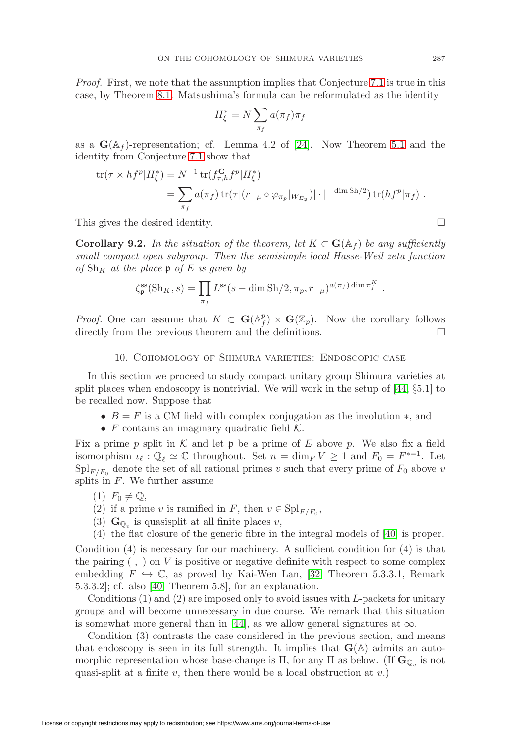Proof. First, we note that the assumption implies that Conjecture [7.1](#page-17-1) is true in this case, by Theorem [8.1.](#page-20-2) Matsushima's formula can be reformulated as the identity

$$
H_{\xi}^* = N \sum_{\pi_f} a(\pi_f) \pi_f
$$

as a  $\mathbf{G}(\mathbb{A}_f)$ -representation; cf. Lemma 4.2 of [\[24\]](#page-32-23). Now Theorem [5.1](#page-13-0) and the identity from Conjecture [7.1](#page-17-1) show that

$$
\begin{split} \text{tr}(\tau \times h f^p | H_{\xi}^*) &= N^{-1} \, \text{tr}(f_{\tau,h}^{\mathbf{G}} f^p | H_{\xi}^*) \\ &= \sum_{\pi_f} a(\pi_f) \, \text{tr}(\tau | (r_{-\mu} \circ \varphi_{\pi_p} |_{W_{E_{\mathfrak{p}}}}) | \cdot |^{-\dim \text{Sh}/2}) \, \text{tr}(h f^p | \pi_f) \ . \end{split}
$$

This gives the desired identity.  $\Box$ 

**Corollary 9.2.** In the situation of the theorem, let  $K \subset \mathbf{G}(\mathbb{A}_f)$  be any sufficiently small compact open subgroup. Then the semisimple local Hasse-Weil zeta function of  $\text{Sh}_K$  at the place p of E is given by

$$
\zeta_{\mathfrak{p}}^{\text{ss}}(\text{Sh}_K, s) = \prod_{\pi_f} L^{\text{ss}}(s - \dim \text{Sh}/2, \pi_p, r_{-\mu})^{a(\pi_f) \dim \pi_f^K}.
$$

<span id="page-26-0"></span>*Proof.* One can assume that  $K \subset \mathbf{G}(\mathbb{A}_f^p) \times \mathbf{G}(\mathbb{Z}_p)$ . Now the corollary follows directly from the previous theorem and the definitions.  $\Box$ 

# 10. Cohomology of Shimura varieties: Endoscopic case

In this section we proceed to study compact unitary group Shimura varieties at split places when endoscopy is nontrivial. We will work in the setup of [\[44,](#page-33-0) §5.1] to be recalled now. Suppose that

- $B = F$  is a CM field with complex conjugation as the involution  $\ast$ , and
- $F$  contains an imaginary quadratic field  $K$ .

Fix a prime p split in K and let  $\mathfrak p$  be a prime of E above p. We also fix a field isomorphism  $\iota_{\ell} : \mathbb{Q}_{\ell} \simeq \mathbb{C}$  throughout. Set  $n = \dim_F V \geq 1$  and  $F_0 = F^{*-1}$ . Let  $\text{Spl}_{F/F_0}$  denote the set of all rational primes v such that every prime of  $F_0$  above v splits in  $F$ . We further assume

- $(1)$   $F_0 \neq \mathbb{Q}$ ,
- (2) if a prime v is ramified in F, then  $v \in \mathrm{Spl}_{F/F_0}$ ,
- (3)  $\mathbf{G}_{\mathbb{O}_v}$  is quasisplit at all finite places v,
- (4) the flat closure of the generic fibre in the integral models of [\[40\]](#page-33-1) is proper.

Condition  $(4)$  is necessary for our machinery. A sufficient condition for  $(4)$  is that the pairing  $( , )$  on V is positive or negative definite with respect to some complex embedding  $F \hookrightarrow \mathbb{C}$ , as proved by Kai-Wen Lan, [\[32,](#page-32-24) Theorem 5.3.3.1, Remark 5.3.3.2]; cf. also [\[40,](#page-33-1) Theorem 5.8], for an explanation.

Conditions  $(1)$  and  $(2)$  are imposed only to avoid issues with L-packets for unitary groups and will become unnecessary in due course. We remark that this situation is somewhat more general than in [\[44\]](#page-33-0), as we allow general signatures at  $\infty$ .

Condition (3) contrasts the case considered in the previous section, and means that endoscopy is seen in its full strength. It implies that  $\mathbf{G}(\mathbb{A})$  admits an automorphic representation whose base-change is  $\Pi$ , for any  $\Pi$  as below. (If  $\mathbf{G}_{\mathbb{Q}_v}$  is not quasi-split at a finite v, then there would be a local obstruction at  $v$ .)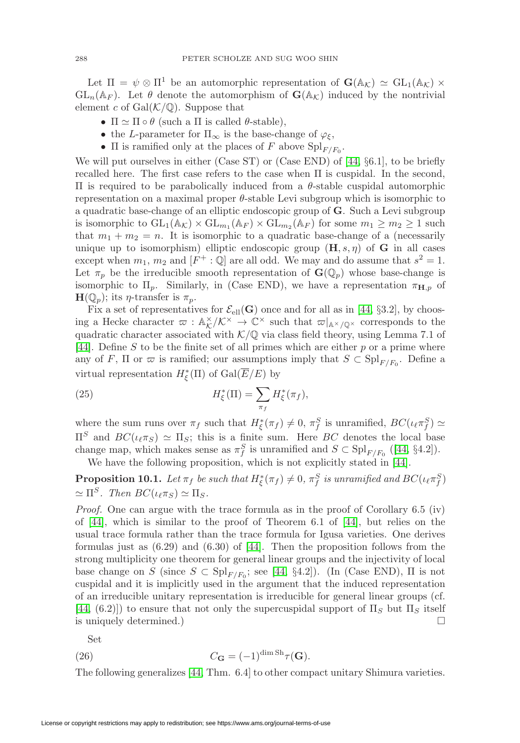Let  $\Pi = \psi \otimes \Pi^1$  be an automorphic representation of  $\mathbf{G}(\mathbb{A}_{\mathcal{K}}) \simeq GL_1(\mathbb{A}_{\mathcal{K}}) \times$  $GL_n(\mathbb{A}_F)$ . Let  $\theta$  denote the automorphism of  $\mathbf{G}(\mathbb{A}_K)$  induced by the nontrivial element c of  $Gal(K/\mathbb{Q})$ . Suppose that

- $\Pi \simeq \Pi \circ \theta$  (such a  $\Pi$  is called  $\theta$ -stable),
- the L-parameter for  $\Pi_{\infty}$  is the base-change of  $\varphi_{\xi}$ ,
- $\Pi$  is ramified only at the places of F above  $\mathrm{Spl}_{F/F_0}$ .

We will put ourselves in either (Case ST) or (Case END) of [\[44,](#page-33-0) §6.1], to be briefly recalled here. The first case refers to the case when Π is cuspidal. In the second, Π is required to be parabolically induced from a θ-stable cuspidal automorphic representation on a maximal proper  $\theta$ -stable Levi subgroup which is isomorphic to a quadratic base-change of an elliptic endoscopic group of **G**. Such a Levi subgroup is isomorphic to  $GL_1(\mathbb{A}_{\mathcal{K}}) \times GL_{m_1}(\mathbb{A}_F) \times GL_{m_2}(\mathbb{A}_F)$  for some  $m_1 \geq m_2 \geq 1$  such that  $m_1 + m_2 = n$ . It is isomorphic to a quadratic base-change of a (necessarily unique up to isomorphism) elliptic endoscopic group  $(\mathbf{H}, s, \eta)$  of **G** in all cases except when  $m_1$ ,  $m_2$  and  $[F^+ : \mathbb{Q}]$  are all odd. We may and do assume that  $s^2 = 1$ . Let  $\pi_p$  be the irreducible smooth representation of  $\mathbf{G}(\mathbb{Q}_p)$  whose base-change is isomorphic to  $\Pi_p$ . Similarly, in (Case END), we have a representation  $\pi_{\mathbf{H},p}$  of  $\mathbf{H}(\mathbb{Q}_p)$ ; its *η*-transfer is  $\pi_p$ .

Fix a set of representatives for  $\mathcal{E}_{ell}(\mathbf{G})$  once and for all as in [\[44,](#page-33-0) §3.2], by choosing a Hecke character  $\varpi : \mathbb{A}_{\mathcal{K}}^{\times}/\mathcal{K}^{\times} \to \mathbb{C}^{\times}$  such that  $\varpi|_{\mathbb{A}^{\times}/\mathbb{Q}^{\times}}$  corresponds to the quadratic character associated with  $K/\mathbb{Q}$  via class field theory, using Lemma 7.1 of [\[44\]](#page-33-0). Define S to be the finite set of all primes which are either  $p$  or a prime where any of F,  $\Pi$  or  $\varpi$  is ramified; our assumptions imply that  $S \subset \mathrm{Spl}_{F/F_0}$ . Define a virtual representation  $H^*_{\xi}(\Pi)$  of  $Gal(E/E)$  by

<span id="page-27-0"></span>(25) 
$$
H_{\xi}^*(\Pi) = \sum_{\pi_f} H_{\xi}^*(\pi_f),
$$

where the sum runs over  $\pi_f$  such that  $H^*_{\xi}(\pi_f) \neq 0$ ,  $\pi_f^S$  is unramified,  $BC(\iota_\ell \pi_f^S) \simeq$  $\Pi^S$  and  $BC(\iota_\ell \pi_S) \simeq \Pi_S$ ; this is a finite sum. Here BC denotes the local base change map, which makes sense as  $\pi_f^S$  is unramified and  $S \subset \mathrm{Spl}_{F/F_0}$  ([\[44,](#page-33-0) §4.2]).

We have the following proposition, which is not explicitly stated in [\[44\]](#page-33-0).

**Proposition 10.1.** Let  $\pi_f$  be such that  $H^*_\xi(\pi_f) \neq 0$ ,  $\pi_f^S$  is unramified and  $BC(\iota_\ell \pi_f^S)$  $\simeq \Pi^S$ . Then  $BC(\iota_\ell \pi_S) \simeq \Pi_S$ .

Proof. One can argue with the trace formula as in the proof of Corollary 6.5 (iv) of [\[44\]](#page-33-0), which is similar to the proof of Theorem 6.1 of [\[44\]](#page-33-0), but relies on the usual trace formula rather than the trace formula for Igusa varieties. One derives formulas just as  $(6.29)$  and  $(6.30)$  of [\[44\]](#page-33-0). Then the proposition follows from the strong multiplicity one theorem for general linear groups and the injectivity of local base change on S (since  $S \subset \mathrm{Spl}_{F/F_0}$ ; see [\[44,](#page-33-0) §4.2]). (In (Case END),  $\Pi$  is not cuspidal and it is implicitly used in the argument that the induced representation of an irreducible unitary representation is irreducible for general linear groups (cf.  $[44, (6.2)]$  $[44, (6.2)]$  to ensure that not only the supercuspidal support of  $\Pi_S$  but  $\Pi_S$  itself is uniquely determined.)  $\Box$ 

Set

<span id="page-27-1"></span>(26) 
$$
C_{\mathbf{G}} = (-1)^{\dim \mathrm{Sh}} \tau(\mathbf{G}).
$$

The following generalizes [\[44,](#page-33-0) Thm. 6.4] to other compact unitary Shimura varieties.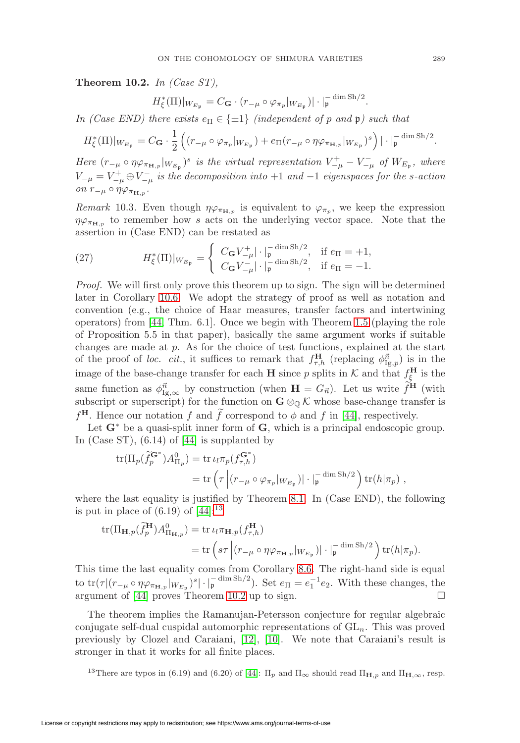<span id="page-28-1"></span>**Theorem 10.2.** In (Case ST),

$$
H_{\xi}^{*}(\Pi)|_{W_{E_{\mathfrak{p}}}} = C_{\mathbf{G}} \cdot (r_{-\mu} \circ \varphi_{\pi_{p}}|_{W_{E_{\mathfrak{p}}}})| \cdot |_{\mathfrak{p}}^{-\dim \operatorname{Sh}/2}.
$$

In (Case END) there exists  $e_{\Pi} \in \{\pm 1\}$  (independent of p and p) such that

$$
H_{\xi}^{*}(\Pi)|_{W_{E_{\mathfrak{p}}}} = C_{\mathbf{G}} \cdot \frac{1}{2} \left( (r_{-\mu} \circ \varphi_{\pi_p}|_{W_{E_{\mathfrak{p}}}}) + e_{\Pi}(r_{-\mu} \circ \eta \varphi_{\pi_{\mathbf{H},p}}|_{W_{E_{\mathfrak{p}}}})^s \right) |\cdot|_{\mathfrak{p}}^{-\dim \operatorname{Sh}/2}.
$$

Here  $(r_{-\mu} \circ \eta \varphi_{\pi_{\mathbf{H},p}}|_{W_{E_{\mathfrak{p}}}})^s$  is the virtual representation  $V_{-\mu}^+ - V_{-\mu}^-$  of  $W_{E_{\mathfrak{p}}}$ , where  $V_{-\mu} = V_{-\mu}^+ \oplus V_{-\mu}^-$  is the decomposition into  $+1$  and  $-1$  eigenspaces for the s-action on  $r_{-\mu} \circ \eta \varphi_{\pi_{\mathbf{H},p}}$ .

*Remark* 10.3. Even though  $\eta \varphi_{\pi_{\mathbf{H},p}}$  is equivalent to  $\varphi_{\pi_p}$ , we keep the expression  $\eta \varphi_{\pi_{\mathbf{H},p}}$  to remember how s acts on the underlying vector space. Note that the assertion in (Case END) can be restated as

(27) 
$$
H_{\xi}^{*}(\Pi)|_{W_{E_{\mathfrak{p}}}} = \begin{cases} C_{\mathbf{G}} V_{-\mu}^{+} | \cdot |_{\mathfrak{p}}^{-\dim \mathrm{Sh}/2}, & \text{if } e_{\Pi} = +1, \\ C_{\mathbf{G}} V_{-\mu}^{-} | \cdot |_{\mathfrak{p}}^{-\dim \mathrm{Sh}/2}, & \text{if } e_{\Pi} = -1. \end{cases}
$$

Proof. We will first only prove this theorem up to sign. The sign will be determined later in Corollary [10.6.](#page-30-2) We adopt the strategy of proof as well as notation and convention (e.g., the choice of Haar measures, transfer factors and intertwining operators) from [\[44,](#page-33-0) Thm. 6.1]. Once we begin with Theorem [1.5](#page-5-0) (playing the role of Proposition 5.5 in that paper), basically the same argument works if suitable changes are made at p. As for the choice of test functions, explained at the start of the proof of loc. cit., it suffices to remark that  $f_{\tau,h}^{\mathbf{H}}$  (replacing  $\phi_{\text{Ig},p}^{\vec{n}}$ ) is in the image of the base-change transfer for each **H** since p splits in  $K$  and that  $f_{\xi}^{\mathbf{H}}$  is the same function as  $\phi_{\text{Ig},\infty}^{\vec{n}}$  by construction (when  $\mathbf{H} = G_{\vec{n}}$ ). Let us write  $\hat{f}^{\text{H}}$  (with subscript or superscript) for the function on  $\mathbf{G} \otimes_{\mathbb{Q}} \mathcal{K}$  whose base-change transfer is  $f^{\mathbf{H}}$ . Hence our notation f and f correspond to  $\phi$  and f in [\[44\]](#page-33-0), respectively.

Let **G**<sup>∗</sup> be a quasi-split inner form of **G**, which is a principal endoscopic group. In (Case ST), (6.14) of [\[44\]](#page-33-0) is supplanted by

$$
\begin{split} \text{tr}(\Pi_p(\widetilde{f}_p^{\mathbf{G}^*}) A_{\Pi_p}^0) &= \text{tr}\,\iota_l \pi_p(f_{\tau,h}^{\mathbf{G}^*}) \\ &= \text{tr}\left(\tau \left| (r_{-\mu} \circ \varphi_{\pi_p} |_{W_{E_p}}) | \cdot |_{\mathfrak{p}}^{-\dim \text{Sh}/2} \right) \text{tr}(h|\pi_p) \right. , \end{split}
$$

where the last equality is justified by Theorem [8.1.](#page-20-2) In (Case END), the following is put in place of  $(6.19)$  of  $[44]$ :<sup>[13](#page-28-0)</sup>

$$
\operatorname{tr}(\Pi_{\mathbf{H},p}(\widetilde{f}_p^{\mathbf{H}})A_{\Pi_{\mathbf{H},p}}^0) = \operatorname{tr} \iota_l \pi_{\mathbf{H},p}(f_{\tau,h}^{\mathbf{H}})
$$
  
= 
$$
\operatorname{tr} \left( s\tau \left| (r_{-\mu} \circ \eta \varphi_{\pi_{\mathbf{H},p}} |_{W_{E_p}}) | \cdot |_{\mathfrak{p}}^{-\dim \operatorname{Sh}/2} \right) \operatorname{tr}(h|\pi_p).
$$

This time the last equality comes from Corollary [8.6.](#page-23-0) The right-hand side is equal to  $\text{tr}(\tau | (r_{-\mu} \circ \eta \varphi_{\pi_{\mathbf{H},p}} |_{W_{E_{\mathfrak{p}}}})^s |\cdot|_{\mathfrak{p}}^{-\dim \text{Sh}/2}$ ). Set  $e_{\Pi} = e_1^{-1} e_2$ . With these changes, the argument of [\[44\]](#page-33-0) proves Theorem [10.2](#page-28-1) up to sign.  $\Box$ 

The theorem implies the Ramanujan-Petersson conjecture for regular algebraic conjugate self-dual cuspidal automorphic representations of  $GL_n$ . This was proved previously by Clozel and Caraiani, [\[12\]](#page-32-8), [\[10\]](#page-32-9). We note that Caraiani's result is stronger in that it works for all finite places.

<span id="page-28-0"></span><sup>&</sup>lt;sup>13</sup>There are typos in (6.19) and (6.20) of [\[44\]](#page-33-0):  $\Pi_p$  and  $\Pi_{\infty}$  should read  $\Pi_{\mathbf{H},p}$  and  $\Pi_{\mathbf{H},\infty}$ , resp.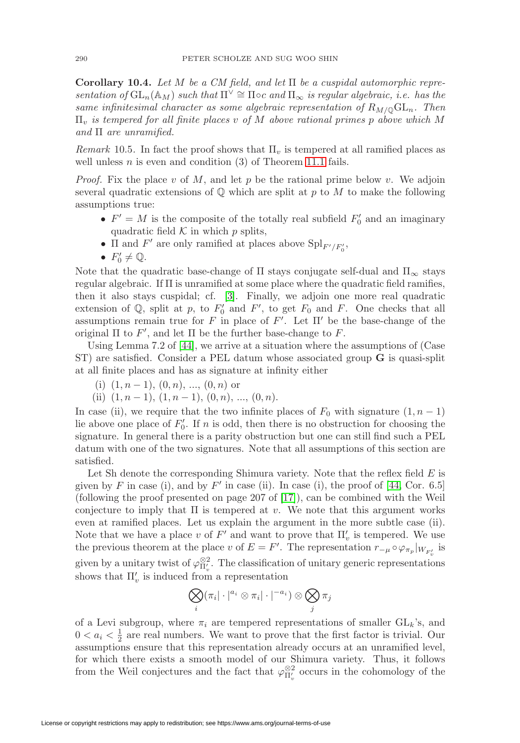**Corollary 10.4.** Let M be a CM field, and let Π be a cuspidal automorphic representation of  $GL_n(\mathbb{A}_M)$  such that  $\Pi^{\vee} \cong \Pi \circ c$  and  $\Pi_{\infty}$  is regular algebraic, i.e. has the same infinitesimal character as some algebraic representation of  $R_{M/\mathbb{Q}}\mathrm{GL}_n$ . Then  $\Pi_v$  is tempered for all finite places v of M above rational primes p above which M and  $\Pi$  are unramified.

Remark 10.5. In fact the proof shows that  $\Pi_v$  is tempered at all ramified places as well unless  $n$  is even and condition (3) of Theorem [11.1](#page-30-1) fails.

*Proof.* Fix the place v of M, and let p be the rational prime below v. We adjoin several quadratic extensions of  $\mathbb Q$  which are split at p to M to make the following assumptions true:

- $F' = M$  is the composite of the totally real subfield  $F'_0$  and an imaginary quadratic field  $K$  in which  $p$  splits,
- $\Pi$  and  $F'$  are only ramified at places above  $\text{Spl}_{F'/F'_0}$ ,
- $F'_0 \neq \mathbb{Q}$ .

Note that the quadratic base-change of  $\Pi$  stays conjugate self-dual and  $\Pi_{\infty}$  stays regular algebraic. If Π is unramified at some place where the quadratic field ramifies, then it also stays cuspidal; cf. [\[3\]](#page-31-3). Finally, we adjoin one more real quadratic extension of  $\mathbb{Q}$ , split at p, to  $F'_0$  and  $F'$ , to get  $F_0$  and F. One checks that all assumptions remain true for F in place of F'. Let  $\Pi'$  be the base-change of the original  $\Pi$  to  $F'$ , and let  $\Pi$  be the further base-change to  $F$ .

Using Lemma 7.2 of [\[44\]](#page-33-0), we arrive at a situation where the assumptions of (Case ST) are satisfied. Consider a PEL datum whose associated group **G** is quasi-split at all finite places and has as signature at infinity either

- (i)  $(1, n-1)$ ,  $(0, n)$ , ...,  $(0, n)$  or
- (ii)  $(1, n 1), (1, n 1), (0, n), ..., (0, n).$

In case (ii), we require that the two infinite places of  $F_0$  with signature  $(1, n - 1)$ lie above one place of  $F_0'$ . If n is odd, then there is no obstruction for choosing the signature. In general there is a parity obstruction but one can still find such a PEL datum with one of the two signatures. Note that all assumptions of this section are satisfied.

Let Sh denote the corresponding Shimura variety. Note that the reflex field  $E$  is given by F in case (i), and by F' in case (ii). In case (i), the proof of  $[44, \text{Cor. } 6.5]$  $[44, \text{Cor. } 6.5]$ (following the proof presented on page 207 of [\[17\]](#page-32-3)), can be combined with the Weil conjecture to imply that  $\Pi$  is tempered at v. We note that this argument works even at ramified places. Let us explain the argument in the more subtle case (ii). Note that we have a place v of  $F'$  and want to prove that  $\Pi'_{v}$  is tempered. We use the previous theorem at the place v of  $E = F'$ . The representation  $r_{-\mu} \circ \varphi_{\pi_p}|_{W_{F'_v}}$  is given by a unitary twist of  $\varphi_{\Pi_v'}^{\otimes 2}$ . The classification of unitary generic representations shows that  $\Pi'_{v}$  is induced from a representation

$$
\bigotimes_i (\pi_i | \cdot |^{a_i} \otimes \pi_i | \cdot |^{-a_i}) \otimes \bigotimes_j \pi_j
$$

of a Levi subgroup, where  $\pi_i$  are tempered representations of smaller  $GL_k$ 's, and  $0 < a_i < \frac{1}{2}$  are real numbers. We want to prove that the first factor is trivial. Our assumptions ensure that this representation already occurs at an unramified level, for which there exists a smooth model of our Shimura variety. Thus, it follows from the Weil conjectures and the fact that  $\varphi_{\Pi_v'}^{\otimes 2}$  occurs in the cohomology of the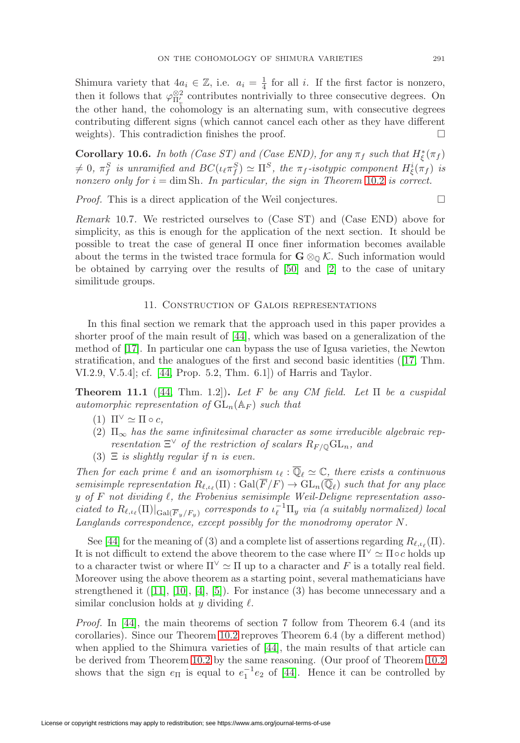Shimura variety that  $4a_i \in \mathbb{Z}$ , i.e.  $a_i = \frac{1}{4}$  for all i. If the first factor is nonzero, then it follows that  $\varphi_{\Pi_v'}^{\otimes 2}$  contributes nontrivially to three consecutive degrees. On the other hand, the cohomology is an alternating sum, with consecutive degrees contributing different signs (which cannot cancel each other as they have different weights). This contradiction finishes the proof.  $\Box$ 

<span id="page-30-2"></span>**Corollary 10.6.** In both (Case ST) and (Case END), for any  $\pi_f$  such that  $H^*_{\xi}(\pi_f)$  $\neq 0$ ,  $\pi_f^S$  is unramified and  $BC(\iota_{\ell} \pi_f^S) \simeq \Pi^S$ , the  $\pi_f$ -isotypic component  $H^i_{\xi}(\pi_f)$  is nonzero only for  $i = \dim Sh$ . In particular, the sign in Theorem [10.2](#page-28-1) is correct.

Proof. This is a direct application of the Weil conjectures.

Remark 10.7. We restricted ourselves to (Case ST) and (Case END) above for simplicity, as this is enough for the application of the next section. It should be possible to treat the case of general Π once finer information becomes available about the terms in the twisted trace formula for  $\mathbf{G} \otimes_{\mathbb{O}} \mathcal{K}$ . Such information would be obtained by carrying over the results of [\[50\]](#page-33-13) and [\[2\]](#page-31-7) to the case of unitary similitude groups.

# 11. Construction of Galois representations

<span id="page-30-0"></span>In this final section we remark that the approach used in this paper provides a shorter proof of the main result of [\[44\]](#page-33-0), which was based on a generalization of the method of [\[17\]](#page-32-3). In particular one can bypass the use of Igusa varieties, the Newton stratification, and the analogues of the first and second basic identities ([\[17,](#page-32-3) Thm. VI.2.9, V.5.4]; cf. [\[44,](#page-33-0) Prop. 5.2, Thm. 6.1]) of Harris and Taylor.

<span id="page-30-1"></span>**Theorem 11.1** ([\[44,](#page-33-0) Thm. 1.2]). Let F be any CM field. Let  $\Pi$  be a cuspidal automorphic representation of  $GL_n(\mathbb{A}_F)$  such that

- (1)  $\Pi^{\vee} \simeq \Pi \circ c$ ,
- (2)  $\Pi_{\infty}$  has the same infinitesimal character as some irreducible algebraic representation  $\Xi^{\vee}$  of the restriction of scalars  $R_{F/\mathbb{Q}}\mathrm{GL}_n$ , and
- (3)  $\Xi$  is slightly regular if n is even.

Then for each prime  $\ell$  and an isomorphism  $\iota_{\ell} : \overline{\mathbb{Q}}_{\ell} \simeq \mathbb{C}$ , there exists a continuous semisimple representation  $R_{\ell,\iota_{\ell}}(\Pi) : \text{Gal}(\overline{F}/F) \to \text{GL}_n(\overline{\mathbb{Q}}_{\ell})$  such that for any place y of F not dividing  $\ell$ , the Frobenius semisimple Weil-Deligne representation associated to  $R_{\ell,\iota_{\ell}}(\Pi)|_{Gal(\overline{F}_y/F_y)}$  corresponds to  $\iota_{\ell}^{-1}\Pi_y$  via (a suitably normalized) local Langlands correspondence, except possibly for the monodromy operator  $N$ .

See [\[44\]](#page-33-0) for the meaning of (3) and a complete list of assertions regarding  $R_{\ell,\iota_{\ell}}(\Pi)$ . It is not difficult to extend the above theorem to the case where  $\Pi^{\vee} \simeq \Pi \circ c$  holds up to a character twist or where  $\Pi^{\vee} \simeq \Pi$  up to a character and F is a totally real field. Moreover using the above theorem as a starting point, several mathematicians have strengthened it  $([11], [10], [4], [5])$  $([11], [10], [4], [5])$  $([11], [10], [4], [5])$  $([11], [10], [4], [5])$  $([11], [10], [4], [5])$  $([11], [10], [4], [5])$  $([11], [10], [4], [5])$  $([11], [10], [4], [5])$  $([11], [10], [4], [5])$ . For instance  $(3)$  has become unnecessary and a similar conclusion holds at y dividing  $\ell$ .

Proof. In [\[44\]](#page-33-0), the main theorems of section 7 follow from Theorem 6.4 (and its corollaries). Since our Theorem [10.2](#page-28-1) reproves Theorem 6.4 (by a different method) when applied to the Shimura varieties of  $[44]$ , the main results of that article can be derived from Theorem [10.2](#page-28-1) by the same reasoning. (Our proof of Theorem [10.2](#page-28-1) shows that the sign  $e_{\Pi}$  is equal to  $e_1^{-1}e_2$  of [\[44\]](#page-33-0). Hence it can be controlled by

 $\Box$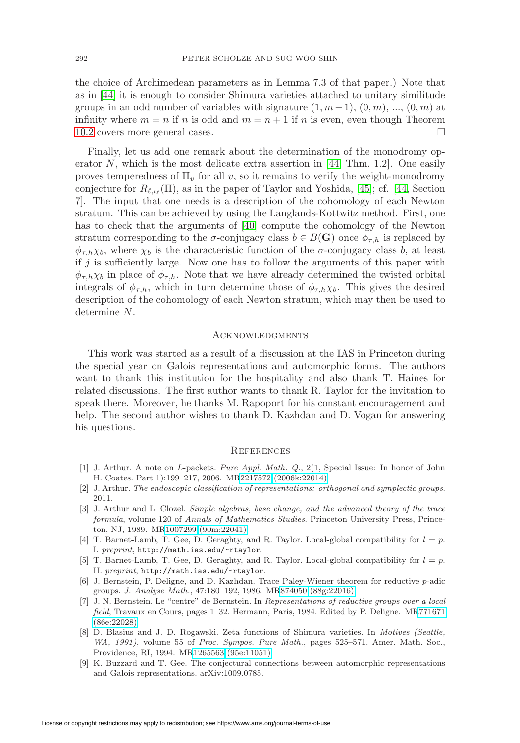the choice of Archimedean parameters as in Lemma 7.3 of that paper.) Note that as in [\[44\]](#page-33-0) it is enough to consider Shimura varieties attached to unitary similitude groups in an odd number of variables with signature  $(1, m-1)$ ,  $(0, m)$ , ...,  $(0, m)$  at infinity where  $m = n$  if n is odd and  $m = n + 1$  if n is even, even though Theorem [10.2](#page-28-1) covers more general cases.

Finally, let us add one remark about the determination of the monodromy op-erator N, which is the most delicate extra assertion in [\[44,](#page-33-0) Thm. 1.2]. One easily proves temperedness of  $\Pi_v$  for all v, so it remains to verify the weight-monodromy conjecture for  $R_{\ell,\iota_{\ell}}(\Pi)$ , as in the paper of Taylor and Yoshida, [\[45\]](#page-33-14); cf. [\[44,](#page-33-0) Section 7]. The input that one needs is a description of the cohomology of each Newton stratum. This can be achieved by using the Langlands-Kottwitz method. First, one has to check that the arguments of [\[40\]](#page-33-1) compute the cohomology of the Newton stratum corresponding to the  $\sigma$ -conjugacy class  $b \in B(G)$  once  $\phi_{\tau,h}$  is replaced by  $\phi_{\tau,h}\chi_b$ , where  $\chi_b$  is the characteristic function of the  $\sigma$ -conjugacy class b, at least if  $j$  is sufficiently large. Now one has to follow the arguments of this paper with  $\phi_{\tau,h}\chi_b$  in place of  $\phi_{\tau,h}$ . Note that we have already determined the twisted orbital integrals of  $\phi_{\tau,h}$ , which in turn determine those of  $\phi_{\tau,h}\chi_b$ . This gives the desired description of the cohomology of each Newton stratum, which may then be used to determine N.

# <span id="page-31-0"></span>**ACKNOWLEDGMENTS**

This work was started as a result of a discussion at the IAS in Princeton during the special year on Galois representations and automorphic forms. The authors want to thank this institution for the hospitality and also thank T. Haines for related discussions. The first author wants to thank R. Taylor for the invitation to speak there. Moreover, he thanks M. Rapoport for his constant encouragement and help. The second author wishes to thank D. Kazhdan and D. Vogan for answering his questions.

#### <span id="page-31-1"></span>**REFERENCES**

- <span id="page-31-6"></span>[1] J. Arthur. A note on L-packets. Pure Appl. Math. Q., 2(1, Special Issue: In honor of John H. Coates. Part 1):199–217, 2006. M[R2217572 \(2006k:22014\)](http://www.ams.org/mathscinet-getitem?mr=2217572)
- <span id="page-31-7"></span>[2] J. Arthur. The endoscopic classification of representations: orthogonal and symplectic groups. 2011.
- <span id="page-31-3"></span>[3] J. Arthur and L. Clozel. Simple algebras, base change, and the advanced theory of the trace formula, volume 120 of Annals of Mathematics Studies. Princeton University Press, Princeton, NJ, 1989. M[R1007299 \(90m:22041\)](http://www.ams.org/mathscinet-getitem?mr=1007299)
- <span id="page-31-9"></span>[4] T. Barnet-Lamb, T. Gee, D. Geraghty, and R. Taylor. Local-global compatibility for  $l = p$ . I. preprint, <http://math.ias.edu/~rtaylor>.
- <span id="page-31-10"></span>[5] T. Barnet-Lamb, T. Gee, D. Geraghty, and R. Taylor. Local-global compatibility for  $l = p$ . II. preprint, <http://math.ias.edu/~rtaylor>.
- <span id="page-31-8"></span>[6] J. Bernstein, P. Deligne, and D. Kazhdan. Trace Paley-Wiener theorem for reductive p-adic groups. J. Analyse Math., 47:180–192, 1986. M[R874050 \(88g:22016\)](http://www.ams.org/mathscinet-getitem?mr=874050)
- <span id="page-31-5"></span>[7] J. N. Bernstein. Le "centre" de Bernstein. In Representations of reductive groups over a local field, Travaux en Cours, pages 1–32. Hermann, Paris, 1984. Edited by P. Deligne. M[R771671](http://www.ams.org/mathscinet-getitem?mr=771671) [\(86e:22028\)](http://www.ams.org/mathscinet-getitem?mr=771671)
- <span id="page-31-4"></span>[8] D. Blasius and J. D. Rogawski. Zeta functions of Shimura varieties. In Motives (Seattle, WA, 1991), volume 55 of Proc. Sympos. Pure Math., pages 525–571. Amer. Math. Soc., Providence, RI, 1994. M[R1265563 \(95e:11051\)](http://www.ams.org/mathscinet-getitem?mr=1265563)
- <span id="page-31-2"></span>[9] K. Buzzard and T. Gee. The conjectural connections between automorphic representations and Galois representations. arXiv:1009.0785.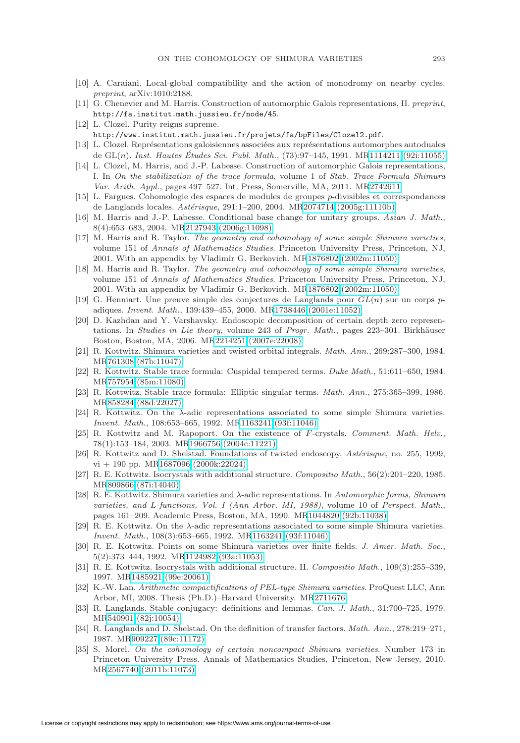- <span id="page-32-25"></span><span id="page-32-9"></span>[10] A. Caraiani. Local-global compatibility and the action of monodromy on nearby cycles. preprint, arXiv:1010:2188.
- [11] G. Chenevier and M. Harris. Construction of automorphic Galois representations, II. preprint, <http://fa.institut.math.jussieu.fr/node/45>.
- <span id="page-32-8"></span>[12] L. Clozel. Purity reigns supreme. <http://www.institut.math.jussieu.fr/projets/fa/bpFiles/Clozel2.pdf>.
- <span id="page-32-6"></span>[13] L. Clozel. Représentations galoisiennes associées aux représentations automorphes autoduales de GL $(n)$ . Inst. Hautes Études Sci. Publ. Math.,  $(73):97-145$ , 1991. M[R1114211 \(92i:11055\)](http://www.ams.org/mathscinet-getitem?mr=1114211)
- <span id="page-32-7"></span>[14] L. Clozel, M. Harris, and J.-P. Labesse. Construction of automorphic Galois representations, I. In On the stabilization of the trace formula, volume 1 of Stab. Trace Formula Shimura Var. Arith. Appl., pages 497–527. Int. Press, Somerville, MA, 2011. M[R2742611](http://www.ams.org/mathscinet-getitem?mr=2742611)
- <span id="page-32-15"></span>[15] L. Fargues. Cohomologie des espaces de modules de groupes p-divisibles et correspondances de Langlands locales.  $Ast\acute{e}risque$ , 291:1–200, 2004. M[R2074714 \(2005g:11110b\)](http://www.ams.org/mathscinet-getitem?mr=2074714)
- <span id="page-32-16"></span>[16] M. Harris and J.-P. Labesse. Conditional base change for unitary groups. Asian J. Math., 8(4):653–683, 2004. M[R2127943 \(2006g:11098\)](http://www.ams.org/mathscinet-getitem?mr=2127943)
- <span id="page-32-3"></span>[17] M. Harris and R. Taylor. The geometry and cohomology of some simple Shimura varieties, volume 151 of Annals of Mathematics Studies. Princeton University Press, Princeton, NJ, 2001. With an appendix by Vladimir G. Berkovich. M[R1876802 \(2002m:11050\)](http://www.ams.org/mathscinet-getitem?mr=1876802)
- <span id="page-32-17"></span>[18] M. Harris and R. Taylor. The geometry and cohomology of some simple Shimura varieties, volume 151 of Annals of Mathematics Studies. Princeton University Press, Princeton, NJ, 2001. With an appendix by Vladimir G. Berkovich. M[R1876802 \(2002m:11050\)](http://www.ams.org/mathscinet-getitem?mr=1876802)
- <span id="page-32-4"></span>[19] G. Henniart. Une preuve simple des conjectures de Langlands pour  $GL(n)$  sur un corps padiques. Invent. Math., 139:439–455, 2000. M[R1738446 \(2001e:11052\)](http://www.ams.org/mathscinet-getitem?mr=1738446)
- <span id="page-32-18"></span>[20] D. Kazhdan and Y. Varshavsky. Endoscopic decomposition of certain depth zero representations. In Studies in Lie theory, volume 243 of Progr. Math., pages  $223-301$ . Birkhäuser Boston, Boston, MA, 2006. M[R2214251 \(2007e:22008\)](http://www.ams.org/mathscinet-getitem?mr=2214251)
- <span id="page-32-19"></span>[21] R. Kottwitz. Shimura varieties and twisted orbital integrals. Math. Ann., 269:287–300, 1984. M[R761308 \(87b:11047\)](http://www.ams.org/mathscinet-getitem?mr=761308)
- <span id="page-32-2"></span>[22] R. Kottwitz. Stable trace formula: Cuspidal tempered terms. Duke Math., 51:611–650, 1984. M[R757954 \(85m:11080\)](http://www.ams.org/mathscinet-getitem?mr=757954)
- <span id="page-32-14"></span>[23] R. Kottwitz. Stable trace formula: Elliptic singular terms. Math. Ann., 275:365–399, 1986. M[R858284 \(88d:22027\)](http://www.ams.org/mathscinet-getitem?mr=858284)
- <span id="page-32-23"></span>[24] R. Kottwitz. On the  $\lambda$ -adic representations associated to some simple Shimura varieties. Invent. Math., 108:653–665, 1992. M[R1163241 \(93f:11046\)](http://www.ams.org/mathscinet-getitem?mr=1163241)
- <span id="page-32-20"></span>[25] R. Kottwitz and M. Rapoport. On the existence of F-crystals. Comment. Math. Helv., 78(1):153–184, 2003. M[R1966756 \(2004c:11221\)](http://www.ams.org/mathscinet-getitem?mr=1966756)
- <span id="page-32-12"></span>[26] R. Kottwitz and D. Shelstad. Foundations of twisted endoscopy. Astérisque, no. 255, 1999,  $vi + 190$  pp. M[R1687096 \(2000k:22024\)](http://www.ams.org/mathscinet-getitem?mr=1687096)
- <span id="page-32-22"></span>[27] R. E. Kottwitz. Isocrystals with additional structure. Compositio Math., 56(2):201–220, 1985. M[R809866 \(87i:14040\)](http://www.ams.org/mathscinet-getitem?mr=809866)
- <span id="page-32-1"></span>[28] R. E. Kottwitz. Shimura varieties and λ-adic representations. In Automorphic forms, Shimura varieties, and L-functions, Vol. I (Ann Arbor, MI, 1988), volume 10 of Perspect. Math., pages 161–209. Academic Press, Boston, MA, 1990. M[R1044820 \(92b:11038\)](http://www.ams.org/mathscinet-getitem?mr=1044820)
- <span id="page-32-5"></span>[29] R. E. Kottwitz. On the λ-adic representations associated to some simple Shimura varieties. Invent. Math., 108(3):653–665, 1992. M[R1163241 \(93f:11046\)](http://www.ams.org/mathscinet-getitem?mr=1163241)
- <span id="page-32-13"></span>[30] R. E. Kottwitz. Points on some Shimura varieties over finite fields. J. Amer. Math. Soc., 5(2):373–444, 1992. M[R1124982 \(93a:11053\)](http://www.ams.org/mathscinet-getitem?mr=1124982)
- <span id="page-32-21"></span>[31] R. E. Kottwitz. Isocrystals with additional structure. II. Compositio Math., 109(3):255–339, 1997. M[R1485921 \(99e:20061\)](http://www.ams.org/mathscinet-getitem?mr=1485921)
- <span id="page-32-24"></span>[32] K.-W. Lan. Arithmetic compactifications of PEL-type Shimura varieties. ProQuest LLC, Ann Arbor, MI, 2008. Thesis (Ph.D.)–Harvard University. M[R2711676](http://www.ams.org/mathscinet-getitem?mr=2711676)
- <span id="page-32-10"></span>[33] R. Langlands. Stable conjugacy: definitions and lemmas. Can. J. Math., 31:700–725, 1979. M[R540901 \(82j:10054\)](http://www.ams.org/mathscinet-getitem?mr=540901)
- <span id="page-32-11"></span>[34] R. Langlands and D. Shelstad. On the definition of transfer factors. Math. Ann., 278:219–271, 1987. M[R909227 \(89c:11172\)](http://www.ams.org/mathscinet-getitem?mr=909227)
- <span id="page-32-0"></span>[35] S. Morel. On the cohomology of certain noncompact Shimura varieties. Number 173 in Princeton University Press. Annals of Mathematics Studies, Princeton, New Jersey, 2010. M[R2567740 \(2011b:11073\)](http://www.ams.org/mathscinet-getitem?mr=2567740)